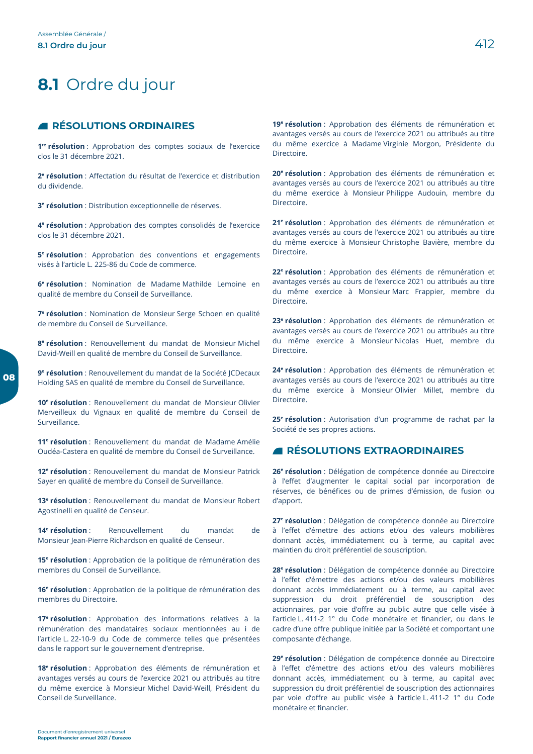08

# 8.1 Ordre du jour

## **ENESOLUTIONS ORDINAIRES**

1<sup>re</sup> résolution : Approbation des comptes sociaux de l'exercice clos le 31 décembre 2021.

2<sup>e</sup> résolution : Affectation du résultat de l'exercice et distribution du dividende.

3<sup>e</sup> résolution : Distribution exceptionnelle de réserves.

4<sup>e</sup> résolution : Approbation des comptes consolidés de l'exercice clos le 31 décembre 2021.

5<sup>e</sup> résolution : Approbation des conventions et engagements visés à l'article L. 225-86 du Code de commerce.

6<sup>e</sup> résolution : Nomination de Madame Mathilde Lemoine en qualité de membre du Conseil de Surveillance.

7<sup>e</sup> résolution : Nomination de Monsieur Serge Schoen en qualité de membre du Conseil de Surveillance.

8<sup>e</sup> résolution : Renouvellement du mandat de Monsieur Michel David-Weill en qualité de membre du Conseil de Surveillance.

9<sup>e</sup> résolution : Renouvellement du mandat de la Société JCDecaux Holding SAS en qualité de membre du Conseil de Surveillance.

10<sup>e</sup> résolution : Renouvellement du mandat de Monsieur Olivier Merveilleux du Vignaux en qualité de membre du Conseil de Surveillance.

11<sup>e</sup> résolution : Renouvellement du mandat de Madame Amélie Oudéa-Castera en qualité de membre du Conseil de Surveillance.

12<sup>e</sup> résolution : Renouvellement du mandat de Monsieur Patrick Sayer en qualité de membre du Conseil de Surveillance.

13<sup>e</sup> résolution : Renouvellement du mandat de Monsieur Robert Agostinelli en qualité de Censeur.

14<sup>e</sup> résolution : Renouvellement  $div$ mandat  $d\rho$ Monsieur Jean-Pierre Richardson en qualité de Censeur.

15<sup>e</sup> résolution : Approbation de la politique de rémunération des membres du Conseil de Surveillance.

16<sup>e</sup> résolution : Approbation de la politique de rémunération des membres du Directoire.

17<sup>e</sup> résolution : Approbation des informations relatives à la rémunération des mandataires sociaux mentionnées au i de l'article L. 22-10-9 du Code de commerce telles que présentées dans le rapport sur le gouvernement d'entreprise.

18<sup>e</sup> résolution : Approbation des éléments de rémunération et avantages versés au cours de l'exercice 2021 ou attribués au titre du même exercice à Monsieur Michel David-Weill, Président du Conseil de Surveillance.

19<sup>e</sup> résolution : Approbation des éléments de rémunération et avantages versés au cours de l'exercice 2021 ou attribués au titre du même exercice à Madame Virginie Morgon, Présidente du Directoire.

20<sup>e</sup> résolution : Approbation des éléments de rémunération et avantages versés au cours de l'exercice 2021 ou attribués au titre du même exercice à Monsieur Philippe Audouin, membre du Directoire.

21<sup>e</sup> résolution : Approbation des éléments de rémunération et avantages versés au cours de l'exercice 2021 ou attribués au titre du même exercice à Monsieur Christophe Bavière, membre du Directoire.

22<sup>e</sup> résolution : Approbation des éléments de rémunération et avantages versés au cours de l'exercice 2021 ou attribués au titre du même exercice à Monsieur-Marc Frappier, membre du Directoire

23<sup>e</sup> résolution : Approbation des éléments de rémunération et avantages versés au cours de l'exercice 2021 ou attribués au titre du même exercice à Monsieur Nicolas Huet, membre du Directoire

24<sup>e</sup> résolution : Approbation des éléments de rémunération et avantages versés au cours de l'exercice 2021 ou attribués au titre du même exercice à Monsieur Olivier Millet, membre du Directoire

25<sup>e</sup> résolution : Autorisation d'un programme de rachat par la Société de ses propres actions.

## **A RÉSOLUTIONS EXTRAORDINAIRES**

26<sup>e</sup> résolution : Délégation de compétence donnée au Directoire à l'effet d'augmenter le capital social par incorporation de réserves, de bénéfices ou de primes d'émission, de fusion ou d'apport.

27<sup>e</sup> résolution : Délégation de compétence donnée au Directoire à l'effet d'émettre des actions et/ou des valeurs mobilières donnant accès, immédiatement ou à terme, au capital avec maintien du droit préférentiel de souscription.

28<sup>e</sup> résolution : Délégation de compétence donnée au Directoire à l'effet d'émettre des actions et/ou des valeurs mobilières donnant accès immédiatement ou à terme, au capital avec suppression du droit préférentiel de souscription des actionnaires, par voie d'offre au public autre que celle visée à l'article L. 411-2 1° du Code monétaire et financier, ou dans le cadre d'une offre publique initiée par la Société et comportant une composante d'échange.

29<sup>e</sup> résolution : Délégation de compétence donnée au Directoire à l'effet d'émettre des actions et/ou des valeurs mobilières donnant accès, immédiatement ou à terme, au capital avec suppression du droit préférentiel de souscription des actionnaires par voie d'offre au public visée à l'article L. 411-2 1° du Code monétaire et financier.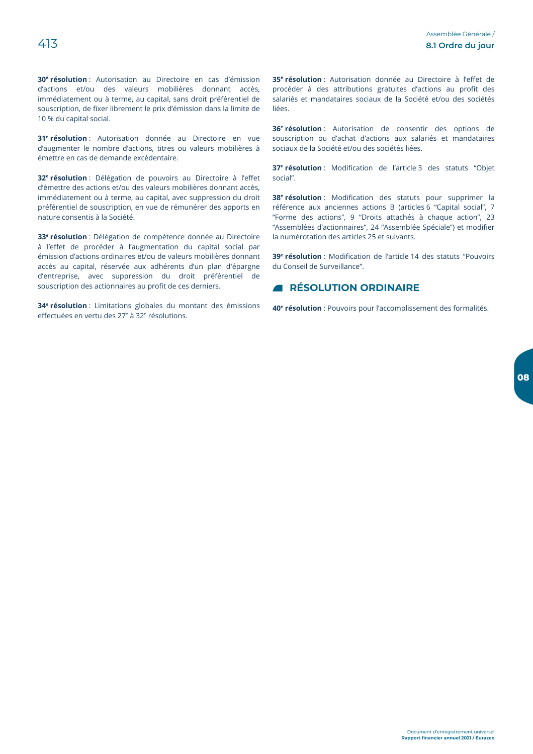30<sup>e</sup> résolution : Autorisation au Directoire en cas d'émission d'actions et/ou des valeurs mobilières donnant accès. immédiatement ou à terme, au capital, sans droit préférentiel de souscription, de fixer librement le prix d'émission dans la limite de 10 % du capital social.

31<sup>e</sup> résolution : Autorisation donnée au Directoire en vue d'augmenter le nombre d'actions, titres ou valeurs mobilières à émettre en cas de demande excédentaire.

32<sup>e</sup> résolution : Délégation de pouvoirs au Directoire à l'effet d'émettre des actions et/ou des valeurs mobilières donnant accès, immédiatement ou à terme, au capital, avec suppression du droit préférentiel de souscription, en vue de rémunérer des apports en nature consentis à la Société.

33<sup>e</sup> résolution : Délégation de compétence donnée au Directoire à l'effet de procéder à l'augmentation du capital social par émission d'actions ordinaires et/ou de valeurs mobilières donnant accès au capital, réservée aux adhérents d'un plan d'épargne d'entreprise, avec suppression du droit préférentiel de souscription des actionnaires au profit de ces derniers.

34<sup>e</sup> résolution : Limitations globales du montant des émissions effectuées en vertu des 27<sup>e</sup> à 32<sup>e</sup> résolutions.

35<sup>e</sup> résolution : Autorisation donnée au Directoire à l'effet de procéder à des attributions gratuites d'actions au profit des salariés et mandataires sociaux de la Société et/ou des sociétés liées.

36<sup>e</sup> résolution : Autorisation de consentir des options de souscription ou d'achat d'actions aux salariés et mandataires sociaux de la Société et/ou des sociétés liées.

37<sup>e</sup> résolution : Modification de l'article 3 des statuts "Objet social".

38<sup>e</sup> résolution : Modification des statuts pour supprimer la référence aux anciennes actions B (articles 6 "Capital social", 7 "Forme des actions", 9 "Droits attachés à chaque action", 23 "Assemblées d'actionnaires", 24 "Assemblée Spéciale") et modifier la numérotation des articles 25 et suivants.

39<sup>e</sup> résolution : Modification de l'article 14 des statuts "Pouvoirs du Conseil de Surveillance".

## **A RÉSOLUTION ORDINAIRE**

40<sup>e</sup> résolution : Pouvoirs pour l'accomplissement des formalités.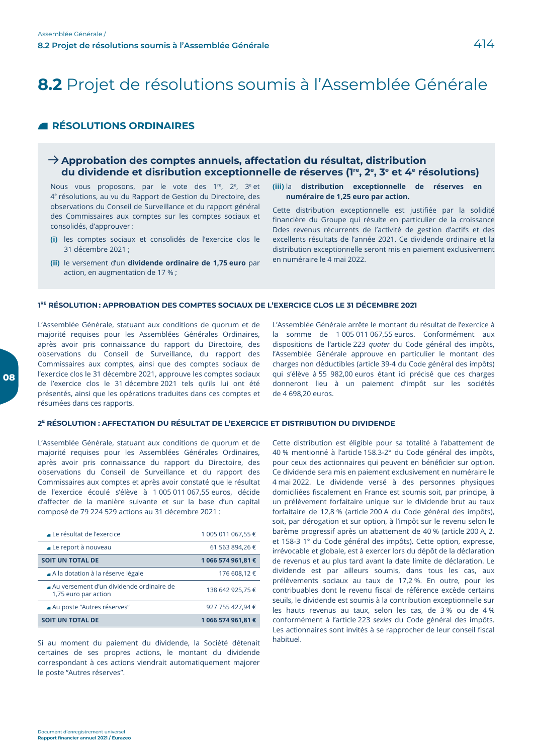# 8.2 Projet de résolutions soumis à l'Assemblée Générale

## **ENESOLUTIONS ORDINAIRES**

## $\rightarrow$  Approbation des comptes annuels, affectation du résultat, distribution du dividende et disribution exceptionnelle de réserves (1<sup>re</sup>, 2<sup>e</sup>, 3<sup>e</sup> et 4<sup>e</sup> résolutions)

Nous vous proposons, par le vote des 1<sup>re</sup>, 2<sup>e</sup>, 3<sup>e</sup> et 4<sup>e</sup> résolutions, au vu du Rapport de Gestion du Directoire, des observations du Conseil de Surveillance et du rapport général des Commissaires aux comptes sur les comptes sociaux et consolidés, d'approuver :

- (i) les comptes sociaux et consolidés de l'exercice clos le 31 décembre 2021 :
- (ii) le versement d'un dividende ordinaire de 1,75 euro par action, en augmentation de 17 %;

#### $(iii)$  la distribution exceptionnelle de réserves en numéraire de 1,25 euro par action.

Cette distribution exceptionnelle est justifiée par la solidité financière du Groupe qui résulte en particulier de la croissance Ddes revenus récurrents de l'activité de gestion d'actifs et des excellents résultats de l'année 2021. Ce dividende ordinaire et la distribution exceptionnelle seront mis en paiement exclusivement en numéraire le 4 mai 2022.

#### 1<sup>RE</sup> RÉSOLUTION: APPROBATION DES COMPTES SOCIAUX DE L'EXERCICE CLOS LE 31 DÉCEMBRE 2021

L'Assemblée Générale, statuant aux conditions de guorum et de majorité requises pour les Assemblées Générales Ordinaires, après avoir pris connaissance du rapport du Directoire, des observations du Conseil de Surveillance, du rapport des Commissaires aux comptes, ainsi que des comptes sociaux de l'exercice clos le 31 décembre 2021, approuve les comptes sociaux de l'exercice clos le 31 décembre 2021 tels qu'ils lui ont été présentés, ainsi que les opérations traduites dans ces comptes et résumées dans ces rapports.

L'Assemblée Générale arrête le montant du résultat de l'exercice à la somme de 1 005 011 067,55 euros. Conformément aux dispositions de l'article 223 quater du Code général des impôts, l'Assemblée Générale approuve en particulier le montant des charges non déductibles (article 39-4 du Code général des impôts) qui s'élève à 55 982,00 euros étant ici précisé que ces charges donneront lieu à un paiement d'impôt sur les sociétés de 4 698.20 euros.

#### 2<sup>E</sup> RÉSOLUTION : AFFECTATION DU RÉSULTAT DE L'EXERCICE ET DISTRIBUTION DU DIVIDENDE

L'Assemblée Générale, statuant aux conditions de quorum et de majorité requises pour les Assemblées Générales Ordinaires, après avoir pris connaissance du rapport du Directoire, des observations du Conseil de Surveillance et du rapport des Commissaires aux comptes et après avoir constaté que le résultat de l'exercice écoulé s'élève à 1 005 011 067,55 euros, décide d'affecter de la manière suivante et sur la base d'un capital composé de 79 224 529 actions au 31 décembre 2021 :

| Le résultat de l'exercice                                        | 1 005 011 067,55 € |
|------------------------------------------------------------------|--------------------|
| $\blacktriangle$ Le report à nouveau                             | 61 563 894,26 €    |
| <b>SOIT UN TOTAL DE</b>                                          | 1 066 574 961,81 € |
| A la dotation à la réserve légale                                | 176 608,12 €       |
| Au versement d'un dividende ordinaire de<br>1,75 euro par action | 138 642 925,75 €   |
| ■ Au poste "Autres réserves"                                     | 927 755 427,94 €   |
| <b>SOIT UN TOTAL DE</b>                                          | 1 066 574 961,81 € |

Si au moment du paiement du dividende, la Société détenait certaines de ses propres actions, le montant du dividende correspondant à ces actions viendrait automatiquement majorer le poste "Autres réserves".

Cette distribution est éligible pour sa totalité à l'abattement de 40 % mentionné à l'article 158.3-2° du Code général des impôts, pour ceux des actionnaires qui peuvent en bénéficier sur option. Ce dividende sera mis en paiement exclusivement en numéraire le 4 mai 2022. Le dividende versé à des personnes physiques domiciliées fiscalement en France est soumis soit, par principe, à un prélèvement forfaitaire unique sur le dividende brut au taux forfaitaire de 12,8 % (article 200 A du Code général des impôts), soit, par dérogation et sur option, à l'impôt sur le revenu selon le barème progressif après un abattement de 40 % (article 200 A, 2. et 158-3 1° du Code général des impôts). Cette option, expresse, irrévocable et globale, est à exercer lors du dépôt de la déclaration de revenus et au plus tard avant la date limite de déclaration. Le dividende est par ailleurs soumis, dans tous les cas, aux prélèvements sociaux au taux de 17,2 %. En outre, pour les contribuables dont le revenu fiscal de référence excède certains seuils, le dividende est soumis à la contribution exceptionnelle sur les hauts revenus au taux, selon les cas, de 3% ou de 4% conformément à l'article 223 sexies du Code général des impôts. Les actionnaires sont invités à se rapprocher de leur conseil fiscal habituel.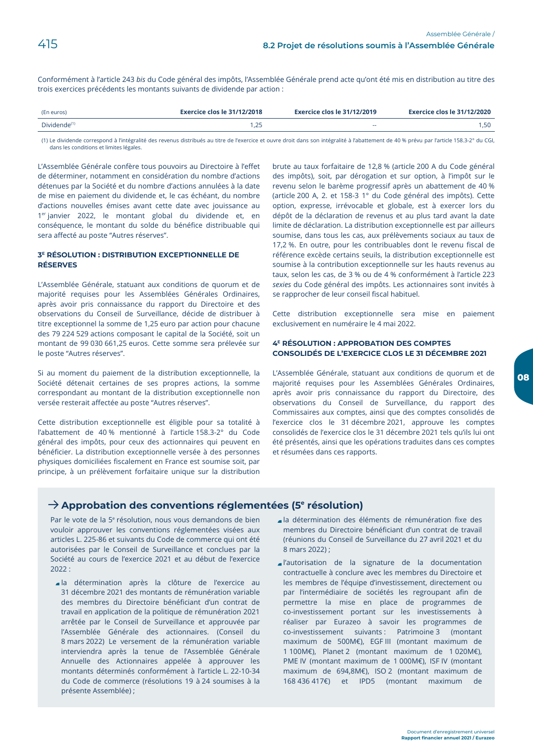Conformément à l'article 243 bis du Code général des impôts, l'Assemblée Générale prend acte qu'ont été mis en distribution au titre des trois exercices précédents les montants suivants de dividende par action :

| (En euros)               | <b>Exercice clos le 31/12/2018</b> | Exercice clos le 31/12/2019 | Exercice clos le 31/12/2020 |
|--------------------------|------------------------------------|-----------------------------|-----------------------------|
| Dividende <sup>(1)</sup> | ,25                                | --                          |                             |

(1) Le dividende correspond à l'intégralité des revenus distribués au titre de l'exercice et ouvre droit dans son intégralité à l'abattement de 40 % prévu par l'article 158.3-2° du CGI, dans les conditions et limites légales.

L'Assemblée Générale confère tous pouvoirs au Directoire à l'effet de déterminer, notamment en considération du nombre d'actions détenues par la Société et du nombre d'actions annulées à la date de mise en paiement du dividende et, le cas échéant, du nombre d'actions nouvelles émises avant cette date avec jouissance au 1er janvier 2022, le montant global du dividende et, en conséquence, le montant du solde du bénéfice distribuable qui sera affecté au poste "Autres réserves".

#### 3<sup>E</sup> RÉSOLUTION : DISTRIBUTION EXCEPTIONNELLE DE **RÉSERVES**

L'Assemblée Générale, statuant aux conditions de quorum et de majorité requises pour les Assemblées Générales Ordinaires. après avoir pris connaissance du rapport du Directoire et des observations du Conseil de Surveillance, décide de distribuer à titre exceptionnel la somme de 1,25 euro par action pour chacune des 79 224 529 actions composant le capital de la Société, soit un montant de 99 030 661,25 euros. Cette somme sera prélevée sur le poste "Autres réserves".

Si au moment du paiement de la distribution exceptionnelle, la Société détenait certaines de ses propres actions, la somme correspondant au montant de la distribution exceptionnelle non versée resterait affectée au poste "Autres réserves".

Cette distribution exceptionnelle est éligible pour sa totalité à l'abattement de 40 % mentionné à l'article 158.3-2° du Code général des impôts, pour ceux des actionnaires qui peuvent en bénéficier. La distribution exceptionnelle versée à des personnes physiques domiciliées fiscalement en France est soumise soit, par principe, à un prélèvement forfaitaire unique sur la distribution brute au taux forfaitaire de 12,8 % (article 200 A du Code général des impôts), soit, par dérogation et sur option, à l'impôt sur le revenu selon le barème progressif après un abattement de 40 % (article 200 A, 2. et 158-3 1° du Code général des impôts). Cette option, expresse, irrévocable et globale, est à exercer lors du dépôt de la déclaration de revenus et au plus tard avant la date limite de déclaration. La distribution exceptionnelle est par ailleurs soumise, dans tous les cas, aux prélèvements sociaux au taux de 17,2 %. En outre, pour les contribuables dont le revenu fiscal de référence excède certains seuils, la distribution exceptionnelle est soumise à la contribution exceptionnelle sur les hauts revenus au taux, selon les cas, de 3 % ou de 4 % conformément à l'article 223 sexies du Code général des impôts. Les actionnaires sont invités à se rapprocher de leur conseil fiscal habituel.

Cette distribution exceptionnelle sera mise en paiement exclusivement en numéraire le 4 mai 2022.

#### 4<sup>E</sup> RÉSOLUTION : APPROBATION DES COMPTES **CONSOLIDÉS DE L'EXERCICE CLOS LE 31 DÉCEMBRE 2021**

L'Assemblée Générale, statuant aux conditions de quorum et de majorité requises pour les Assemblées Générales Ordinaires, après avoir pris connaissance du rapport du Directoire, des observations du Conseil de Surveillance, du rapport des Commissaires aux comptes, ainsi que des comptes consolidés de l'exercice clos le 31 décembre 2021, approuve les comptes consolidés de l'exercice clos le 31 décembre 2021 tels qu'ils lui ont été présentés, ainsi que les opérations traduites dans ces comptes et résumées dans ces rapports.

## $\rightarrow$  Approbation des conventions réglementées (5<sup>e</sup> résolution)

Par le vote de la 5<sup>e</sup> résolution, nous vous demandons de bien vouloir approuver les conventions réglementées visées aux articles L. 225-86 et suivants du Code de commerce qui ont été autorisées par le Conseil de Surveillance et conclues par la Société au cours de l'exercice 2021 et au début de l'exercice  $2022:$ 

- a la détermination après la clôture de l'exercice au 31 décembre 2021 des montants de rémunération variable des membres du Directoire bénéficiant d'un contrat de travail en application de la politique de rémunération 2021 arrêtée par le Conseil de Surveillance et approuvée par l'Assemblée Générale des actionnaires. (Conseil du 8 mars 2022) Le versement de la rémunération variable interviendra après la tenue de l'Assemblée Générale Annuelle des Actionnaires appelée à approuver les montants déterminés conformément à l'article L. 22-10-34 du Code de commerce (résolutions 19 à 24 soumises à la présente Assemblée);
- a la détermination des éléments de rémunération fixe des membres du Directoire bénéficiant d'un contrat de travail (réunions du Conseil de Surveillance du 27 avril 2021 et du 8 mars 2022) ;
- l'autorisation de la signature de la documentation contractuelle à conclure avec les membres du Directoire et les membres de l'équipe d'investissement, directement ou par l'intermédiaire de sociétés les regroupant afin de permettre la mise en place de programmes de co-investissement portant sur les investissements à réaliser par Eurazeo à savoir les programmes de co-investissement suivants : Patrimoine 3 (montant maximum de 500M€), EGFIII (montant maximum de 1 100M€), Planet 2 (montant maximum de 1 020M€), PME IV (montant maximum de 1 000M€), ISF IV (montant maximum de 694,8M€), ISO 2 (montant maximum de 168 436 417€) et IPD5 (montant maximum de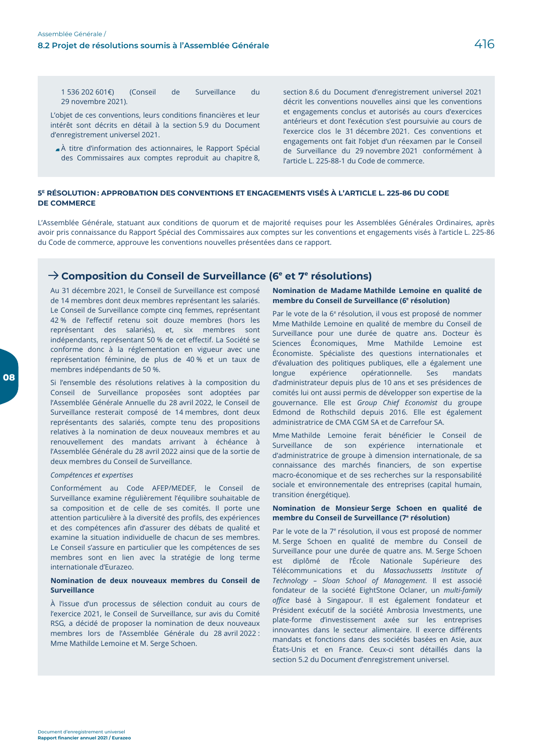416

1 536 202 601€)  $\mathsf{d}\mathsf{e}$ Surveillance (Conseil  $di$ 29 novembre 2021).

L'objet de ces conventions, leurs conditions financières et leur intérêt sont décrits en détail à la section 5.9 du Document d'enregistrement universel 2021.

A titre d'information des actionnaires, le Rapport Spécial des Commissaires aux comptes reproduit au chapitre 8, section 8.6 du Document d'enregistrement universel 2021 décrit les conventions nouvelles ainsi que les conventions et engagements conclus et autorisés au cours d'exercices antérieurs et dont l'exécution s'est poursuivie au cours de l'exercice clos le 31 décembre 2021. Ces conventions et engagements ont fait l'objet d'un réexamen par le Conseil de Surveillance du 29 novembre 2021 conformément à l'article L. 225-88-1 du Code de commerce.

#### 5<sup>E</sup> RÉSOLUTION: APPROBATION DES CONVENTIONS ET ENGAGEMENTS VISÉS À L'ARTICLE L. 225-86 DU CODE **DE COMMERCE**

L'Assemblée Générale, statuant aux conditions de quorum et de majorité requises pour les Assemblées Générales Ordinaires, après avoir pris connaissance du Rapport Spécial des Commissaires aux comptes sur les conventions et engagements visés à l'article L. 225-86 du Code de commerce, approuve les conventions nouvelles présentées dans ce rapport.

## $\rightarrow$  Composition du Conseil de Surveillance (6<sup>e</sup> et 7<sup>e</sup> résolutions)

Au 31 décembre 2021, le Conseil de Surveillance est composé de 14 membres dont deux membres représentant les salariés. Le Conseil de Surveillance compte cinq femmes, représentant 42 % de l'effectif retenu soit douze membres (hors les représentant des salariés), et, six membres sont indépendants, représentant 50 % de cet effectif. La Société se conforme donc à la réglementation en vigueur avec une représentation féminine, de plus de 40 % et un taux de membres indépendants de 50 %.

Si l'ensemble des résolutions relatives à la composition du Conseil de Surveillance proposées sont adoptées par l'Assemblée Générale Annuelle du 28 avril 2022, le Conseil de Surveillance resterait composé de 14 membres, dont deux représentants des salariés, compte tenu des propositions relatives à la nomination de deux nouveaux membres et au renouvellement des mandats arrivant à échéance à l'Assemblée Générale du 28 avril 2022 ainsi que de la sortie de deux membres du Conseil de Surveillance.

#### Compétences et expertises

Conformément au Code AFEP/MEDEF, le Conseil de Surveillance examine régulièrement l'équilibre souhaitable de sa composition et de celle de ses comités. Il porte une attention particulière à la diversité des profils, des expériences et des compétences afin d'assurer des débats de qualité et examine la situation individuelle de chacun de ses membres. Le Conseil s'assure en particulier que les compétences de ses membres sont en lien avec la stratégie de long terme internationale d'Eurazeo.

#### Nomination de deux nouveaux membres du Conseil de **Surveillance**

À l'issue d'un processus de sélection conduit au cours de l'exercice 2021, le Conseil de Surveillance, sur avis du Comité RSG, a décidé de proposer la nomination de deux nouveaux membres lors de l'Assemblée Générale du 28 avril 2022 : Mme Mathilde Lemoine et M. Serge Schoen.

#### Nomination de Madame Mathilde Lemoine en qualité de membre du Conseil de Surveillance (6<sup>e</sup> résolution)

Par le vote de la 6<sup>e</sup> résolution, il vous est proposé de nommer Mme Mathilde Lemoine en qualité de membre du Conseil de Surveillance pour une durée de quatre ans. Docteur ès Sciences Économiques, Mme Mathilde Lemoine est Économiste. Spécialiste des questions internationales et d'évaluation des politiques publiques, elle a également une longue expérience opérationnelle. Ses mandats d'administrateur depuis plus de 10 ans et ses présidences de comités lui ont aussi permis de développer son expertise de la gouvernance. Elle est Group Chief Economist du groupe Edmond de Rothschild depuis 2016. Elle est également administratrice de CMA CGM SA et de Carrefour SA.

Mme Mathilde Lemoine ferait bénéficier le Conseil de Surveillance de son expérience internationale  $e<sub>t</sub>$ d'administratrice de groupe à dimension internationale, de sa connaissance des marchés financiers, de son expertise macro-économique et de ses recherches sur la responsabilité sociale et environnementale des entreprises (capital humain, transition énergétique).

#### Nomination de Monsieur Serge Schoen en qualité de membre du Conseil de Surveillance (7<sup>e</sup> résolution)

Par le vote de la 7<sup>e</sup> résolution, il vous est proposé de nommer M. Serge Schoen en qualité de membre du Conseil de Surveillance pour une durée de quatre ans. M. Serge Schoen est diplômé de l'École Nationale Supérieure des Télécommunications et du Massachussetts Institute of Technology - Sloan School of Management. Il est associé fondateur de la société EightStone Oclaner, un multi-family office basé à Singapour. Il est également fondateur et Président exécutif de la société Ambrosia Investments, une plate-forme d'investissement axée sur les entreprises innovantes dans le secteur alimentaire. Il exerce différents mandats et fonctions dans des sociétés basées en Asie, aux États-Unis et en France. Ceux-ci sont détaillés dans la section 5.2 du Document d'enregistrement universel.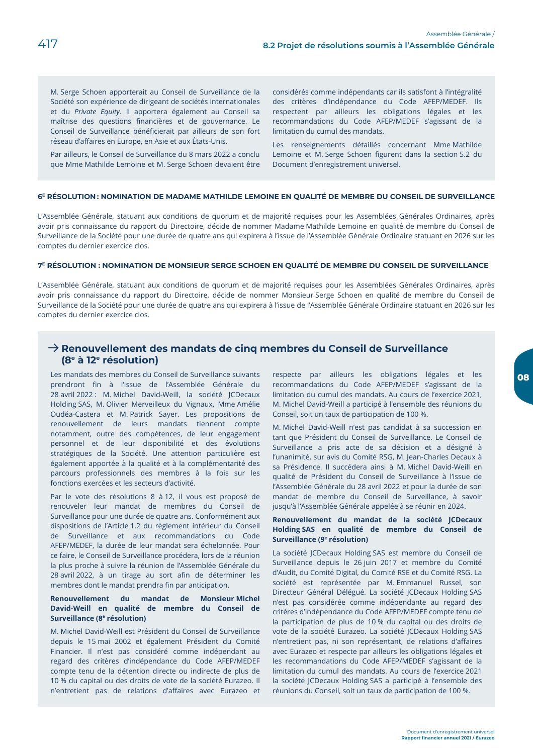M. Serge Schoen apporterait au Conseil de Surveillance de la Société son expérience de dirigeant de sociétés internationales et du Private Equity. Il apportera également au Conseil sa maîtrise des questions financières et de gouvernance. Le Conseil de Surveillance bénéficierait par ailleurs de son fort réseau d'affaires en Europe, en Asie et aux États-Unis.

Par ailleurs, le Conseil de Surveillance du 8 mars 2022 a conclu que Mme Mathilde Lemoine et M. Serge Schoen devaient être considérés comme indépendants car ils satisfont à l'intégralité des critères d'indépendance du Code AFEP/MEDEF. Ils respectent par ailleurs les obligations légales et les recommandations du Code AFEP/MEDEF s'agissant de la limitation du cumul des mandats.

Les renseignements détaillés concernant Mme Mathilde Lemoine et M. Serge Schoen figurent dans la section 5.2 du Document d'enregistrement universel.

#### 6<sup>E</sup> RÉSOLUTION: NOMINATION DE MADAME MATHILDE LEMOINE EN QUALITÉ DE MEMBRE DU CONSEIL DE SURVEILLANCE

L'Assemblée Générale, statuant aux conditions de quorum et de majorité requises pour les Assemblées Générales Ordinaires, après avoir pris connaissance du rapport du Directoire, décide de nommer Madame Mathilde Lemoine en qualité de membre du Conseil de Surveillance de la Société pour une durée de quatre ans qui expirera à l'issue de l'Assemblée Générale Ordinaire statuant en 2026 sur les comptes du dernier exercice clos.

#### 7<sup>E</sup> RÉSOLUTION : NOMINATION DE MONSIEUR SERGE SCHOEN EN QUALITÉ DE MEMBRE DU CONSEIL DE SURVEILLANCE

L'Assemblée Générale, statuant aux conditions de quorum et de majorité requises pour les Assemblées Générales Ordinaires, après avoir pris connaissance du rapport du Directoire, décide de nommer Monsieur Serge Schoen en qualité de membre du Conseil de Surveillance de la Société pour une durée de quatre ans qui expirera à l'issue de l'Assemblée Générale Ordinaire statuant en 2026 sur les comptes du dernier exercice clos.

## $\rightarrow$  Renouvellement des mandats de cinq membres du Conseil de Surveillance (8<sup>e</sup> à 12<sup>e</sup> résolution)

Les mandats des membres du Conseil de Surveillance suivants prendront fin à l'issue de l'Assemblée Générale du 28 avril 2022 : M. Michel David-Weill, la société JCDecaux Holding SAS, M. Olivier Merveilleux du Vignaux, Mme Amélie Oudéa-Castera et M. Patrick Sayer. Les propositions de renouvellement de leurs mandats tiennent compte notamment, outre des compétences, de leur engagement personnel et de leur disponibilité et des évolutions stratégiques de la Société. Une attention particulière est également apportée à la qualité et à la complémentarité des parcours professionnels des membres à la fois sur les fonctions exercées et les secteurs d'activité.

Par le vote des résolutions 8 à 12, il vous est proposé de renouveler leur mandat de membres du Conseil de Surveillance pour une durée de quatre ans. Conformément aux dispositions de l'Article 1.2 du règlement intérieur du Conseil de Surveillance et aux recommandations du Code AFEP/MEDEF, la durée de leur mandat sera échelonnée. Pour ce faire, le Conseil de Surveillance procédera, lors de la réunion la plus proche à suivre la réunion de l'Assemblée Générale du 28 avril 2022, à un tirage au sort afin de déterminer les membres dont le mandat prendra fin par anticipation.

#### Renouvellement du mandat de Monsieur-Michel David-Weill en qualité de membre du Conseil de Surveillance (8<sup>e</sup> résolution)

M. Michel David-Weill est Président du Conseil de Surveillance depuis le 15 mai 2002 et également Président du Comité Financier. Il n'est pas considéré comme indépendant au regard des critères d'indépendance du Code AFEP/MEDEF compte tenu de la détention directe ou indirecte de plus de 10 % du capital ou des droits de vote de la société Eurazeo. Il n'entretient pas de relations d'affaires avec Eurazeo et respecte par ailleurs les obligations légales et les recommandations du Code AFEP/MEDEF s'agissant de la limitation du cumul des mandats. Au cours de l'exercice 2021, M. Michel David-Weill a participé à l'ensemble des réunions du Conseil, soit un taux de participation de 100 %.

M. Michel David-Weill n'est pas candidat à sa succession en tant que Président du Conseil de Surveillance. Le Conseil de Surveillance a pris acte de sa décision et a désigné à l'unanimité, sur avis du Comité RSG, M. Jean-Charles Decaux à sa Présidence. Il succédera ainsi à M. Michel David-Weill en qualité de Président du Conseil de Surveillance à l'issue de l'Assemblée Générale du 28 avril 2022 et pour la durée de son mandat de membre du Conseil de Surveillance, à savoir jusqu'à l'Assemblée Générale appelée à se réunir en 2024.

#### Renouvellement du mandat de la société JCDecaux Holding SAS en qualité de membre du Conseil de Surveillance (9<sup>e</sup> résolution)

La société JCDecaux Holding SAS est membre du Conseil de Surveillance depuis le 26 juin 2017 et membre du Comité d'Audit, du Comité Digital, du Comité RSE et du Comité RSG. La société est représentée par M. Emmanuel Russel, son Directeur Général Délégué. La société JCDecaux Holding SAS n'est pas considérée comme indépendante au regard des critères d'indépendance du Code AFEP/MEDEF compte tenu de la participation de plus de 10 % du capital ou des droits de vote de la société Eurazeo. La société JCDecaux Holding SAS n'entretient pas, ni son représentant, de relations d'affaires avec Eurazeo et respecte par ailleurs les obligations légales et les recommandations du Code AFEP/MEDEF s'agissant de la limitation du cumul des mandats. Au cours de l'exercice 2021 la société JCDecaux Holding SAS a participé à l'ensemble des réunions du Conseil, soit un taux de participation de 100 %.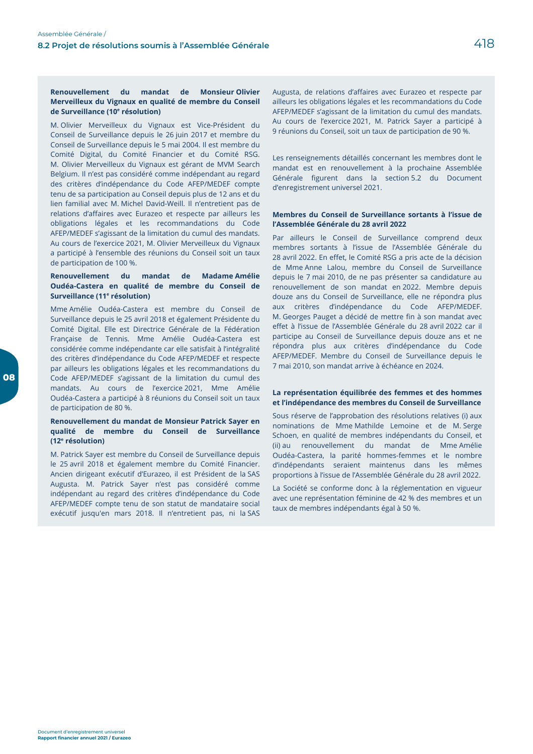#### $du$ Renouvellement mandat de **Monsieur Olivier** Merveilleux du Vignaux en qualité de membre du Conseil de Surveillance (10<sup>e</sup> résolution)

M. Olivier Merveilleux du Vignaux est Vice-Président du Conseil de Surveillance depuis le 26 juin 2017 et membre du Conseil de Surveillance depuis le 5 mai 2004. Il est membre du Comité Digital, du Comité Financier et du Comité RSG. M. Olivier Merveilleux du Vignaux est gérant de MVM Search Belgium. Il n'est pas considéré comme indépendant au regard des critères d'indépendance du Code AFEP/MEDEF compte tenu de sa participation au Conseil depuis plus de 12 ans et du lien familial avec M. Michel David-Weill. Il n'entretient pas de relations d'affaires avec Eurazeo et respecte par ailleurs les obligations légales et les recommandations du Code AFEP/MEDEF s'agissant de la limitation du cumul des mandats. Au cours de l'exercice 2021, M. Olivier Merveilleux du Vignaux a participé à l'ensemble des réunions du Conseil soit un taux de participation de 100 %.

#### Renouvellement du mandat de **Madame Amélie** Oudéa-Castera en qualité de membre du Conseil de Surveillance (11<sup>e</sup> résolution)

Mme Amélie Oudéa-Castera est membre du Conseil de Surveillance depuis le 25 avril 2018 et également Présidente du Comité Digital. Elle est Directrice Générale de la Fédération Française de Tennis. Mme Amélie Oudéa-Castera est considérée comme indépendante car elle satisfait à l'intégralité des critères d'indépendance du Code AFEP/MEDEF et respecte par ailleurs les obligations légales et les recommandations du Code AFEP/MEDEF s'agissant de la limitation du cumul des mandats. Au cours de l'exercice 2021, Mme Amélie Oudéa-Castera a participé à 8 réunions du Conseil soit un taux de participation de 80 %.

#### Renouvellement du mandat de Monsieur Patrick Sayer en qualité de membre du Conseil de Surveillance (12<sup>e</sup> résolution)

M. Patrick Sayer est membre du Conseil de Surveillance depuis le 25 avril 2018 et également membre du Comité Financier. Ancien dirigeant exécutif d'Eurazeo, il est Président de la SAS Augusta. M. Patrick Sayer n'est pas considéré comme indépendant au regard des critères d'indépendance du Code AFEP/MEDEF compte tenu de son statut de mandataire social exécutif jusqu'en mars 2018. Il n'entretient pas, ni la SAS

Augusta, de relations d'affaires avec Eurazeo et respecte par ailleurs les obligations légales et les recommandations du Code AFEP/MEDEF s'agissant de la limitation du cumul des mandats. Au cours de l'exercice 2021, M. Patrick Sayer a participé à 9 réunions du Conseil, soit un taux de participation de 90 %.

Les renseignements détaillés concernant les membres dont le mandat est en renouvellement à la prochaine Assemblée Générale figurent dans la section 5.2 du Document d'enregistrement universel 2021.

#### Membres du Conseil de Surveillance sortants à l'issue de l'Assemblée Générale du 28 avril 2022

Par ailleurs le Conseil de Surveillance comprend deux membres sortants à l'issue de l'Assemblée Générale du 28 avril 2022. En effet, le Comité RSG a pris acte de la décision de Mme Anne Lalou, membre du Conseil de Surveillance depuis le 7 mai 2010, de ne pas présenter sa candidature au renouvellement de son mandat en 2022. Membre depuis douze ans du Conseil de Surveillance, elle ne répondra plus aux critères d'indépendance du Code AFEP/MEDEF. M. Georges Pauget a décidé de mettre fin à son mandat avec effet à l'issue de l'Assemblée Générale du 28 avril 2022 car il participe au Conseil de Surveillance depuis douze ans et ne répondra plus aux critères d'indépendance du Code AFEP/MEDEF. Membre du Conseil de Surveillance depuis le 7 mai 2010, son mandat arrive à échéance en 2024.

#### La représentation équilibrée des femmes et des hommes et l'indépendance des membres du Conseil de Surveillance

Sous réserve de l'approbation des résolutions relatives (i) aux nominations de Mme Mathilde Lemoine et de M. Serge Schoen, en qualité de membres indépendants du Conseil, et (ii) au renouvellement du mandat de Mme Amélie Oudéa-Castera, la parité hommes-femmes et le nombre d'indépendants seraient maintenus dans les mêmes proportions à l'issue de l'Assemblée Générale du 28 avril 2022.

La Société se conforme donc à la réglementation en vigueur avec une représentation féminine de 42 % des membres et un taux de membres indépendants égal à 50 %.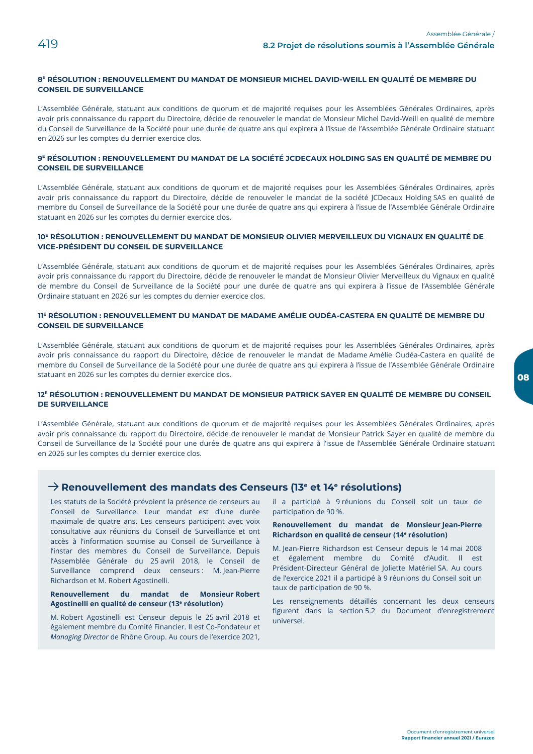#### 8<sup>E</sup> RÉSOLUTION : RENOUVELLEMENT DU MANDAT DE MONSIEUR MICHEL DAVID-WEILL EN OUALITÉ DE MEMBRE DU **CONSEIL DE SURVEILLANCE**

L'Assemblée Générale, statuant aux conditions de quorum et de majorité requises pour les Assemblées Générales Ordinaires, après avoir pris connaissance du rapport du Directoire, décide de renouveler le mandat de Monsieur Michel David-Weill en qualité de membre du Conseil de Surveillance de la Société pour une durée de quatre ans qui expirera à l'issue de l'Assemblée Générale Ordinaire statuant en 2026 sur les comptes du dernier exercice clos.

#### 9<sup>E</sup> RÉSOLUTION : RENOUVELLEMENT DU MANDAT DE LA SOCIÉTÉ JCDECAUX HOLDING SAS EN QUALITÉ DE MEMBRE DU CONSEIL DE SUDVEILLANCE

L'Assemblée Générale, statuant aux conditions de quorum et de majorité requises pour les Assemblées Générales Ordinaires, après avoir pris connaissance du rapport du Directoire, décide de renouveler le mandat de la société JCDecaux Holding SAS en qualité de membre du Conseil de Surveillance de la Société pour une durée de quatre ans qui expirera à l'issue de l'Assemblée Générale Ordinaire statuant en 2026 sur les comptes du dernier exercice clos.

#### 10<sup>E</sup> RÉSOLUTION : RENOUVELLEMENT DU MANDAT DE MONSIEUR OLIVIER MERVEILLEUX DU VIGNAUX EN QUALITÉ DE **VICE-PRÉSIDENT DU CONSEIL DE SURVEILLANCE**

L'Assemblée Générale, statuant aux conditions de quorum et de majorité requises pour les Assemblées Générales Ordinaires, après avoir pris connaissance du rapport du Directoire, décide de renouveler le mandat de Monsieur Olivier Merveilleux du Vignaux en qualité de membre du Conseil de Surveillance de la Société pour une durée de quatre ans qui expirera à l'issue de l'Assemblée Générale Ordinaire statuant en 2026 sur les comptes du dernier exercice clos.

#### 11<sup>E</sup> RÉSOLUTION : RENOUVELLEMENT DU MANDAT DE MADAME AMÉLIE OUDÉA-CASTERA EN QUALITÉ DE MEMBRE DU **CONSEIL DE SURVEILLANCE**

L'Assemblée Générale, statuant aux conditions de quorum et de majorité requises pour les Assemblées Générales Ordinaires, après avoir pris connaissance du rapport du Directoire, décide de renouveler le mandat de Madame Amélie Oudéa-Castera en qualité de membre du Conseil de Surveillance de la Société pour une durée de quatre ans qui expirera à l'issue de l'Assemblée Générale Ordinaire statuant en 2026 sur les comptes du dernier exercice clos.

#### 12<sup>E</sup> RÉSOLUTION : RENOUVELLEMENT DU MANDAT DE MONSIEUR PATRICK SAYER EN QUALITÉ DE MEMBRE DU CONSEIL **DE SURVEILLANCE**

L'Assemblée Générale, statuant aux conditions de quorum et de majorité requises pour les Assemblées Générales Ordinaires, après avoir pris connaissance du rapport du Directoire, décide de renouveler le mandat de Monsieur Patrick Sayer en qualité de membre du Conseil de Surveillance de la Société pour une durée de quatre ans qui expirera à l'issue de l'Assemblée Générale Ordinaire statuant en 2026 sur les comptes du dernier exercice clos.

## $\rightarrow$  Renouvellement des mandats des Censeurs (13<sup>e</sup> et 14<sup>e</sup> résolutions)

Les statuts de la Société prévoient la présence de censeurs au Conseil de Surveillance. Leur mandat est d'une durée maximale de quatre ans. Les censeurs participent avec voix consultative aux réunions du Conseil de Surveillance et ont accès à l'information soumise au Conseil de Surveillance à l'instar des membres du Conseil de Surveillance. Depuis l'Assemblée Générale du 25 avril 2018, le Conseil de Surveillance comprend deux censeurs : M. Jean-Pierre Richardson et M. Robert Agostinelli.

#### Renouvellement du mandat de Monsieur Robert Agostinelli en qualité de censeur (13<sup>e</sup> résolution)

M. Robert Agostinelli est Censeur depuis le 25 avril 2018 et également membre du Comité Financier. Il est Co-Fondateur et Managing Director de Rhône Group. Au cours de l'exercice 2021,

il a participé à 9 réunions du Conseil soit un taux de participation de 90 %.

#### Renouvellement du mandat de Monsieur Jean-Pierre Richardson en qualité de censeur (14<sup>e</sup> résolution)

M. Jean-Pierre Richardson est Censeur depuis le 14 mai 2008 et également membre du Comité d'Audit. Il est Président-Directeur Général de Joliette Matériel SA. Au cours de l'exercice 2021 il a participé à 9 réunions du Conseil soit un taux de participation de 90 %.

Les renseignements détaillés concernant les deux censeurs figurent dans la section 5.2 du Document d'enregistrement universel.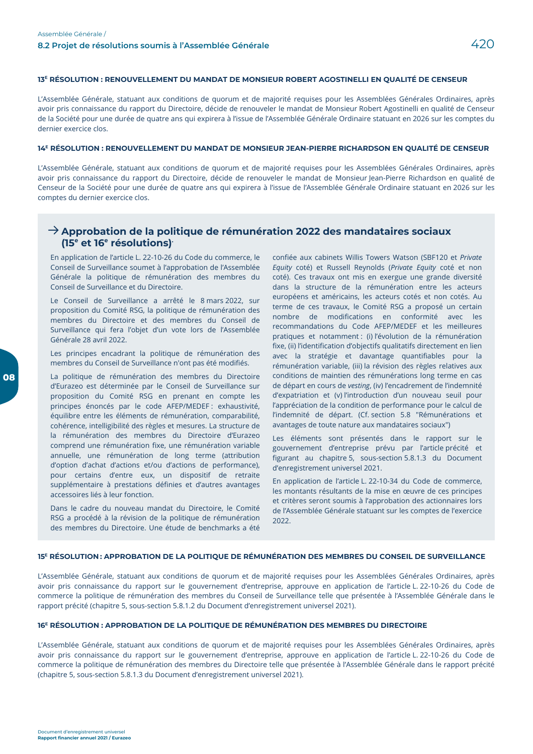#### 13<sup>E</sup> RÉSOLUTION : RENOUVELLEMENT DU MANDAT DE MONSIEUR ROBERT AGOSTINELLI EN QUALITÉ DE CENSEUR

L'Assemblée Générale, statuant aux conditions de quorum et de majorité requises pour les Assemblées Générales Ordinaires, après avoir pris connaissance du rapport du Directoire, décide de renouveler le mandat de Monsieur Robert Agostinelli en qualité de Censeur de la Société pour une durée de quatre ans qui expirera à l'issue de l'Assemblée Générale Ordinaire statuant en 2026 sur les comptes du dernier exercice clos.

#### 14<sup>E</sup> RÉSOLUTION : RENOUVELLEMENT DU MANDAT DE MONSIEUR JEAN-PIERRE RICHARDSON EN QUALITÉ DE CENSEUR

L'Assemblée Générale, statuant aux conditions de quorum et de majorité requises pour les Assemblées Générales Ordinaires, après avoir pris connaissance du rapport du Directoire, décide de renouveler le mandat de Monsieur Jean-Pierre Richardson en qualité de Censeur de la Société pour une durée de quatre ans qui expirera à l'issue de l'Assemblée Générale Ordinaire statuant en 2026 sur les comptes du dernier exercice clos.

## $\rightarrow$  Approbation de la politique de rémunération 2022 des mandataires sociaux  $(15<sup>e</sup>$  et 16<sup>e</sup> résolutions)<sup>.</sup>

En application de l'article L. 22-10-26 du Code du commerce, le Conseil de Surveillance soumet à l'approbation de l'Assemblée Générale la politique de rémunération des membres du Conseil de Surveillance et du Directoire.

Le Conseil de Surveillance a arrêté le 8 mars 2022, sur proposition du Comité RSG, la politique de rémunération des membres du Directoire et des membres du Conseil de Surveillance qui fera l'objet d'un vote lors de l'Assemblée Générale 28 avril 2022.

Les principes encadrant la politique de rémunération des membres du Conseil de Surveillance n'ont pas été modifiés.

La politique de rémunération des membres du Directoire d'Eurazeo est déterminée par le Conseil de Surveillance sur proposition du Comité RSG en prenant en compte les principes énoncés par le code AFEP/MEDEF : exhaustivité, équilibre entre les éléments de rémunération, comparabilité, cohérence, intelligibilité des règles et mesures. La structure de la rémunération des membres du Directoire d'Eurazeo comprend une rémunération fixe, une rémunération variable annuelle, une rémunération de long terme (attribution d'option d'achat d'actions et/ou d'actions de performance), pour certains d'entre eux, un dispositif de retraite supplémentaire à prestations définies et d'autres avantages accessoires liés à leur fonction.

Dans le cadre du nouveau mandat du Directoire, le Comité RSG a procédé à la révision de la politique de rémunération des membres du Directoire. Une étude de benchmarks a été

confiée aux cabinets Willis Towers Watson (SBF120 et Private Equity coté) et Russell Reynolds (Private Equity coté et non coté). Ces travaux ont mis en exergue une grande diversité dans la structure de la rémunération entre les acteurs européens et américains, les acteurs cotés et non cotés. Au terme de ces travaux, le Comité RSG a proposé un certain nombre de modifications en conformité avec les recommandations du Code AFEP/MEDEF et les meilleures pratiques et notamment : (i) l'évolution de la rémunération fixe, (ii) l'identification d'objectifs qualitatifs directement en lien avec la stratégie et davantage quantifiables pour la rémunération variable, (iii) la révision des règles relatives aux conditions de maintien des rémunérations long terme en cas de départ en cours de vesting, (iv) l'encadrement de l'indemnité d'expatriation et (v) l'introduction d'un nouveau seuil pour l'appréciation de la condition de performance pour le calcul de l'indemnité de départ. (Cf. section 5.8 "Rémunérations et avantages de toute nature aux mandataires sociaux")

Les éléments sont présentés dans le rapport sur le gouvernement d'entreprise prévu par l'article précité et figurant au chapitre 5, sous-section 5.8.1.3 du Document d'enregistrement universel 2021.

En application de l'article L. 22-10-34 du Code de commerce, les montants résultants de la mise en œuvre de ces principes et critères seront soumis à l'approbation des actionnaires lors de l'Assemblée Générale statuant sur les comptes de l'exercice  $2022$ 

#### 15<sup>E</sup> RÉSOLUTION: APPROBATION DE LA POLITIQUE DE RÉMUNÉRATION DES MEMBRES DU CONSEIL DE SURVEILLANCE

L'Assemblée Générale, statuant aux conditions de quorum et de majorité requises pour les Assemblées Générales Ordinaires, après avoir pris connaissance du rapport sur le gouvernement d'entreprise, approuve en application de l'article L. 22-10-26 du Code de commerce la politique de rémunération des membres du Conseil de Surveillance telle que présentée à l'Assemblée Générale dans le rapport précité (chapitre 5, sous-section 5.8.1.2 du Document d'enregistrement universel 2021).

#### 16<sup>E</sup> RÉSOLUTION : APPROBATION DE LA POLITIQUE DE RÉMUNÉRATION DES MEMBRES DU DIRECTOIRE

L'Assemblée Générale, statuant aux conditions de quorum et de majorité requises pour les Assemblées Générales Ordinaires, après avoir pris connaissance du rapport sur le gouvernement d'entreprise, approuve en application de l'article L. 22-10-26 du Code de commerce la politique de rémunération des membres du Directoire telle que présentée à l'Assemblée Générale dans le rapport précité (chapitre 5, sous-section 5.8.1.3 du Document d'enregistrement universel 2021).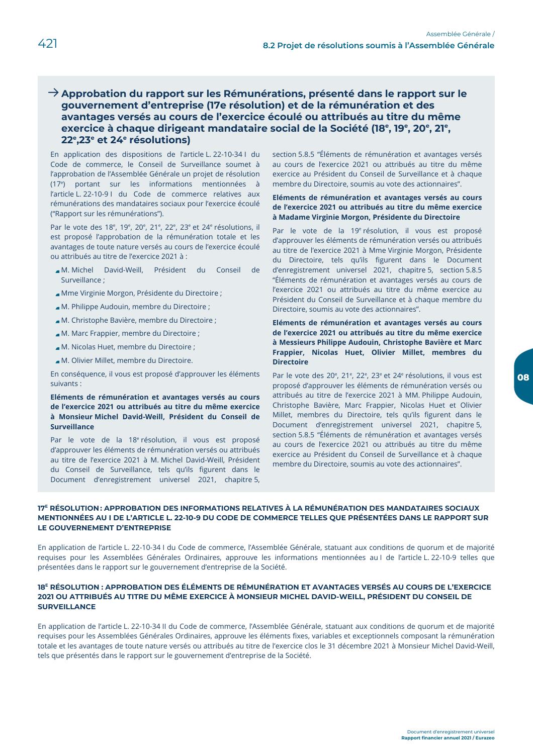## $\rightarrow$  Approbation du rapport sur les Rémunérations, présenté dans le rapport sur le gouvernement d'entreprise (17e résolution) et de la rémunération et des avantages versés au cours de l'exercice écoulé ou attribués au titre du même exercice à chaque dirigeant mandataire social de la Société (18<sup>e</sup>, 19<sup>e</sup>, 20<sup>e</sup>, 21<sup>e</sup>, 22°,23° et 24° résolutions)

En application des dispositions de l'article L. 22-10-34 l du Code de commerce, le Conseil de Surveillance soumet à l'approbation de l'Assemblée Générale un projet de résolution  $(17<sup>e</sup>)$  portant sur les informations mentionnées à l'article L. 22-10-9 I du Code de commerce relatives aux rémunérations des mandataires sociaux pour l'exercice écoulé ("Rapport sur les rémunérations").

Par le vote des 18<sup>e</sup>, 19<sup>e</sup>, 20<sup>e</sup>, 21<sup>e</sup>, 22<sup>e</sup>, 23<sup>e</sup> et 24<sup>e</sup> résolutions, il est proposé l'approbation de la rémunération totale et les avantages de toute nature versés au cours de l'exercice écoulé ou attribués au titre de l'exercice 2021 à :

- M. Michel David-Weill. Président du Conseil de Surveillance ;
- Mme Virginie Morgon, Présidente du Directoire ;
- M. Philippe Audouin, membre du Directoire ;
- M. Christophe Bavière, membre du Directoire;
- M. Marc Frappier, membre du Directoire ;
- M. Nicolas Huet, membre du Directoire ;
- M. Olivier Millet, membre du Directoire.

En conséquence, il vous est proposé d'approuver les éléments suivants:

#### Eléments de rémunération et avantages versés au cours de l'exercice 2021 ou attribués au titre du même exercice à Monsieur Michel David-Weill, Président du Conseil de Surveillance

Par le vote de la 18<sup>e</sup> résolution, il vous est proposé d'approuver les éléments de rémunération versés ou attribués au titre de l'exercice 2021 à M. Michel David-Weill, Président du Conseil de Surveillance, tels qu'ils figurent dans le Document d'enregistrement universel 2021, chapitre 5,

section 5.8.5 "Éléments de rémunération et avantages versés au cours de l'exercice 2021 ou attribués au titre du même exercice au Président du Conseil de Surveillance et à chaque membre du Directoire, soumis au vote des actionnaires".

#### Eléments de rémunération et avantages versés au cours de l'exercice 2021 ou attribués au titre du même exercice à Madame Virginie Morgon, Présidente du Directoire

Par le vote de la 19<sup>e</sup> résolution, il vous est proposé d'approuver les éléments de rémunération versés ou attribués au titre de l'exercice 2021 à Mme Virginie Morgon, Présidente du Directoire, tels qu'ils figurent dans le Document d'enregistrement universel 2021, chapitre 5, section 5.8.5 "Éléments de rémunération et avantages versés au cours de l'exercice 2021 ou attribués au titre du même exercice au Président du Conseil de Surveillance et à chaque membre du Directoire, soumis au vote des actionnaires".

Eléments de rémunération et avantages versés au cours de l'exercice 2021 ou attribués au titre du même exercice à Messieurs Philippe Audouin, Christophe Bavière et Marc Frappier, Nicolas Huet, Olivier Millet, membres du Directoire

Par le vote des 20<sup>e</sup>, 21<sup>e</sup>, 22<sup>e</sup>, 23<sup>e</sup> et 24<sup>e</sup> résolutions, il vous est proposé d'approuver les éléments de rémunération versés ou attribués au titre de l'exercice 2021 à MM. Philippe Audouin, Christophe Bavière, Marc Frappier, Nicolas Huet et Olivier Millet, membres du Directoire, tels qu'ils figurent dans le Document d'enregistrement universel 2021, chapitre 5, section 5.8.5 "Éléments de rémunération et avantages versés au cours de l'exercice 2021 ou attribués au titre du même exercice au Président du Conseil de Surveillance et à chaque membre du Directoire, soumis au vote des actionnaires".

#### 17<sup>E</sup> RÉSOLUTION: APPROBATION DES INFORMATIONS RELATIVES À LA RÉMUNÉRATION DES MANDATAIRES SOCIAUX MENTIONNÉES AU I DE L'ARTICLE L. 22-10-9 DU CODE DE COMMERCE TELLES QUE PRÉSENTÉES DANS LE RAPPORT SUR LE GOUVERNEMENT D'ENTREPRISE

En application de l'article L. 22-10-34 I du Code de commerce, l'Assemblée Générale, statuant aux conditions de quorum et de majorité requises pour les Assemblées Générales Ordinaires, approuve les informations mentionnées au I de l'article L. 22-10-9 telles que présentées dans le rapport sur le gouvernement d'entreprise de la Société.

#### 18<sup>E</sup> RÉSOLUTION : APPROBATION DES ÉLÉMENTS DE RÉMUNÉRATION ET AVANTAGES VERSÉS AU COURS DE L'EXERCICE 2021 OU ATTRIBUÉS AU TITRE DU MÊME EXERCICE À MONSIEUR MICHEL DAVID-WEILL, PRÉSIDENT DU CONSEIL DE **SURVEILLANCE**

En application de l'article L. 22-10-34 II du Code de commerce, l'Assemblée Générale, statuant aux conditions de quorum et de majorité requises pour les Assemblées Générales Ordinaires, approuve les éléments fixes, variables et exceptionnels composant la rémunération totale et les avantages de toute nature versés ou attribués au titre de l'exercice clos le 31 décembre 2021 à Monsieur Michel David-Weill, tels que présentés dans le rapport sur le gouvernement d'entreprise de la Société.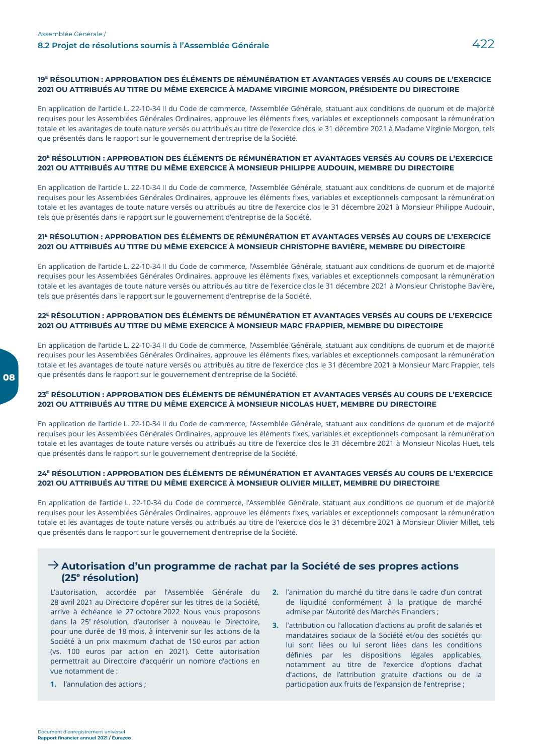#### 19<sup>E</sup> RÉSOLUTION : APPROBATION DES ÉLÉMENTS DE RÉMUNÉRATION ET AVANTAGES VERSÉS AU COURS DE L'EXERCICE 2021 OU ATTRIBUÉS AU TITRE DU MÊME EXERCICE À MADAME VIRGINIE MORGON, PRÉSIDENTE DU DIRECTOIRE

En application de l'article L. 22-10-34 II du Code de commerce, l'Assemblée Générale, statuant aux conditions de quorum et de majorité requises pour les Assemblées Générales Ordinaires, approuve les éléments fixes, variables et exceptionnels composant la rémunération totale et les avantages de toute nature versés ou attribués au titre de l'exercice clos le 31 décembre 2021 à Madame Virginie Morgon, tels que présentés dans le rapport sur le gouvernement d'entreprise de la Société.

#### 20<sup>E</sup> RÉSOLUTION : APPROBATION DES ÉLÉMENTS DE RÉMUNÉRATION ET AVANTAGES VERSÉS AU COURS DE L'EXERCICE 2021 OU ATTRIBUÉS AU TITRE DU MÊME EXERCICE À MONSIEUR PHILIPPE AUDOUIN. MEMBRE DU DIRECTOIRE

En application de l'article L. 22-10-34 II du Code de commerce, l'Assemblée Générale, statuant aux conditions de quorum et de majorité requises pour les Assemblées Générales Ordinaires, approuve les éléments fixes, variables et exceptionnels composant la rémunération totale et les avantages de toute nature versés ou attribués au titre de l'exercice clos le 31 décembre 2021 à Monsieur Philippe Audouin, tels que présentés dans le rapport sur le gouvernement d'entreprise de la Société.

#### 21<sup>E</sup> RÉSOLUTION : APPROBATION DES ÉLÉMENTS DE RÉMUNÉRATION ET AVANTAGES VERSÉS AU COURS DE L'EXERCICE 2021 OU ATTRIBUÉS AU TITRE DU MÊME EXERCICE À MONSIEUR CHRISTOPHE BAVIÈRE, MEMBRE DU DIRECTOIRE

En application de l'article L. 22-10-34 II du Code de commerce, l'Assemblée Générale, statuant aux conditions de quorum et de majorité requises pour les Assemblées Générales Ordinaires, approuve les éléments fixes, variables et exceptionnels composant la rémunération totale et les avantages de toute nature versés ou attribués au titre de l'exercice clos le 31 décembre 2021 à Monsieur Christophe Bavière, tels que présentés dans le rapport sur le gouvernement d'entreprise de la Société.

#### 22<sup>E</sup> RÉSOLUTION : APPROBATION DES ÉLÉMENTS DE RÉMUNÉRATION ET AVANTAGES VERSÉS AU COURS DE L'EXERCICE 2021 OU ATTRIBUÉS AU TITRE DU MÊME EXERCICE À MONSIEUR MARC FRAPPIER, MEMBRE DU DIRECTOIRE

En application de l'article L. 22-10-34 II du Code de commerce, l'Assemblée Générale, statuant aux conditions de quorum et de majorité requises pour les Assemblées Générales Ordinaires, approuve les éléments fixes, variables et exceptionnels composant la rémunération totale et les avantages de toute nature versés ou attribués au titre de l'exercice clos le 31 décembre 2021 à Monsieur Marc Frappier, tels que présentés dans le rapport sur le gouvernement d'entreprise de la Société.

#### 23<sup>E</sup> RÉSOLUTION : APPROBATION DES ÉLÉMENTS DE RÉMUNÉRATION ET AVANTAGES VERSÉS AU COURS DE L'EXERCICE 2021 OU ATTRIBUÉS AU TITRE DU MÊME EXERCICE À MONSIEUR NICOLAS HUET, MEMBRE DU DIRECTOIRE

En application de l'article L. 22-10-34 II du Code de commerce, l'Assemblée Générale, statuant aux conditions de quorum et de majorité requises pour les Assemblées Générales Ordinaires, approuve les éléments fixes, variables et exceptionnels composant la rémunération totale et les avantages de toute nature versés ou attribués au titre de l'exercice clos le 31 décembre 2021 à Monsieur Nicolas Huet, tels que présentés dans le rapport sur le gouvernement d'entreprise de la Société.

#### 24<sup>E</sup> RÉSOLUTION : APPROBATION DES ÉLÉMENTS DE RÉMUNÉRATION ET AVANTAGES VERSÉS AU COURS DE L'EXERCICE 2021 OU ATTRIBUÉS AU TITRE DU MÊME EXERCICE À MONSIEUR OLIVIER MILLET, MEMBRE DU DIRECTOIRE

En application de l'article L. 22-10-34 du Code de commerce, l'Assemblée Générale, statuant aux conditions de guorum et de majorité requises pour les Assemblées Générales Ordinaires, approuve les éléments fixes, variables et exceptionnels composant la rémunération totale et les avantages de toute nature versés ou attribués au titre de l'exercice clos le 31 décembre 2021 à Monsieur Olivier Millet, tels que présentés dans le rapport sur le gouvernement d'entreprise de la Société.

## $\rightarrow$  Autorisation d'un programme de rachat par la Société de ses propres actions (25<sup>e</sup> résolution)

L'autorisation, accordée par l'Assemblée Générale du 28 avril 2021 au Directoire d'opérer sur les titres de la Société, arrive à échéance le 27 octobre 2022 Nous vous proposons dans la 25<sup>e</sup> résolution, d'autoriser à nouveau le Directoire, pour une durée de 18 mois, à intervenir sur les actions de la Société à un prix maximum d'achat de 150 euros par action (vs. 100 euros par action en 2021). Cette autorisation permettrait au Directoire d'acquérir un nombre d'actions en vue notamment de :

**1.** l'annulation des actions :

- 2. l'animation du marché du titre dans le cadre d'un contrat de liquidité conformément à la pratique de marché admise par l'Autorité des Marchés Financiers;
- 3. l'attribution ou l'allocation d'actions au profit de salariés et mandataires sociaux de la Société et/ou des sociétés qui lui sont liées ou lui seront liées dans les conditions définies par les dispositions légales applicables, notamment au titre de l'exercice d'options d'achat d'actions, de l'attribution gratuite d'actions ou de la participation aux fruits de l'expansion de l'entreprise ;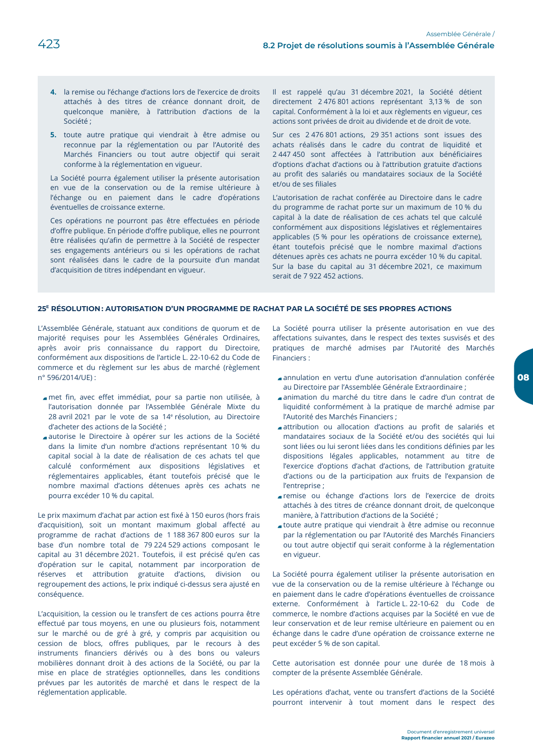- 4. la remise ou l'échange d'actions lors de l'exercice de droits attachés à des titres de créance donnant droit, de quelconque manière, à l'attribution d'actions de la Société ;
- 5. toute autre pratique qui viendrait à être admise ou reconnue par la réglementation ou par l'Autorité des Marchés Financiers ou tout autre objectif qui serait conforme à la réglementation en vigueur.

La Société pourra également utiliser la présente autorisation en vue de la conservation ou de la remise ultérieure à l'échange ou en paiement dans le cadre d'opérations éventuelles de croissance externe.

Ces opérations ne pourront pas être effectuées en période d'offre publique. En période d'offre publique, elles ne pourront être réalisées qu'afin de permettre à la Société de respecter ses engagements antérieurs ou si les opérations de rachat sont réalisées dans le cadre de la poursuite d'un mandat d'acquisition de titres indépendant en vigueur.

Il est rappelé qu'au 31 décembre 2021, la Société détient directement 2 476 801 actions représentant 3,13 % de son capital. Conformément à la loi et aux règlements en vigueur, ces actions sont privées de droit au dividende et de droit de vote.

Sur ces 2 476 801 actions, 29 351 actions sont issues des achats réalisés dans le cadre du contrat de liquidité et 2 447 450 sont affectées à l'attribution aux bénéficiaires d'options d'achat d'actions ou à l'attribution gratuite d'actions au profit des salariés ou mandataires sociaux de la Société et/ou de ses filiales

L'autorisation de rachat conférée au Directoire dans le cadre du programme de rachat porte sur un maximum de 10 % du capital à la date de réalisation de ces achats tel que calculé conformément aux dispositions législatives et réglementaires applicables (5 % pour les opérations de croissance externe), étant toutefois précisé que le nombre maximal d'actions détenues après ces achats ne pourra excéder 10 % du capital. Sur la base du capital au 31 décembre 2021, ce maximum serait de 7 922 452 actions.

### 25<sup>E</sup> RÉSOLUTION: AUTORISATION D'UN PROGRAMME DE RACHAT PAR LA SOCIÉTÉ DE SES PROPRES ACTIONS

L'Assemblée Générale, statuant aux conditions de quorum et de majorité requises pour les Assemblées Générales Ordinaires, après avoir pris connaissance du rapport du Directoire, conformément aux dispositions de l'article L. 22-10-62 du Code de commerce et du règlement sur les abus de marché (règlement n° 596/2014/UE):

- met fin, avec effet immédiat, pour sa partie non utilisée, à l'autorisation donnée par l'Assemblée Générale Mixte du 28 avril 2021 par le vote de sa 14<sup>e</sup> résolution, au Directoire d'acheter des actions de la Société ;
- autorise le Directoire à opérer sur les actions de la Société dans la limite d'un nombre d'actions représentant 10 % du capital social à la date de réalisation de ces achats tel que calculé conformément aux dispositions législatives et réglementaires applicables, étant toutefois précisé que le nombre maximal d'actions détenues après ces achats ne pourra excéder 10 % du capital.

Le prix maximum d'achat par action est fixé à 150 euros (hors frais d'acquisition), soit un montant maximum global affecté au programme de rachat d'actions de 1 188 367 800 euros sur la base d'un nombre total de 79 224 529 actions composant le capital au 31 décembre 2021. Toutefois, il est précisé qu'en cas d'opération sur le capital, notamment par incorporation de réserves et attribution gratuite d'actions, division ou regroupement des actions, le prix indiqué ci-dessus sera ajusté en conséquence.

L'acquisition, la cession ou le transfert de ces actions pourra être effectué par tous moyens, en une ou plusieurs fois, notamment sur le marché ou de gré à gré, y compris par acquisition ou cession de blocs, offres publiques, par le recours à des instruments financiers dérivés ou à des bons ou valeurs mobilières donnant droit à des actions de la Société, ou par la mise en place de stratégies optionnelles, dans les conditions prévues par les autorités de marché et dans le respect de la réglementation applicable.

La Société pourra utiliser la présente autorisation en vue des affectations suivantes, dans le respect des textes susvisés et des pratiques de marché admises par l'Autorité des Marchés Financiers ·

- annulation en vertu d'une autorisation d'annulation conférée au Directoire par l'Assemblée Générale Extraordinaire ;
- animation du marché du titre dans le cadre d'un contrat de liquidité conformément à la pratique de marché admise par l'Autorité des Marchés Financiers;
- attribution ou allocation d'actions au profit de salariés et mandataires sociaux de la Société et/ou des sociétés qui lui sont liées ou lui seront liées dans les conditions définies par les dispositions légales applicables, notamment au titre de l'exercice d'options d'achat d'actions, de l'attribution gratuite d'actions ou de la participation aux fruits de l'expansion de l'entreprise ;
- remise ou échange d'actions lors de l'exercice de droits attachés à des titres de créance donnant droit, de quelconque manière, à l'attribution d'actions de la Société ;
- toute autre pratique qui viendrait à être admise ou reconnue par la réglementation ou par l'Autorité des Marchés Financiers ou tout autre objectif qui serait conforme à la réglementation en vigueur.

La Société pourra également utiliser la présente autorisation en vue de la conservation ou de la remise ultérieure à l'échange ou en paiement dans le cadre d'opérations éventuelles de croissance externe. Conformément à l'article L. 22-10-62 du Code de commerce, le nombre d'actions acquises par la Société en vue de leur conservation et de leur remise ultérieure en paiement ou en échange dans le cadre d'une opération de croissance externe ne peut excéder 5 % de son capital.

Cette autorisation est donnée pour une durée de 18 mois à compter de la présente Assemblée Générale.

Les opérations d'achat, vente ou transfert d'actions de la Société pourront intervenir à tout moment dans le respect des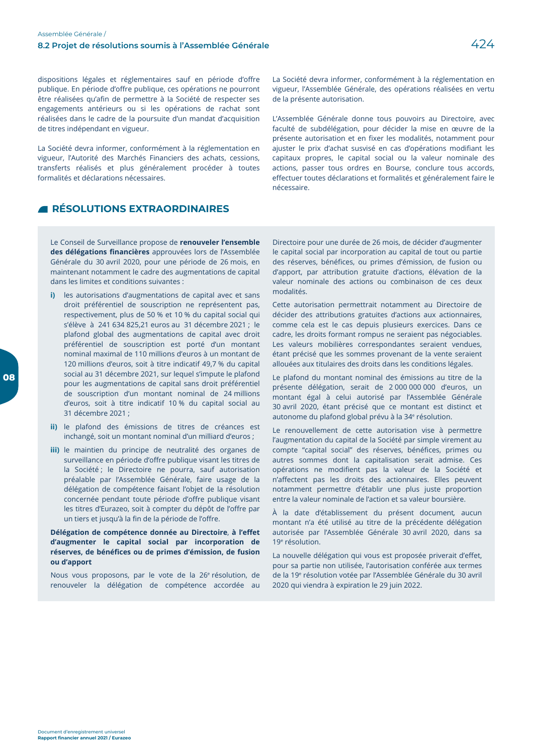dispositions légales et réglementaires sauf en période d'offre publique. En période d'offre publique, ces opérations ne pourront être réalisées qu'afin de permettre à la Société de respecter ses engagements antérieurs ou si les opérations de rachat sont réalisées dans le cadre de la poursuite d'un mandat d'acquisition de titres indépendant en vigueur.

La Société devra informer, conformément à la réglementation en vigueur, l'Autorité des Marchés Financiers des achats, cessions, transferts réalisés et plus généralement procéder à toutes formalités et déclarations nécessaires.

#### La Société devra informer, conformément à la réglementation en vigueur, l'Assemblée Générale, des opérations réalisées en vertu de la présente autorisation.

L'Assemblée Générale donne tous pouvoirs au Directoire, avec faculté de subdélégation, pour décider la mise en œuvre de la présente autorisation et en fixer les modalités, notamment pour ajuster le prix d'achat susvisé en cas d'opérations modifiant les capitaux propres, le capital social ou la valeur nominale des actions, passer tous ordres en Bourse, conclure tous accords, effectuer toutes déclarations et formalités et généralement faire le nécessaire

# **ENESOLUTIONS EXTRAORDINAIRES**

Le Conseil de Surveillance propose de renouveler l'ensemble des délégations financières approuvées lors de l'Assemblée Générale du 30 avril 2020, pour une période de 26 mois, en maintenant notamment le cadre des augmentations de capital dans les limites et conditions suivantes :

- i) les autorisations d'augmentations de capital avec et sans droit préférentiel de souscription ne représentent pas, respectivement, plus de 50 % et 10 % du capital social qui s'élève à 241 634 825,21 euros au 31 décembre 2021 ; le plafond global des augmentations de capital avec droit préférentiel de souscription est porté d'un montant nominal maximal de 110 millions d'euros à un montant de 120 millions d'euros, soit à titre indicatif 49,7 % du capital social au 31 décembre 2021, sur lequel s'impute le plafond pour les augmentations de capital sans droit préférentiel de souscription d'un montant nominal de 24 millions d'euros, soit à titre indicatif 10 % du capital social au 31 décembre 2021 ;
- ii) le plafond des émissions de titres de créances est inchangé, soit un montant nominal d'un milliard d'euros ;
- iii) le maintien du principe de neutralité des organes de surveillance en période d'offre publique visant les titres de la Société; le Directoire ne pourra, sauf autorisation préalable par l'Assemblée Générale, faire usage de la délégation de compétence faisant l'objet de la résolution concernée pendant toute période d'offre publique visant les titres d'Eurazeo, soit à compter du dépôt de l'offre par un tiers et jusqu'à la fin de la période de l'offre.

Délégation de compétence donnée au Directoire, à l'effet d'augmenter le capital social par incorporation de réserves, de bénéfices ou de primes d'émission, de fusion ou d'apport

Nous vous proposons, par le vote de la 26<sup>e</sup> résolution, de renouveler la délégation de compétence accordée au Directoire pour une durée de 26 mois, de décider d'augmenter le capital social par incorporation au capital de tout ou partie des réserves, bénéfices, ou primes d'émission, de fusion ou d'apport, par attribution gratuite d'actions, élévation de la valeur nominale des actions ou combinaison de ces deux modalités.

Cette autorisation permettrait notamment au Directoire de décider des attributions gratuites d'actions aux actionnaires, comme cela est le cas depuis plusieurs exercices. Dans ce cadre, les droits formant rompus ne seraient pas négociables. Les valeurs mobilières correspondantes seraient vendues, étant précisé que les sommes provenant de la vente seraient allouées aux titulaires des droits dans les conditions légales.

Le plafond du montant nominal des émissions au titre de la présente délégation, serait de 2000 000 000 d'euros, un montant égal à celui autorisé par l'Assemblée Générale 30 avril 2020, étant précisé que ce montant est distinct et autonome du plafond global prévu à la 34<sup>e</sup> résolution.

Le renouvellement de cette autorisation vise à permettre l'augmentation du capital de la Société par simple virement au compte "capital social" des réserves, bénéfices, primes ou autres sommes dont la capitalisation serait admise. Ces opérations ne modifient pas la valeur de la Société et n'affectent pas les droits des actionnaires. Elles peuvent notamment permettre d'établir une plus juste proportion entre la valeur nominale de l'action et sa valeur boursière.

À la date d'établissement du présent document, aucun montant n'a été utilisé au titre de la précédente délégation autorisée par l'Assemblée Générale 30 avril 2020, dans sa 19<sup>e</sup> résolution.

La nouvelle délégation qui vous est proposée priverait d'effet. pour sa partie non utilisée, l'autorisation conférée aux termes de la 19<sup>e</sup> résolution votée par l'Assemblée Générale du 30 avril 2020 qui viendra à expiration le 29 juin 2022.

08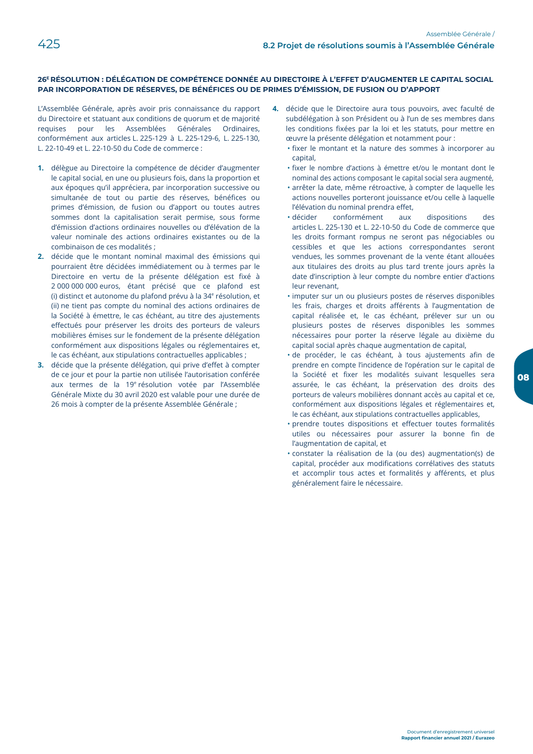### 26<sup>E</sup> RÉSOLUTION : DÉLÉGATION DE COMPÉTENCE DONNÉE AU DIRECTOIRE À L'EFFET D'AUGMENTER LE CAPITAL SOCIAL PAR INCORPORATION DE RÉSERVES, DE BÉNÉFICES OU DE PRIMES D'ÉMISSION, DE FUSION OU D'APPORT

L'Assemblée Générale, après avoir pris connaissance du rapport du Directoire et statuant aux conditions de quorum et de majorité requises pour les Assemblées Générales Ordinaires, conformément aux articles L. 225-129 à L. 225-129-6, L. 225-130, L. 22-10-49 et L. 22-10-50 du Code de commerce :

- 1. délègue au Directoire la compétence de décider d'augmenter le capital social, en une ou plusieurs fois, dans la proportion et aux époques qu'il appréciera, par incorporation successive ou simultanée de tout ou partie des réserves, bénéfices ou primes d'émission, de fusion ou d'apport ou toutes autres sommes dont la capitalisation serait permise, sous forme d'émission d'actions ordinaires nouvelles ou d'élévation de la valeur nominale des actions ordinaires existantes ou de la combinaison de ces modalités :
- 2. décide que le montant nominal maximal des émissions qui pourraient être décidées immédiatement ou à termes par le Directoire en vertu de la présente délégation est fixé à 2 000 000 000 euros, étant précisé que ce plafond est (i) distinct et autonome du plafond prévu à la 34<sup>e</sup> résolution, et (ii) ne tient pas compte du nominal des actions ordinaires de la Société à émettre, le cas échéant, au titre des ajustements effectués pour préserver les droits des porteurs de valeurs mobilières émises sur le fondement de la présente délégation conformément aux dispositions légales ou réglementaires et, le cas échéant, aux stipulations contractuelles applicables ;
- 3. décide que la présente délégation, qui prive d'effet à compter de ce jour et pour la partie non utilisée l'autorisation conférée aux termes de la 19<sup>e</sup> résolution votée par l'Assemblée Générale Mixte du 30 avril 2020 est valable pour une durée de 26 mois à compter de la présente Assemblée Générale ;
- 4. décide que le Directoire aura tous pouvoirs, avec faculté de subdélégation à son Président ou à l'un de ses membres dans les conditions fixées par la loi et les statuts, pour mettre en œuvre la présente délégation et notamment pour :
	- · fixer le montant et la nature des sommes à incorporer au capital.
	- · fixer le nombre d'actions à émettre et/ou le montant dont le nominal des actions composant le capital social sera augmenté, · arrêter la date, même rétroactive, à compter de laquelle les actions nouvelles porteront jouissance et/ou celle à laquelle l'élévation du nominal prendra effet,
	- · décider conformément aux dispositions des. articles L. 225-130 et L. 22-10-50 du Code de commerce que les droits formant rompus ne seront pas négociables ou cessibles et que les actions correspondantes seront vendues, les sommes provenant de la vente étant allouées aux titulaires des droits au plus tard trente jours après la date d'inscription à leur compte du nombre entier d'actions leur revenant,
	- · imputer sur un ou plusieurs postes de réserves disponibles les frais, charges et droits afférents à l'augmentation de capital réalisée et, le cas échéant, prélever sur un ou plusieurs postes de réserves disponibles les sommes nécessaires pour porter la réserve légale au dixième du capital social après chaque augmentation de capital,
	- · de procéder, le cas échéant, à tous ajustements afin de prendre en compte l'incidence de l'opération sur le capital de la Société et fixer les modalités suivant lesquelles sera assurée, le cas échéant, la préservation des droits des porteurs de valeurs mobilières donnant accès au capital et ce, conformément aux dispositions légales et réglementaires et, le cas échéant, aux stipulations contractuelles applicables,
	- · prendre toutes dispositions et effectuer toutes formalités utiles ou nécessaires pour assurer la bonne fin de l'augmentation de capital, et
	- · constater la réalisation de la (ou des) augmentation(s) de capital, procéder aux modifications corrélatives des statuts et accomplir tous actes et formalités y afférents, et plus généralement faire le nécessaire.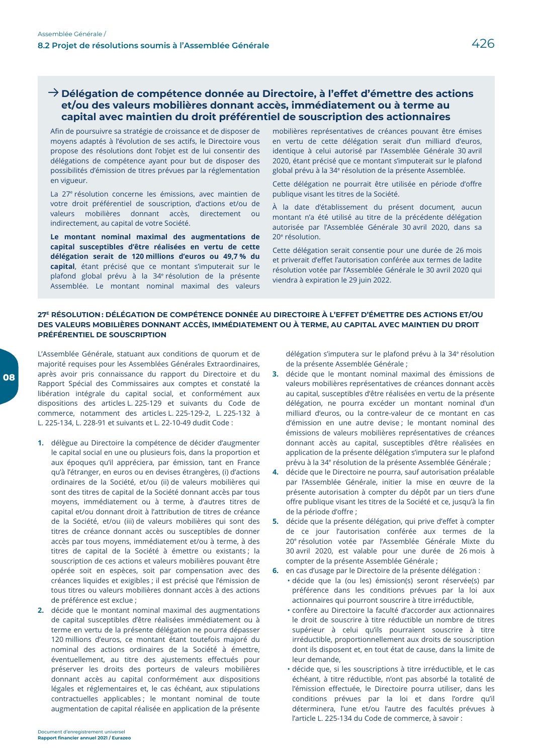## $\rightarrow$  Délégation de compétence donnée au Directoire, à l'effet d'émettre des actions et/ou des valeurs mobilières donnant accès, immédiatement ou à terme au capital avec maintien du droit préférentiel de souscription des actionnaires

Afin de poursuivre sa stratégie de croissance et de disposer de moyens adaptés à l'évolution de ses actifs, le Directoire vous propose des résolutions dont l'objet est de lui consentir des délégations de compétence ayant pour but de disposer des possibilités d'émission de titres prévues par la réglementation en vigueur.

La 27<sup>e</sup> résolution concerne les émissions, avec maintien de votre droit préférentiel de souscription, d'actions et/ou de valeurs mobilières donnant accès, directement ou indirectement, au capital de votre Société.

Le montant nominal maximal des augmentations de capital susceptibles d'être réalisées en vertu de cette délégation serait de 120 millions d'euros ou 49,7 % du capital, étant précisé que ce montant s'imputerait sur le plafond global prévu à la 34<sup>e</sup> résolution de la présente Assemblée. Le montant nominal maximal des valeurs

mobilières représentatives de créances pouvant être émises en vertu de cette délégation serait d'un milliard d'euros, identique à celui autorisé par l'Assemblée Générale 30 avril 2020, étant précisé que ce montant s'imputerait sur le plafond global prévu à la 34<sup>e</sup> résolution de la présente Assemblée.

Cette délégation ne pourrait être utilisée en période d'offre publique visant les titres de la Société.

À la date d'établissement du présent document, aucun montant n'a été utilisé au titre de la précédente délégation autorisée par l'Assemblée Générale 30 avril 2020, dans sa 20<sup>e</sup> résolution.

Cette délégation serait consentie pour une durée de 26 mois et priverait d'effet l'autorisation conférée aux termes de ladite résolution votée par l'Assemblée Générale le 30 avril 2020 qui viendra à expiration le 29 juin 2022.

#### 27<sup>E</sup> RÉSOLUTION: DÉLÉGATION DE COMPÉTENCE DONNÉE AU DIRECTOIRE À L'EFFET D'ÉMETTRE DES ACTIONS ET/OU DES VALEURS MOBILIÈRES DONNANT ACCÈS, IMMÉDIATEMENT OU À TERME, AU CAPITAL AVEC MAINTIEN DU DROIT PRÉFÉRENTIEL DE SOUSCRIPTION

L'Assemblée Générale, statuant aux conditions de quorum et de majorité requises pour les Assemblées Générales Extraordinaires, après avoir pris connaissance du rapport du Directoire et du Rapport Spécial des Commissaires aux comptes et constaté la libération intégrale du capital social, et conformément aux dispositions des articles L. 225-129 et suivants du Code de commerce, notamment des articles L. 225-129-2, L. 225-132 à L. 225-134, L. 228-91 et suivants et L. 22-10-49 dudit Code :

- 1. délègue au Directoire la compétence de décider d'augmenter le capital social en une ou plusieurs fois, dans la proportion et aux époques qu'il appréciera, par émission, tant en France qu'à l'étranger, en euros ou en devises étrangères, (i) d'actions ordinaires de la Société, et/ou (ii) de valeurs mobilières qui sont des titres de capital de la Société donnant accès par tous moyens, immédiatement ou à terme, à d'autres titres de capital et/ou donnant droit à l'attribution de titres de créance de la Société, et/ou (iii) de valeurs mobilières qui sont des titres de créance donnant accès ou susceptibles de donner accès par tous moyens, immédiatement et/ou à terme, à des titres de capital de la Société à émettre ou existants ; la souscription de ces actions et valeurs mobilières pouvant être opérée soit en espèces, soit par compensation avec des créances liquides et exigibles ; il est précisé que l'émission de tous titres ou valeurs mobilières donnant accès à des actions de préférence est exclue ;
- 2. décide que le montant nominal maximal des augmentations de capital susceptibles d'être réalisées immédiatement ou à terme en vertu de la présente délégation ne pourra dépasser 120 millions d'euros, ce montant étant toutefois majoré du nominal des actions ordinaires de la Société à émettre, éventuellement, au titre des ajustements effectués pour préserver les droits des porteurs de valeurs mobilières donnant accès au capital conformément aux dispositions légales et réglementaires et, le cas échéant, aux stipulations contractuelles applicables; le montant nominal de toute augmentation de capital réalisée en application de la présente

délégation s'imputera sur le plafond prévu à la 34<sup>e</sup> résolution de la présente Assemblée Générale ;

- 3. décide que le montant nominal maximal des émissions de valeurs mobilières représentatives de créances donnant accès au capital, susceptibles d'être réalisées en vertu de la présente délégation, ne pourra excéder un montant nominal d'un milliard d'euros, ou la contre-valeur de ce montant en cas d'émission en une autre devise ; le montant nominal des émissions de valeurs mobilières représentatives de créances donnant accès au capital, susceptibles d'être réalisées en application de la présente délégation s'imputera sur le plafond prévu à la 34<sup>e</sup> résolution de la présente Assemblée Générale ;
- 4. décide que le Directoire ne pourra, sauf autorisation préalable par l'Assemblée Générale, initier la mise en œuvre de la présente autorisation à compter du dépôt par un tiers d'une offre publique visant les titres de la Société et ce, jusqu'à la fin de la période d'offre ;
- 5. décide que la présente délégation, qui prive d'effet à compter de ce jour l'autorisation conférée aux termes de la 20<sup>e</sup> résolution votée par l'Assemblée Générale Mixte du 30 avril 2020, est valable pour une durée de 26 mois à compter de la présente Assemblée Générale :
- 6. en cas d'usage par le Directoire de la présente délégation : · décide que la (ou les) émission(s) seront réservée(s) par préférence dans les conditions prévues par la loi aux
	- actionnaires qui pourront souscrire à titre irréductible, · confère au Directoire la faculté d'accorder aux actionnaires le droit de souscrire à titre réductible un nombre de titres supérieur à celui qu'ils pourraient souscrire à titre irréductible, proportionnellement aux droits de souscription dont ils disposent et, en tout état de cause, dans la limite de leur demande,
	- · décide que, si les souscriptions à titre irréductible, et le cas échéant, à titre réductible, n'ont pas absorbé la totalité de l'émission effectuée, le Directoire pourra utiliser, dans les conditions prévues par la loi et dans l'ordre qu'il déterminera, l'une et/ou l'autre des facultés prévues à l'article L. 225-134 du Code de commerce, à savoir :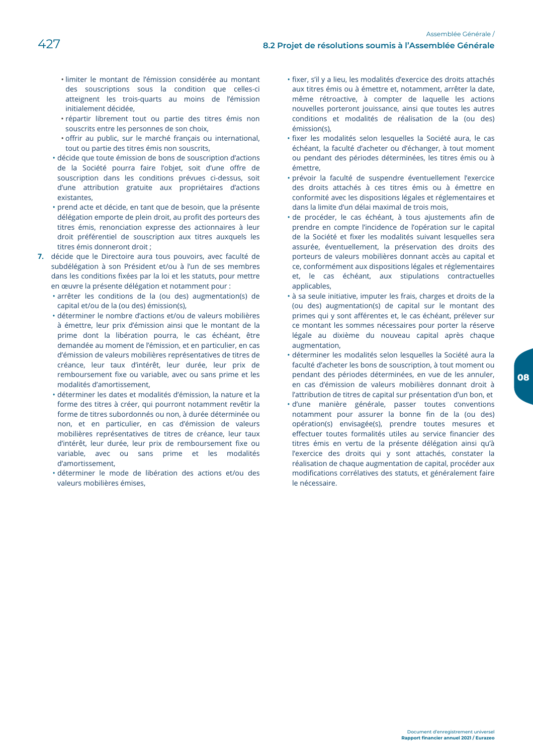- · limiter le montant de l'émission considérée au montant des souscriptions sous la condition que celles-ci atteignent les trois-quarts au moins de l'émission initialement décidée,
- · répartir librement tout ou partie des titres émis non souscrits entre les personnes de son choix,
- · offrir au public, sur le marché français ou international, tout ou partie des titres émis non souscrits,
- · décide que toute émission de bons de souscription d'actions de la Société pourra faire l'objet, soit d'une offre de souscription dans les conditions prévues ci-dessus, soit d'une attribution gratuite aux propriétaires d'actions existantes.
- · prend acte et décide, en tant que de besoin, que la présente délégation emporte de plein droit, au profit des porteurs des titres émis, renonciation expresse des actionnaires à leur droit préférentiel de souscription aux titres auxquels les titres émis donneront droit :
- 7. décide que le Directoire aura tous pouvoirs, avec faculté de subdélégation à son Président et/ou à l'un de ses membres dans les conditions fixées par la loi et les statuts, pour mettre en œuvre la présente délégation et notamment pour :
	- · arrêter les conditions de la (ou des) augmentation(s) de capital et/ou de la (ou des) émission(s),
	- · déterminer le nombre d'actions et/ou de valeurs mobilières à émettre, leur prix d'émission ainsi que le montant de la prime dont la libération pourra, le cas échéant, être demandée au moment de l'émission, et en particulier, en cas d'émission de valeurs mobilières représentatives de titres de créance, leur taux d'intérêt, leur durée, leur prix de remboursement fixe ou variable, avec ou sans prime et les modalités d'amortissement,
	- · déterminer les dates et modalités d'émission, la nature et la forme des titres à créer, qui pourront notamment revêtir la forme de titres subordonnés ou non, à durée déterminée ou non, et en particulier, en cas d'émission de valeurs mobilières représentatives de titres de créance, leur taux d'intérêt, leur durée, leur prix de remboursement fixe ou variable, avec ou sans prime et les modalités d'amortissement.
	- · déterminer le mode de libération des actions et/ou des valeurs mobilières émises.
- · fixer, s'il y a lieu, les modalités d'exercice des droits attachés aux titres émis ou à émettre et, notamment, arrêter la date, même rétroactive, à compter de laquelle les actions nouvelles porteront jouissance, ainsi que toutes les autres conditions et modalités de réalisation de la (ou des) émission(s),
- · fixer les modalités selon lesquelles la Société aura, le cas échéant, la faculté d'acheter ou d'échanger, à tout moment ou pendant des périodes déterminées, les titres émis ou à émettre,
- · prévoir la faculté de suspendre éventuellement l'exercice des droits attachés à ces titres émis ou à émettre en conformité avec les dispositions légales et réglementaires et dans la limite d'un délai maximal de trois mois,
- · de procéder, le cas échéant, à tous ajustements afin de prendre en compte l'incidence de l'opération sur le capital de la Société et fixer les modalités suivant lesquelles sera assurée, éventuellement, la préservation des droits des porteurs de valeurs mobilières donnant accès au capital et ce, conformément aux dispositions légales et réglementaires et, le cas échéant, aux stipulations contractuelles applicables,
- · à sa seule initiative, imputer les frais, charges et droits de la (ou des) augmentation(s) de capital sur le montant des primes qui y sont afférentes et, le cas échéant, prélever sur ce montant les sommes nécessaires pour porter la réserve légale au dixième du nouveau capital après chaque augmentation,
- · déterminer les modalités selon lesquelles la Société aura la faculté d'acheter les bons de souscription, à tout moment ou pendant des périodes déterminées, en vue de les annuler, en cas d'émission de valeurs mobilières donnant droit à l'attribution de titres de capital sur présentation d'un bon, et
- · d'une manière générale, passer toutes conventions notamment pour assurer la bonne fin de la (ou des) opération(s) envisagée(s), prendre toutes mesures et effectuer toutes formalités utiles au service financier des titres émis en vertu de la présente délégation ainsi qu'à l'exercice des droits qui y sont attachés, constater la réalisation de chaque augmentation de capital, procéder aux modifications corrélatives des statuts, et généralement faire le nécessaire.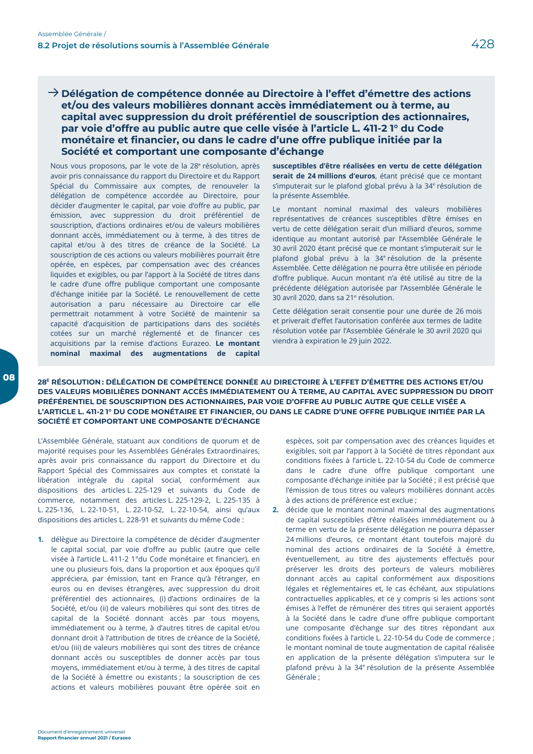$\rightarrow$  Délégation de compétence donnée au Directoire à l'effet d'émettre des actions et/ou des valeurs mobilières donnant accès immédiatement ou à terme, au capital avec suppression du droit préférentiel de souscription des actionnaires, par voie d'offre au public autre que celle visée à l'article L. 411-2 l° du Code monétaire et financier, ou dans le cadre d'une offre publique initiée par la Société et comportant une composante d'échange

Nous vous proposons, par le vote de la 28<sup>e</sup> résolution, après avoir pris connaissance du rapport du Directoire et du Rapport Spécial du Commissaire aux comptes, de renouveler la délégation de compétence accordée au Directoire, pour décider d'augmenter le capital, par voie d'offre au public, par émission, avec suppression du droit préférentiel de souscription, d'actions ordinaires et/ou de valeurs mobilières donnant accès, immédiatement ou à terme, à des titres de capital et/ou à des titres de créance de la Société. La souscription de ces actions ou valeurs mobilières pourrait être opérée, en espèces, par compensation avec des créances liquides et exigibles, ou par l'apport à la Société de titres dans le cadre d'une offre publique comportant une composante d'échange initiée par la Société. Le renouvellement de cette autorisation a paru nécessaire au Directoire car elle permettrait notamment à votre Société de maintenir sa capacité d'acquisition de participations dans des sociétés cotées sur un marché réglementé et de financer ces acquisitions par la remise d'actions Eurazeo. Le montant nominal maximal des augmentations de capital

susceptibles d'être réalisées en vertu de cette délégation serait de 24 millions d'euros, étant précisé que ce montant s'imputerait sur le plafond global prévu à la 34<sup>e</sup> résolution de la présente Assemblée.

Le montant nominal maximal des valeurs mobilières représentatives de créances susceptibles d'être émises en vertu de cette délégation serait d'un milliard d'euros, somme identique au montant autorisé par l'Assemblée Générale le 30 avril 2020 étant précisé que ce montant s'imputerait sur le plafond global prévu à la 34<sup>e</sup> résolution de la présente Assemblée. Cette délégation ne pourra être utilisée en période d'offre publique. Aucun montant n'a été utilisé au titre de la précédente délégation autorisée par l'Assemblée Générale le 30 avril 2020, dans sa 21<sup>e</sup> résolution.

Cette délégation serait consentie pour une durée de 26 mois et priverait d'effet l'autorisation conférée aux termes de ladite résolution votée par l'Assemblée Générale le 30 avril 2020 qui viendra à expiration le 29 juin 2022.

28<sup>E</sup> RÉSOLUTION: DÉLÉGATION DE COMPÉTENCE DONNÉE AU DIRECTOIRE À L'EFFET D'ÉMETTRE DES ACTIONS ET/OU DES VALEURS MOBILIÈRES DONNANT ACCÈS IMMÉDIATEMENT OU À TERME, AU CAPITAL AVEC SUPPRESSION DU DROIT PRÉFÉRENTIEL DE SOUSCRIPTION DES ACTIONNAIRES, PAR VOIE D'OFFRE AU PUBLIC AUTRE QUE CELLE VISÉE A L'ARTICLE L. 411-2 1° DU CODE MONÉTAIRE ET FINANCIER, OU DANS LE CADRE D'UNE OFFRE PUBLIQUE INITIÉE PAR LA SOCIÉTÉ ET COMPORTANT UNE COMPOSANTE D'ÉCHANGE

L'Assemblée Générale, statuant aux conditions de quorum et de majorité requises pour les Assemblées Générales Extraordinaires, après avoir pris connaissance du rapport du Directoire et du Rapport Spécial des Commissaires aux comptes et constaté la libération intégrale du capital social, conformément aux dispositions des articles L. 225-129 et suivants du Code de commerce, notamment des articles L. 225-129-2, L. 225-135 à L. 225-136, L. 22-10-51, L. 22-10-52, L. 22-10-54, ainsi qu'aux dispositions des articles L. 228-91 et suivants du même Code :

1. délègue au Directoire la compétence de décider d'augmenter le capital social, par voie d'offre au public (autre que celle visée à l'article L. 411-2 1°du Code monétaire et financier), en une ou plusieurs fois, dans la proportion et aux époques qu'il appréciera, par émission, tant en France qu'à l'étranger, en euros ou en devises étrangères, avec suppression du droit préférentiel des actionnaires, (i) d'actions ordinaires de la Société, et/ou (ii) de valeurs mobilières qui sont des titres de capital de la Société donnant accès par tous moyens, immédiatement ou à terme, à d'autres titres de capital et/ou donnant droit à l'attribution de titres de créance de la Société, et/ou (iii) de valeurs mobilières qui sont des titres de créance donnant accès ou susceptibles de donner accès par tous moyens, immédiatement et/ou à terme, à des titres de capital de la Société à émettre ou existants ; la souscription de ces actions et valeurs mobilières pouvant être opérée soit en

espèces, soit par compensation avec des créances liquides et exigibles, soit par l'apport à la Société de titres répondant aux conditions fixées à l'article L. 22-10-54 du Code de commerce dans le cadre d'une offre publique comportant une composante d'échange initiée par la Société ; il est précisé que l'émission de tous titres ou valeurs mobilières donnant accès à des actions de préférence est exclue ;

2. décide que le montant nominal maximal des augmentations de capital susceptibles d'être réalisées immédiatement ou à terme en vertu de la présente délégation ne pourra dépasser 24 millions d'euros, ce montant étant toutefois majoré du nominal des actions ordinaires de la Société à émettre, éventuellement, au titre des ajustements effectués pour préserver les droits des porteurs de valeurs mobilières donnant accès au capital conformément aux dispositions légales et réglementaires et, le cas échéant, aux stipulations contractuelles applicables, et ce y compris si les actions sont émises à l'effet de rémunérer des titres qui seraient apportés à la Société dans le cadre d'une offre publique comportant une composante d'échange sur des titres répondant aux conditions fixées à l'article L. 22-10-54 du Code de commerce ; le montant nominal de toute augmentation de capital réalisée en application de la présente délégation s'imputera sur le plafond prévu à la 34<sup>e</sup> résolution de la présente Assemblée Générale :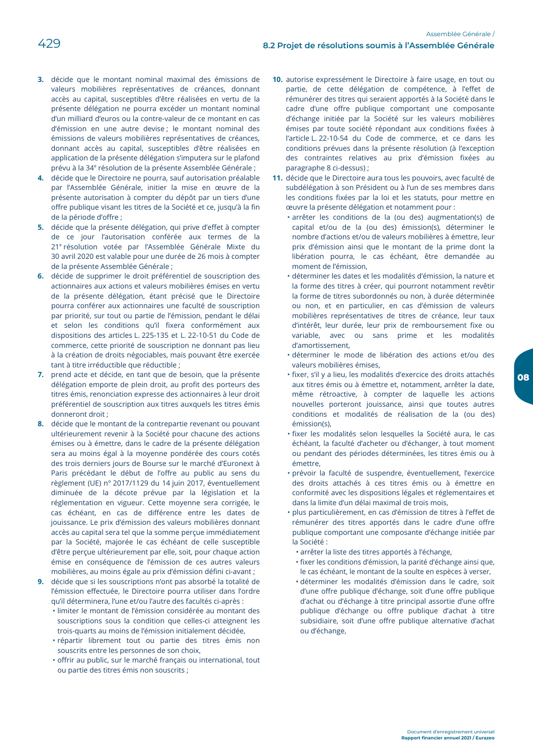- 3. décide que le montant nominal maximal des émissions de valeurs mobilières représentatives de créances, donnant accès au capital, susceptibles d'être réalisées en vertu de la présente délégation ne pourra excéder un montant nominal d'un milliard d'euros ou la contre-valeur de ce montant en cas d'émission en une autre devise ; le montant nominal des émissions de valeurs mobilières représentatives de créances, donnant accès au capital, susceptibles d'être réalisées en application de la présente délégation s'imputera sur le plafond prévu à la 34<sup>e</sup> résolution de la présente Assemblée Générale ;
- 4. décide que le Directoire ne pourra, sauf autorisation préalable par l'Assemblée Générale, initier la mise en œuvre de la présente autorisation à compter du dépôt par un tiers d'une offre publique visant les titres de la Société et ce, jusqu'à la fin de la période d'offre :
- 5. décide que la présente délégation, qui prive d'effet à compter de ce jour l'autorisation conférée aux termes de la 21<sup>e</sup> résolution votée par l'Assemblée Générale Mixte du 30 avril 2020 est valable pour une durée de 26 mois à compter de la présente Assemblée Générale ;
- 6. décide de supprimer le droit préférentiel de souscription des actionnaires aux actions et valeurs mobilières émises en vertu de la présente délégation, étant précisé que le Directoire pourra conférer aux actionnaires une faculté de souscription par priorité, sur tout ou partie de l'émission, pendant le délai et selon les conditions qu'il fixera conformément aux dispositions des articles L. 225-135 et L. 22-10-51 du Code de commerce, cette priorité de souscription ne donnant pas lieu à la création de droits négociables, mais pouvant être exercée tant à titre irréductible que réductible :
- 7. prend acte et décide, en tant que de besoin, que la présente délégation emporte de plein droit, au profit des porteurs des titres émis, renonciation expresse des actionnaires à leur droit préférentiel de souscription aux titres auxquels les titres émis donneront droit;
- 8. décide que le montant de la contrepartie revenant ou pouvant ultérieurement revenir à la Société pour chacune des actions émises ou à émettre, dans le cadre de la présente délégation sera au moins égal à la moyenne pondérée des cours cotés des trois derniers jours de Bourse sur le marché d'Euronext à Paris précédant le début de l'offre au public au sens du règlement (UE) n° 2017/1129 du 14 juin 2017, éventuellement diminuée de la décote prévue par la législation et la réglementation en vigueur. Cette moyenne sera corrigée, le cas échéant, en cas de différence entre les dates de jouissance. Le prix d'émission des valeurs mobilières donnant accès au capital sera tel que la somme perçue immédiatement par la Société, majorée le cas échéant de celle susceptible d'être perçue ultérieurement par elle, soit, pour chaque action émise en conséquence de l'émission de ces autres valeurs mobilières, au moins égale au prix d'émission défini ci-avant ;
- 9. décide que si les souscriptions n'ont pas absorbé la totalité de l'émission effectuée, le Directoire pourra utiliser dans l'ordre qu'il déterminera. l'une et/ou l'autre des facultés ci-après :
	- · limiter le montant de l'émission considérée au montant des souscriptions sous la condition que celles-ci atteignent les trois-quarts au moins de l'émission initialement décidée,
	- · répartir librement tout ou partie des titres émis non souscrits entre les personnes de son choix,
	- · offrir au public, sur le marché français ou international, tout ou partie des titres émis non souscrits ;
- 10. autorise expressément le Directoire à faire usage, en tout ou partie, de cette délégation de compétence, à l'effet de rémunérer des titres qui seraient apportés à la Société dans le cadre d'une offre publique comportant une composante d'échange initiée par la Société sur les valeurs mobilières émises par toute société répondant aux conditions fixées à l'article L. 22-10-54 du Code de commerce, et ce dans les conditions prévues dans la présente résolution (à l'exception des contraintes relatives au prix d'émission fixées au paragraphe 8 ci-dessus);
- 11. décide que le Directoire aura tous les pouvoirs, avec faculté de subdélégation à son Président ou à l'un de ses membres dans les conditions fixées par la loi et les statuts, pour mettre en œuvre la présente délégation et notamment pour :
	- · arrêter les conditions de la (ou des) augmentation(s) de capital et/ou de la (ou des) émission(s), déterminer le nombre d'actions et/ou de valeurs mobilières à émettre, leur prix d'émission ainsi que le montant de la prime dont la libération pourra, le cas échéant, être demandée au moment de l'émission,
	- · déterminer les dates et les modalités d'émission, la nature et la forme des titres à créer, qui pourront notamment revêtir la forme de titres subordonnés ou non, à durée déterminée ou non, et en particulier, en cas d'émission de valeurs mobilières représentatives de titres de créance, leur taux d'intérêt, leur durée, leur prix de remboursement fixe ou variable, avec ou sans prime et les modalités d'amortissement
	- · déterminer le mode de libération des actions et/ou des valeurs mobilières émises.
	- · fixer, s'il y a lieu, les modalités d'exercice des droits attachés aux titres émis ou à émettre et, notamment, arrêter la date, même rétroactive, à compter de laquelle les actions nouvelles porteront jouissance, ainsi que toutes autres conditions et modalités de réalisation de la (ou des)  $émission(s)$
	- · fixer les modalités selon lesquelles la Société aura, le cas échéant, la faculté d'acheter ou d'échanger, à tout moment ou pendant des périodes déterminées, les titres émis ou à émettre
	- · prévoir la faculté de suspendre, éventuellement, l'exercice des droits attachés à ces titres émis ou à émettre en conformité avec les dispositions légales et réglementaires et dans la limite d'un délai maximal de trois mois,
	- · plus particulièrement, en cas d'émission de titres à l'effet de rémunérer des titres apportés dans le cadre d'une offre publique comportant une composante d'échange initiée par la Société :
		- · arrêter la liste des titres apportés à l'échange,
		- · fixer les conditions d'émission, la parité d'échange ainsi que, le cas échéant, le montant de la soulte en espèces à verser,
		- · déterminer les modalités d'émission dans le cadre, soit d'une offre publique d'échange, soit d'une offre publique d'achat ou d'échange à titre principal assortie d'une offre publique d'échange ou offre publique d'achat à titre subsidiaire, soit d'une offre publique alternative d'achat ou d'échange,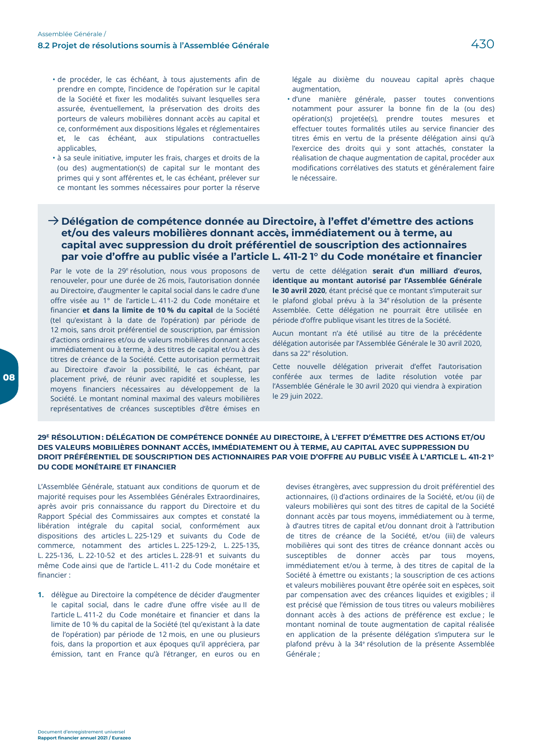- · de procéder, le cas échéant, à tous ajustements afin de prendre en compte, l'incidence de l'opération sur le capital de la Société et fixer les modalités suivant lesquelles sera assurée, éventuellement, la préservation des droits des porteurs de valeurs mobilières donnant accès au capital et ce, conformément aux dispositions légales et réglementaires et, le cas échéant, aux stipulations contractuelles applicables,
- · à sa seule initiative, imputer les frais, charges et droits de la (ou des) augmentation(s) de capital sur le montant des primes qui y sont afférentes et, le cas échéant, prélever sur ce montant les sommes nécessaires pour porter la réserve

légale au dixième du nouveau capital après chaque augmentation.

· d'une manière générale, passer toutes conventions notamment pour assurer la bonne fin de la (ou des) opération(s) projetée(s), prendre toutes mesures et effectuer toutes formalités utiles au service financier des titres émis en vertu de la présente délégation ainsi qu'à l'exercice des droits qui y sont attachés, constater la réalisation de chaque augmentation de capital, procéder aux modifications corrélatives des statuts et généralement faire le nécessaire.

## $\rightarrow$  Délégation de compétence donnée au Directoire, à l'effet d'émettre des actions et/ou des valeurs mobilières donnant accès, immédiatement ou à terme, au capital avec suppression du droit préférentiel de souscription des actionnaires par voie d'offre au public visée a l'article L. 411-2 1° du Code monétaire et financier

Par le vote de la 29<sup>e</sup> résolution, nous vous proposons de renouveler, pour une durée de 26 mois, l'autorisation donnée au Directoire, d'augmenter le capital social dans le cadre d'une offre visée au 1° de l'article L. 411-2 du Code monétaire et financier et dans la limite de 10 % du capital de la Société (tel qu'existant à la date de l'opération) par période de 12 mois, sans droit préférentiel de souscription, par émission d'actions ordinaires et/ou de valeurs mobilières donnant accès immédiatement ou à terme, à des titres de capital et/ou à des titres de créance de la Société. Cette autorisation permettrait au Directoire d'avoir la possibilité, le cas échéant, par placement privé, de réunir avec rapidité et souplesse, les moyens financiers nécessaires au développement de la Société. Le montant nominal maximal des valeurs mobilières représentatives de créances susceptibles d'être émises en

vertu de cette délégation serait d'un milliard d'euros. identique au montant autorisé par l'Assemblée Générale le 30 avril 2020, étant précisé que ce montant s'imputerait sur le plafond global prévu à la 34<sup>e</sup> résolution de la présente Assemblée. Cette délégation ne pourrait être utilisée en période d'offre publique visant les titres de la Société.

Aucun montant n'a été utilisé au titre de la précédente délégation autorisée par l'Assemblée Générale le 30 avril 2020, dans sa 22<sup>e</sup> résolution.

Cette nouvelle délégation priverait d'effet l'autorisation conférée aux termes de ladite résolution votée par l'Assemblée Générale le 30 avril 2020 qui viendra à expiration le 29 juin 2022.

#### 29<sup>E</sup> RÉSOLUTION: DÉLÉGATION DE COMPÉTENCE DONNÉE AU DIRECTOIRE. À L'EFFET D'ÉMETTRE DES ACTIONS ET/OU DES VALEURS MOBILIÈRES DONNANT ACCÈS. IMMÉDIATEMENT OU À TERME. AU CAPITAL AVEC SUPPRESSION DU DROIT PRÉFÉRENTIEL DE SOUSCRIPTION DES ACTIONNAIRES PAR VOIE D'OFFRE AU PUBLIC VISÉE À L'ARTICLE L. 411-2 1° DU CODE MONÉTAIRE ET FINANCIER

L'Assemblée Générale, statuant aux conditions de quorum et de majorité requises pour les Assemblées Générales Extraordinaires, après avoir pris connaissance du rapport du Directoire et du Rapport Spécial des Commissaires aux comptes et constaté la libération intégrale du capital social, conformément aux dispositions des articles L. 225-129 et suivants du Code de commerce, notamment des articles L. 225-129-2. L. 225-135. L. 225-136, L. 22-10-52 et des articles L. 228-91 et suivants du même Code ainsi que de l'article L. 411-2 du Code monétaire et financier ·

1. délègue au Directoire la compétence de décider d'augmenter le capital social, dans le cadre d'une offre visée au II de l'article L. 411-2 du Code monétaire et financier et dans la limite de 10 % du capital de la Société (tel qu'existant à la date de l'opération) par période de 12 mois, en une ou plusieurs fois, dans la proportion et aux époques qu'il appréciera, par émission, tant en France qu'à l'étranger, en euros ou en

devises étrangères, avec suppression du droit préférentiel des actionnaires, (i) d'actions ordinaires de la Société, et/ou (ii) de valeurs mobilières qui sont des titres de capital de la Société donnant accès par tous moyens, immédiatement ou à terme, à d'autres titres de capital et/ou donnant droit à l'attribution de titres de créance de la Société, et/ou (iii) de valeurs mobilières qui sont des titres de créance donnant accès ou susceptibles de donner accès par tous movens. immédiatement et/ou à terme, à des titres de capital de la Société à émettre ou existants ; la souscription de ces actions et valeurs mobilières pouvant être opérée soit en espèces, soit par compensation avec des créances liquides et exigibles ; il est précisé que l'émission de tous titres ou valeurs mobilières donnant accès à des actions de préférence est exclue; le montant nominal de toute augmentation de capital réalisée en application de la présente délégation s'imputera sur le plafond prévu à la 34<sup>e</sup> résolution de la présente Assemblée Générale ·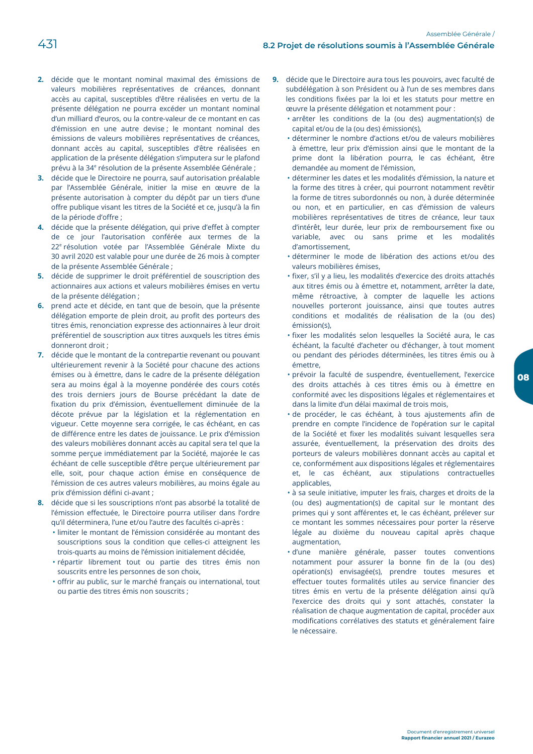- 2. décide que le montant nominal maximal des émissions de valeurs mobilières représentatives de créances, donnant accès au capital, susceptibles d'être réalisées en vertu de la présente délégation ne pourra excéder un montant nominal d'un milliard d'euros, ou la contre-valeur de ce montant en cas d'émission en une autre devise ; le montant nominal des émissions de valeurs mobilières représentatives de créances, donnant accès au capital, susceptibles d'être réalisées en application de la présente délégation s'imputera sur le plafond prévu à la 34<sup>e</sup> résolution de la présente Assemblée Générale ;
- 3. décide que le Directoire ne pourra, sauf autorisation préalable par l'Assemblée Générale, initier la mise en œuvre de la présente autorisation à compter du dépôt par un tiers d'une offre publique visant les titres de la Société et ce, jusqu'à la fin de la période d'offre :
- 4. décide que la présente délégation, qui prive d'effet à compter de ce jour l'autorisation conférée aux termes de la 22<sup>e</sup> résolution votée par l'Assemblée Générale Mixte du 30 avril 2020 est valable pour une durée de 26 mois à compter de la présente Assemblée Générale ;
- 5. décide de supprimer le droit préférentiel de souscription des actionnaires aux actions et valeurs mobilières émises en vertu de la présente délégation ;
- 6. prend acte et décide, en tant que de besoin, que la présente délégation emporte de plein droit, au profit des porteurs des titres émis, renonciation expresse des actionnaires à leur droit préférentiel de souscription aux titres auxquels les titres émis donneront droit ;
- 7. décide que le montant de la contrepartie revenant ou pouvant ultérieurement revenir à la Société pour chacune des actions émises ou à émettre, dans le cadre de la présente délégation sera au moins égal à la moyenne pondérée des cours cotés des trois derniers jours de Bourse précédant la date de fixation du prix d'émission, éventuellement diminuée de la décote prévue par la législation et la réglementation en vigueur. Cette moyenne sera corrigée, le cas échéant, en cas de différence entre les dates de jouissance. Le prix d'émission des valeurs mobilières donnant accès au capital sera tel que la somme perçue immédiatement par la Société, majorée le cas échéant de celle susceptible d'être perçue ultérieurement par elle, soit, pour chaque action émise en conséquence de l'émission de ces autres valeurs mobilières, au moins égale au prix d'émission défini ci-avant ;
- 8. décide que si les souscriptions n'ont pas absorbé la totalité de l'émission effectuée, le Directoire pourra utiliser dans l'ordre qu'il déterminera, l'une et/ou l'autre des facultés ci-après :
	- · limiter le montant de l'émission considérée au montant des souscriptions sous la condition que celles-ci atteignent les trois-quarts au moins de l'émission initialement décidée,
	- · répartir librement tout ou partie des titres émis non souscrits entre les personnes de son choix,
	- · offrir au public, sur le marché français ou international, tout ou partie des titres émis non souscrits ;
- 9. décide que le Directoire aura tous les pouvoirs, avec faculté de subdélégation à son Président ou à l'un de ses membres dans les conditions fixées par la loi et les statuts pour mettre en œuvre la présente délégation et notamment pour :
	- · arrêter les conditions de la (ou des) augmentation(s) de capital et/ou de la (ou des) émission(s),
	- · déterminer le nombre d'actions et/ou de valeurs mobilières à émettre, leur prix d'émission ainsi que le montant de la prime dont la libération pourra, le cas échéant, être demandée au moment de l'émission,
	- · déterminer les dates et les modalités d'émission, la nature et la forme des titres à créer, qui pourront notamment revêtir la forme de titres subordonnés ou non, à durée déterminée ou non, et en particulier, en cas d'émission de valeurs mobilières représentatives de titres de créance, leur taux d'intérêt, leur durée, leur prix de remboursement fixe ou variable, avec ou sans prime et les modalités d'amortissement.
	- · déterminer le mode de libération des actions et/ou des valeurs mobilières émises,
	- · fixer, s'il y a lieu, les modalités d'exercice des droits attachés aux titres émis ou à émettre et, notamment, arrêter la date, même rétroactive, à compter de laquelle les actions nouvelles porteront jouissance, ainsi que toutes autres conditions et modalités de réalisation de la (ou des)  $émission(s)$
	- · fixer les modalités selon lesquelles la Société aura, le cas échéant, la faculté d'acheter ou d'échanger, à tout moment ou pendant des périodes déterminées, les titres émis ou à émettre
	- · prévoir la faculté de suspendre, éventuellement, l'exercice des droits attachés à ces titres émis ou à émettre en conformité avec les dispositions légales et réglementaires et dans la limite d'un délai maximal de trois mois,
	- · de procéder, le cas échéant, à tous ajustements afin de prendre en compte l'incidence de l'opération sur le capital de la Société et fixer les modalités suivant lesquelles sera assurée, éventuellement, la préservation des droits des porteurs de valeurs mobilières donnant accès au capital et ce, conformément aux dispositions légales et réglementaires et, le cas échéant, aux stipulations contractuelles applicables.
	- · à sa seule initiative, imputer les frais, charges et droits de la (ou des) augmentation(s) de capital sur le montant des primes qui y sont afférentes et, le cas échéant, prélever sur ce montant les sommes nécessaires pour porter la réserve légale au dixième du nouveau capital après chaque augmentation,
	- · d'une manière générale, passer toutes conventions notamment pour assurer la bonne fin de la (ou des) opération(s) envisagée(s), prendre toutes mesures et effectuer toutes formalités utiles au service financier des titres émis en vertu de la présente délégation ainsi qu'à l'exercice des droits qui y sont attachés, constater la réalisation de chaque augmentation de capital, procéder aux modifications corrélatives des statuts et généralement faire le nécessaire.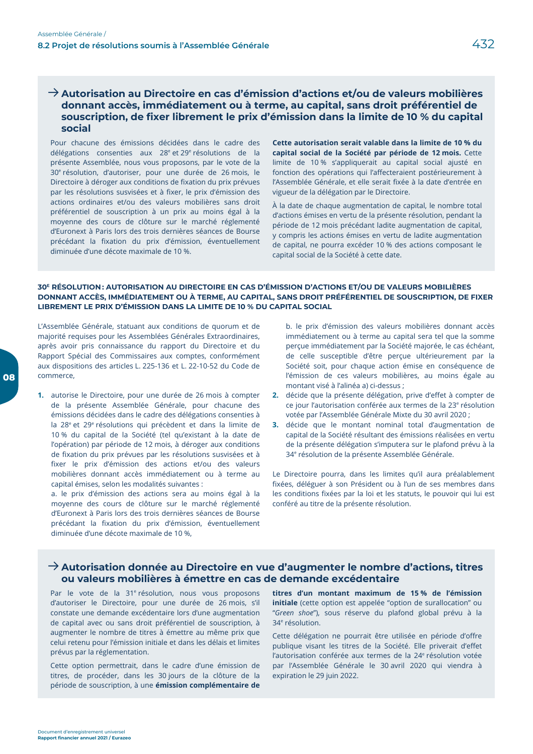## $\rightarrow$  Autorisation au Directoire en cas d'émission d'actions et/ou de valeurs mobilières donnant accès, immédiatement ou à terme, au capital, sans droit préférentiel de souscription, de fixer librement le prix d'émission dans la limite de 10 % du capital social

Pour chacune des émissions décidées dans le cadre des délégations consenties aux 28<sup>e</sup> et 29<sup>e</sup> résolutions de la présente Assemblée, nous vous proposons, par le vote de la 30<sup>e</sup> résolution, d'autoriser, pour une durée de 26 mois, le Directoire à déroger aux conditions de fixation du prix prévues par les résolutions susvisées et à fixer, le prix d'émission des actions ordinaires et/ou des valeurs mobilières sans droit préférentiel de souscription à un prix au moins égal à la moyenne des cours de clôture sur le marché réglementé d'Euronext à Paris lors des trois dernières séances de Bourse précédant la fixation du prix d'émission, éventuellement diminuée d'une décote maximale de 10 %.

Cette autorisation serait valable dans la limite de 10 % du capital social de la Société par période de 12 mois. Cette limite de 10% s'appliquerait au capital social ajusté en fonction des opérations qui l'affecteraient postérieurement à l'Assemblée Générale, et elle serait fixée à la date d'entrée en vigueur de la délégation par le Directoire.

À la date de chaque augmentation de capital, le nombre total d'actions émises en vertu de la présente résolution, pendant la période de 12 mois précédant ladite augmentation de capital, y compris les actions émises en vertu de ladite augmentation de capital, ne pourra excéder 10 % des actions composant le capital social de la Société à cette date.

#### 30<sup>E</sup> RÉSOLUTION: AUTORISATION AU DIRECTOIRE EN CAS D'ÉMISSION D'ACTIONS ET/OU DE VALEURS MOBILIÈRES DONNANT ACCÈS, IMMÉDIATEMENT OU À TERME, AU CAPITAL, SANS DROIT PRÉFÉRENTIEL DE SOUSCRIPTION, DE FIXER LIBREMENT LE PRIX D'ÉMISSION DANS LA LIMITE DE 10 % DU CAPITAL SOCIAL

L'Assemblée Générale, statuant aux conditions de quorum et de majorité requises pour les Assemblées Générales Extraordinaires, après avoir pris connaissance du rapport du Directoire et du Rapport Spécial des Commissaires aux comptes, conformément aux dispositions des articles L. 225-136 et L. 22-10-52 du Code de commerce

1. autorise le Directoire, pour une durée de 26 mois à compter de la présente Assemblée Générale, pour chacune des émissions décidées dans le cadre des délégations consenties à la 28<sup>e</sup> et 29<sup>e</sup> résolutions qui précèdent et dans la limite de 10 % du capital de la Société (tel qu'existant à la date de l'opération) par période de 12 mois, à déroger aux conditions de fixation du prix prévues par les résolutions susvisées et à fixer le prix d'émission des actions et/ou des valeurs mobilières donnant accès immédiatement ou à terme au capital émises, selon les modalités suivantes :

a. le prix d'émission des actions sera au moins égal à la moyenne des cours de clôture sur le marché réglementé d'Euronext à Paris lors des trois dernières séances de Bourse précédant la fixation du prix d'émission, éventuellement diminuée d'une décote maximale de 10 %,

b. le prix d'émission des valeurs mobilières donnant accès immédiatement ou à terme au capital sera tel que la somme perçue immédiatement par la Société majorée, le cas échéant, de celle susceptible d'être perçue ultérieurement par la Société soit, pour chaque action émise en conséquence de l'émission de ces valeurs mobilières, au moins égale au montant visé à l'alinéa a) ci-dessus ;

- 2. décide que la présente délégation, prive d'effet à compter de ce jour l'autorisation conférée aux termes de la 23<sup>e</sup> résolution votée par l'Assemblée Générale Mixte du 30 avril 2020 ;
- 3. décide que le montant nominal total d'augmentation de capital de la Société résultant des émissions réalisées en vertu de la présente délégation s'imputera sur le plafond prévu à la 34<sup>e</sup> résolution de la présente Assemblée Générale.

Le Directoire pourra, dans les limites qu'il aura préalablement fixées, déléguer à son Président ou à l'un de ses membres dans les conditions fixées par la loi et les statuts, le pouvoir qui lui est conféré au titre de la présente résolution.

## $\rightarrow$  Autorisation donnée au Directoire en vue d'augmenter le nombre d'actions, titres ou valeurs mobilières à émettre en cas de demande excédentaire

Par le vote de la 31<sup>e</sup> résolution, nous vous proposons d'autoriser le Directoire, pour une durée de 26 mois, s'il constate une demande excédentaire lors d'une augmentation de capital avec ou sans droit préférentiel de souscription, à augmenter le nombre de titres à émettre au même prix que celui retenu pour l'émission initiale et dans les délais et limites prévus par la réglementation.

Cette option permettrait, dans le cadre d'une émission de titres, de procéder, dans les 30 jours de la clôture de la période de souscription, à une émission complémentaire de

titres d'un montant maximum de 15 % de l'émission initiale (cette option est appelée "option de surallocation" ou "Green shoe"), sous réserve du plafond global prévu à la 34<sup>e</sup> résolution.

Cette délégation ne pourrait être utilisée en période d'offre publique visant les titres de la Société. Elle priverait d'effet l'autorisation conférée aux termes de la 24<sup>e</sup> résolution votée par l'Assemblée Générale le 30 avril 2020 qui viendra à expiration le 29 juin 2022.

08

Rapport financier annuel 2021 / Eurazed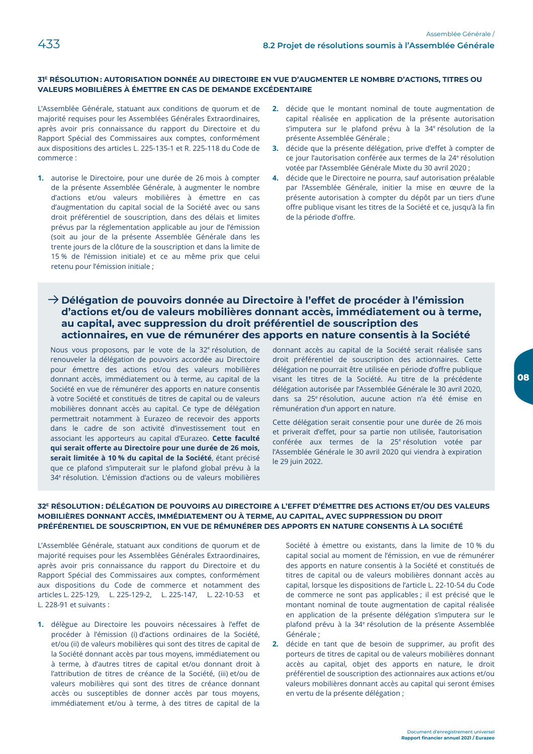## 31<sup>E</sup> RÉSOLUTION: AUTORISATION DONNÉE AU DIRECTOIRE EN VUE D'AUGMENTER LE NOMBRE D'ACTIONS, TITRES OU VALEURS MOBILIÈRES À ÉMETTRE EN CAS DE DEMANDE EXCÉDENTAIRE

L'Assemblée Générale, statuant aux conditions de quorum et de majorité requises pour les Assemblées Générales Extraordinaires, après avoir pris connaissance du rapport du Directoire et du Rapport Spécial des Commissaires aux comptes, conformément aux dispositions des articles L. 225-135-1 et R. 225-118 du Code de commerce:

- 1. autorise le Directoire, pour une durée de 26 mois à compter de la présente Assemblée Générale, à augmenter le nombre d'actions et/ou valeurs mobilières à émettre en cas d'augmentation du capital social de la Société avec ou sans droit préférentiel de souscription, dans des délais et limites prévus par la réglementation applicable au jour de l'émission (soit au jour de la présente Assemblée Générale dans les trente jours de la clôture de la souscription et dans la limite de 15 % de l'émission initiale) et ce au même prix que celui retenu pour l'émission initiale ;
- 2. décide que le montant nominal de toute augmentation de capital réalisée en application de la présente autorisation s'imputera sur le plafond prévu à la 34<sup>e</sup> résolution de la présente Assemblée Générale ;
- 3. décide que la présente délégation, prive d'effet à compter de ce jour l'autorisation conférée aux termes de la 24<sup>e</sup> résolution votée par l'Assemblée Générale Mixte du 30 avril 2020 ;
- 4. décide que le Directoire ne pourra, sauf autorisation préalable par l'Assemblée Générale, initier la mise en œuvre de la présente autorisation à compter du dépôt par un tiers d'une offre publique visant les titres de la Société et ce, jusqu'à la fin de la période d'offre.

## $\rightarrow$  Délégation de pouvoirs donnée au Directoire à l'effet de procéder à l'émission d'actions et/ou de valeurs mobilières donnant accès, immédiatement ou à terme, au capital, avec suppression du droit préférentiel de souscription des actionnaires, en vue de rémunérer des apports en nature consentis à la Société

Nous vous proposons, par le vote de la 32<sup>e</sup> résolution, de renouveler la délégation de pouvoirs accordée au Directoire pour émettre des actions et/ou des valeurs mobilières donnant accès, immédiatement ou à terme, au capital de la Société en vue de rémunérer des apports en nature consentis à votre Société et constitués de titres de capital ou de valeurs mobilières donnant accès au capital. Ce type de délégation permettrait notamment à Eurazeo de recevoir des apports dans le cadre de son activité d'investissement tout en associant les apporteurs au capital d'Eurazeo. Cette faculté qui serait offerte au Directoire pour une durée de 26 mois, serait limitée à 10 % du capital de la Société, étant précisé que ce plafond s'imputerait sur le plafond global prévu à la 34<sup>e</sup> résolution. L'émission d'actions ou de valeurs mobilières

donnant accès au capital de la Société serait réalisée sans droit préférentiel de souscription des actionnaires. Cette délégation ne pourrait être utilisée en période d'offre publique visant les titres de la Société. Au titre de la précédente délégation autorisée par l'Assemblée Générale le 30 avril 2020, dans sa 25<sup>e</sup> résolution, aucune action n'a été émise en rémunération d'un apport en nature.

Cette délégation serait consentie pour une durée de 26 mois et priverait d'effet, pour sa partie non utilisée, l'autorisation conférée aux termes de la 25<sup>e</sup> résolution votée par l'Assemblée Générale le 30 avril 2020 qui viendra à expiration le 29 juin 2022.

#### 32<sup>E</sup> RÉSOLUTION: DÉLÉGATION DE POUVOIRS AU DIRECTOIRE A L'EFFET D'ÉMETTRE DES ACTIONS ET/OU DES VALEURS MOBILIÈRES DONNANT ACCÈS, IMMÉDIATEMENT OU À TERME, AU CAPITAL, AVEC SUPPRESSION DU DROIT PRÉFÉRENTIEL DE SOUSCRIPTION, EN VUE DE RÉMUNÉRER DES APPORTS EN NATURE CONSENTIS À LA SOCIÉTÉ

L'Assemblée Générale, statuant aux conditions de quorum et de majorité requises pour les Assemblées Générales Extraordinaires. après avoir pris connaissance du rapport du Directoire et du Rapport Spécial des Commissaires aux comptes, conformément aux dispositions du Code de commerce et notamment des articles L. 225-129, L. 225-129-2, L. 225-147, L. 22-10-53 et L. 228-91 et suivants :

1. délègue au Directoire les pouvoirs nécessaires à l'effet de procéder à l'émission (i) d'actions ordinaires de la Société, et/ou (ii) de valeurs mobilières qui sont des titres de capital de la Société donnant accès par tous moyens, immédiatement ou à terme, à d'autres titres de capital et/ou donnant droit à l'attribution de titres de créance de la Société, (iii) et/ou de valeurs mobilières qui sont des titres de créance donnant accès ou susceptibles de donner accès par tous moyens, immédiatement et/ou à terme, à des titres de capital de la

Société à émettre ou existants, dans la limite de 10 % du capital social au moment de l'émission, en vue de rémunérer des apports en nature consentis à la Société et constitués de titres de capital ou de valeurs mobilières donnant accès au capital, lorsque les dispositions de l'article L. 22-10-54 du Code de commerce ne sont pas applicables ; il est précisé que le montant nominal de toute augmentation de capital réalisée en application de la présente délégation s'imputera sur le plafond prévu à la 34<sup>e</sup> résolution de la présente Assemblée Générale ;

2. décide en tant que de besoin de supprimer, au profit des porteurs de titres de capital ou de valeurs mobilières donnant accès au capital, objet des apports en nature, le droit préférentiel de souscription des actionnaires aux actions et/ou valeurs mobilières donnant accès au capital qui seront émises en vertu de la présente délégation ;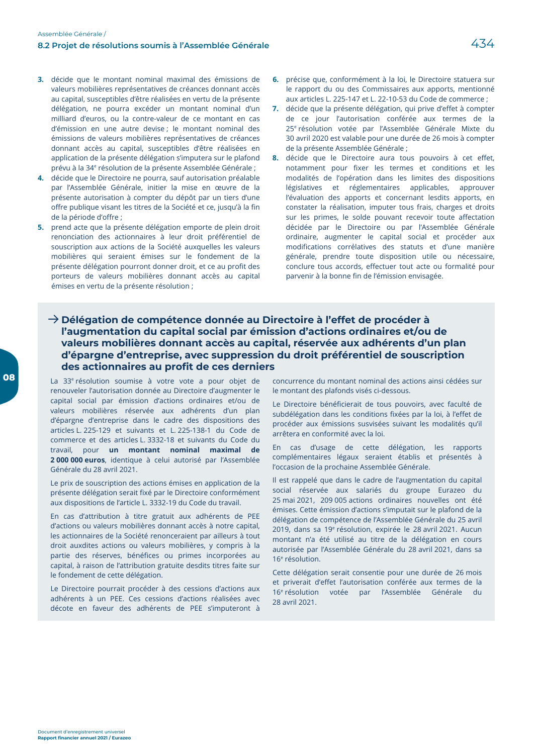- 3. décide que le montant nominal maximal des émissions de valeurs mobilières représentatives de créances donnant accès au capital, susceptibles d'être réalisées en vertu de la présente délégation, ne pourra excéder un montant nominal d'un milliard d'euros, ou la contre-valeur de ce montant en cas d'émission en une autre devise ; le montant nominal des émissions de valeurs mobilières représentatives de créances donnant accès au capital, susceptibles d'être réalisées en application de la présente délégation s'imputera sur le plafond prévu à la 34<sup>e</sup> résolution de la présente Assemblée Générale ;
- 4. décide que le Directoire ne pourra, sauf autorisation préalable par l'Assemblée Générale, initier la mise en œuvre de la présente autorisation à compter du dépôt par un tiers d'une offre publique visant les titres de la Société et ce, jusqu'à la fin de la période d'offre ;
- 5. prend acte que la présente délégation emporte de plein droit renonciation des actionnaires à leur droit préférentiel de souscription aux actions de la Société auxquelles les valeurs mobilières qui seraient émises sur le fondement de la présente délégation pourront donner droit, et ce au profit des porteurs de valeurs mobilières donnant accès au capital émises en vertu de la présente résolution ;
- 6. précise que, conformément à la loi, le Directoire statuera sur le rapport du ou des Commissaires aux apports, mentionné aux articles L. 225-147 et L. 22-10-53 du Code de commerce ;
- 7. décide que la présente délégation, qui prive d'effet à compter de ce jour l'autorisation conférée aux termes de la 25<sup>e</sup> résolution votée par l'Assemblée Générale Mixte du 30 avril 2020 est valable pour une durée de 26 mois à compter de la présente Assemblée Générale ;
- 8. décide que le Directoire aura tous pouvoirs à cet effet, notamment pour fixer les termes et conditions et les modalités de l'opération dans les limites des dispositions législatives et réglementaires applicables, approuver l'évaluation des apports et concernant lesdits apports, en constater la réalisation, imputer tous frais, charges et droits sur les primes, le solde pouvant recevoir toute affectation décidée par le Directoire ou par l'Assemblée Générale ordinaire, augmenter le capital social et procéder aux modifications corrélatives des statuts et d'une manière générale, prendre toute disposition utile ou nécessaire, conclure tous accords, effectuer tout acte ou formalité pour parvenir à la bonne fin de l'émission envisagée.

## $\rightarrow$  Délégation de compétence donnée au Directoire à l'effet de procéder à l'augmentation du capital social par émission d'actions ordinaires et/ou de valeurs mobilières donnant accès au capital, réservée aux adhérents d'un plan d'épargne d'entreprise, avec suppression du droit préférentiel de souscription des actionnaires au profit de ces derniers

La 33<sup>e</sup> résolution soumise à votre vote a pour objet de renouveler l'autorisation donnée au Directoire d'augmenter le capital social par émission d'actions ordinaires et/ou de valeurs mobilières réservée aux adhérents d'un plan d'épargne d'entreprise dans le cadre des dispositions des articles L. 225-129 et suivants et L. 225-138-1 du Code de commerce et des articles L. 3332-18 et suivants du Code du travail, pour un montant nominal maximal de 2 000 000 euros, identique à celui autorisé par l'Assemblée Générale du 28 avril 2021.

Le prix de souscription des actions émises en application de la présente délégation serait fixé par le Directoire conformément aux dispositions de l'article L. 3332-19 du Code du travail.

En cas d'attribution à titre gratuit aux adhérents de PEE d'actions ou valeurs mobilières donnant accès à notre capital, les actionnaires de la Société renonceraient par ailleurs à tout droit auxdites actions ou valeurs mobilières, y compris à la partie des réserves, bénéfices ou primes incorporées au capital, à raison de l'attribution gratuite desdits titres faite sur le fondement de cette délégation.

Le Directoire pourrait procéder à des cessions d'actions aux adhérents à un PEE. Ces cessions d'actions réalisées avec décote en faveur des adhérents de PEE s'imputeront à

concurrence du montant nominal des actions ainsi cédées sur le montant des plafonds visés ci-dessous.

Le Directoire bénéficierait de tous pouvoirs, avec faculté de subdélégation dans les conditions fixées par la loi, à l'effet de procéder aux émissions susvisées suivant les modalités qu'il arrêtera en conformité avec la loi.

En cas d'usage de cette délégation, les rapports complémentaires légaux seraient établis et présentés à l'occasion de la prochaine Assemblée Générale.

Il est rappelé que dans le cadre de l'augmentation du capital social réservée aux salariés du groupe Eurazeo du 25 mai 2021, 209 005 actions ordinaires nouvelles ont été émises. Cette émission d'actions s'imputait sur le plafond de la délégation de compétence de l'Assemblée Générale du 25 avril 2019, dans sa 19<sup>e</sup> résolution, expirée le 28 avril 2021. Aucun montant n'a été utilisé au titre de la délégation en cours autorisée par l'Assemblée Générale du 28 avril 2021, dans sa 16<sup>e</sup> résolution.

Cette délégation serait consentie pour une durée de 26 mois et priverait d'effet l'autorisation conférée aux termes de la 16<sup>e</sup> résolution votée par l'Assemblée Générale du 28 avril 2021.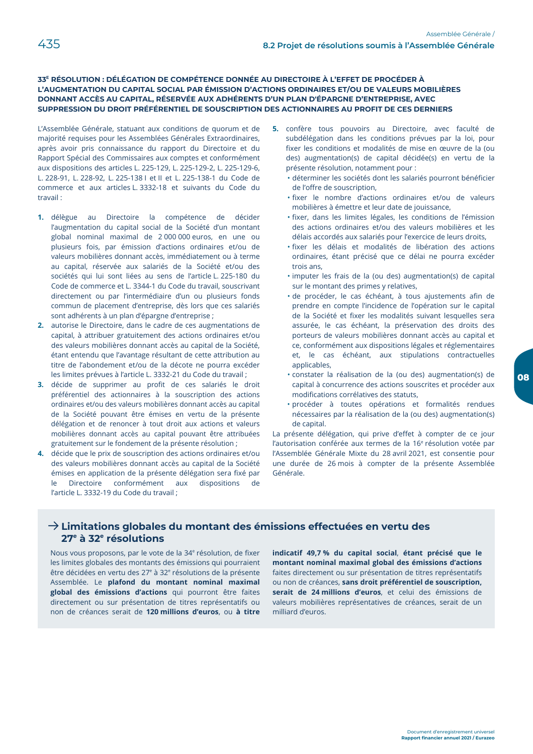#### 33<sup>E</sup> RÉSOLUTION : DÉLÉGATION DE COMPÉTENCE DONNÉE AU DIRECTOIRE À L'EFFET DE PROCÉDER À L'AUGMENTATION DU CAPITAL SOCIAL PAR ÉMISSION D'ACTIONS ORDINAIRES ET/OU DE VALEURS MOBILIÈRES DONNANT ACCÈS AU CAPITAL. RÉSERVÉE AUX ADHÉRENTS D'UN PLAN D'ÉPARGNE D'ENTREPRISE, AVEC SUPPRESSION DU DROIT PRÉFÉRENTIEL DE SOUSCRIPTION DES ACTIONNAIRES AU PROFIT DE CES DERNIERS

L'Assemblée Générale, statuant aux conditions de quorum et de majorité requises pour les Assemblées Générales Extraordinaires, après avoir pris connaissance du rapport du Directoire et du Rapport Spécial des Commissaires aux comptes et conformément aux dispositions des articles L. 225-129, L. 225-129-2, L. 225-129-6, L. 228-91, L. 228-92, L. 225-138 l et ll et L. 225-138-1 du Code de commerce et aux articles L. 3332-18 et suivants du Code du  $travail$ 

- 1. délègue au Directoire la compétence de décider l'augmentation du capital social de la Société d'un montant global nominal maximal de 2 000 000 euros, en une ou plusieurs fois, par émission d'actions ordinaires et/ou de valeurs mobilières donnant accès, immédiatement ou à terme au capital, réservée aux salariés de la Société et/ou des sociétés qui lui sont liées au sens de l'article L. 225-180 du Code de commerce et L. 3344-1 du Code du travail, souscrivant directement ou par l'intermédiaire d'un ou plusieurs fonds commun de placement d'entreprise, dès lors que ces salariés sont adhérents à un plan d'épargne d'entreprise ;
- 2. autorise le Directoire, dans le cadre de ces augmentations de capital, à attribuer gratuitement des actions ordinaires et/ou des valeurs mobilières donnant accès au capital de la Société, étant entendu que l'avantage résultant de cette attribution au titre de l'abondement et/ou de la décote ne pourra excéder les limites prévues à l'article L. 3332-21 du Code du travail ;
- 3. décide de supprimer au profit de ces salariés le droit préférentiel des actionnaires à la souscription des actions ordinaires et/ou des valeurs mobilières donnant accès au capital de la Société pouvant être émises en vertu de la présente délégation et de renoncer à tout droit aux actions et valeurs mobilières donnant accès au capital pouvant être attribuées gratuitement sur le fondement de la présente résolution ;
- 4. décide que le prix de souscription des actions ordinaires et/ou des valeurs mobilières donnant accès au capital de la Société émises en application de la présente délégation sera fixé par  $|e|$ Directoire conformément aux dispositions  $d\rho$ l'article L. 3332-19 du Code du travail ;
- 5. confère tous pouvoirs au Directoire, avec faculté de subdélégation dans les conditions prévues par la loi, pour fixer les conditions et modalités de mise en œuvre de la (ou des) augmentation(s) de capital décidée(s) en vertu de la présente résolution, notamment pour :
	- · déterminer les sociétés dont les salariés pourront bénéficier de l'offre de souscription,
	- · fixer le nombre d'actions ordinaires et/ou de valeurs mobilières à émettre et leur date de jouissance,
	- · fixer, dans les limites légales, les conditions de l'émission des actions ordinaires et/ou des valeurs mobilières et les délais accordés aux salariés pour l'exercice de leurs droits.
	- · fixer les délais et modalités de libération des actions ordinaires, étant précisé que ce délai ne pourra excéder trois ans,
	- · imputer les frais de la (ou des) augmentation(s) de capital sur le montant des primes y relatives,
	- · de procéder, le cas échéant, à tous ajustements afin de prendre en compte l'incidence de l'opération sur le capital de la Société et fixer les modalités suivant lesquelles sera assurée, le cas échéant, la préservation des droits des porteurs de valeurs mobilières donnant accès au capital et ce, conformément aux dispositions légales et réglementaires et, le cas échéant, aux stipulations contractuelles applicables.
	- · constater la réalisation de la (ou des) augmentation(s) de capital à concurrence des actions souscrites et procéder aux modifications corrélatives des statuts,
	- · procéder à toutes opérations et formalités rendues nécessaires par la réalisation de la (ou des) augmentation(s) de capital.

La présente délégation, qui prive d'effet à compter de ce jour l'autorisation conférée aux termes de la 16<sup>e</sup> résolution votée par l'Assemblée Générale Mixte du 28 avril 2021, est consentie pour une durée de 26 mois à compter de la présente Assemblée Générale.

## $\rightarrow$  Limitations globales du montant des émissions effectuées en vertu des 27<sup>e</sup> à 32<sup>e</sup> résolutions

Nous vous proposons, par le vote de la 34<sup>e</sup> résolution, de fixer les limites globales des montants des émissions qui pourraient être décidées en vertu des 27<sup>e</sup> à 32<sup>e</sup> résolutions de la présente Assemblée. Le plafond du montant nominal maximal global des émissions d'actions qui pourront être faites directement ou sur présentation de titres représentatifs ou non de créances serait de 120 millions d'euros, ou à titre

indicatif 49,7% du capital social, étant précisé que le montant nominal maximal global des émissions d'actions faites directement ou sur présentation de titres représentatifs ou non de créances, sans droit préférentiel de souscription, serait de 24 millions d'euros, et celui des émissions de valeurs mobilières représentatives de créances, serait de un milliard d'euros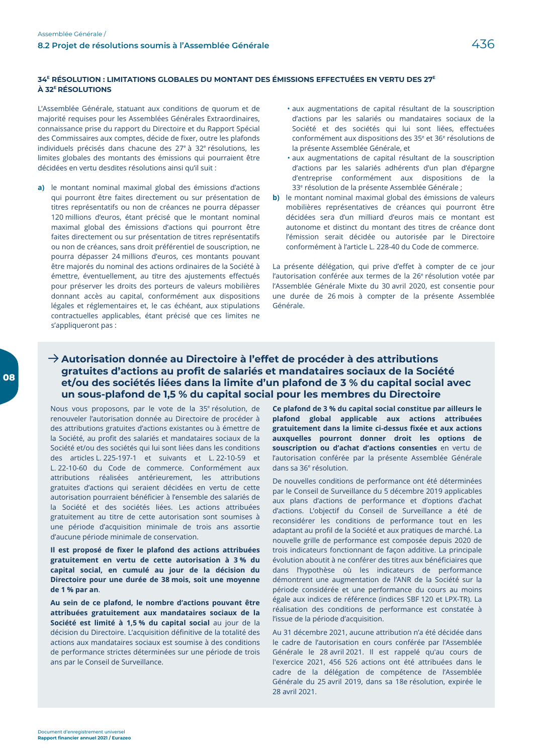### 34<sup>E</sup> RÉSOLUTION : LIMITATIONS GLOBALES DU MONTANT DES ÉMISSIONS EFFECTUÉES EN VERTU DES 27<sup>E</sup> À 32<sup>E</sup> RÉSOLUTIONS

L'Assemblée Générale, statuant aux conditions de quorum et de majorité requises pour les Assemblées Générales Extraordinaires, connaissance prise du rapport du Directoire et du Rapport Spécial des Commissaires aux comptes, décide de fixer, outre les plafonds individuels précisés dans chacune des 27<sup>e</sup> à 32<sup>e</sup> résolutions, les limites globales des montants des émissions qui pourraient être décidées en vertu desdites résolutions ainsi qu'il suit :

- a) le montant nominal maximal global des émissions d'actions qui pourront être faites directement ou sur présentation de titres représentatifs ou non de créances ne pourra dépasser 120 millions d'euros, étant précisé que le montant nominal maximal global des émissions d'actions qui pourront être faites directement ou sur présentation de titres représentatifs ou non de créances, sans droit préférentiel de souscription, ne pourra dépasser 24 millions d'euros, ces montants pouvant être majorés du nominal des actions ordinaires de la Société à émettre, éventuellement, au titre des ajustements effectués pour préserver les droits des porteurs de valeurs mobilières donnant accès au capital, conformément aux dispositions légales et réglementaires et, le cas échéant, aux stipulations contractuelles applicables, étant précisé que ces limites ne s'appliqueront pas :
- · aux augmentations de capital résultant de la souscription d'actions par les salariés ou mandataires sociaux de la Société et des sociétés qui lui sont liées, effectuées conformément aux dispositions des 35<sup>e</sup> et 36<sup>e</sup> résolutions de la présente Assemblée Générale, et
- · aux augmentations de capital résultant de la souscription d'actions par les salariés adhérents d'un plan d'épargne d'entreprise conformément aux dispositions de la 33<sup>e</sup> résolution de la présente Assemblée Générale ;
- b) le montant nominal maximal global des émissions de valeurs mobilières représentatives de créances qui pourront être décidées sera d'un milliard d'euros mais ce montant est autonome et distinct du montant des titres de créance dont l'émission serait décidée ou autorisée par le Directoire conformément à l'article L. 228-40 du Code de commerce.

La présente délégation, qui prive d'effet à compter de ce jour l'autorisation conférée aux termes de la 26<sup>e</sup> résolution votée par l'Assemblée Générale Mixte du 30 avril 2020, est consentie pour une durée de 26 mois à compter de la présente Assemblée Générale

## $\rightarrow$  Autorisation donnée au Directoire à l'effet de procéder à des attributions gratuites d'actions au profit de salariés et mandataires sociaux de la Société et/ou des sociétés liées dans la limite d'un plafond de 3 % du capital social avec un sous-plafond de 1,5 % du capital social pour les membres du Directoire

Nous vous proposons, par le vote de la 35<sup>e</sup> résolution, de renouveler l'autorisation donnée au Directoire de procéder à des attributions gratuites d'actions existantes ou à émettre de la Société, au profit des salariés et mandataires sociaux de la Société et/ou des sociétés qui lui sont liées dans les conditions des articles L. 225-197-1 et suivants et L. 22-10-59 et L. 22-10-60 du Code de commerce. Conformément aux attributions réalisées antérieurement. les attributions gratuites d'actions qui seraient décidées en vertu de cette autorisation pourraient bénéficier à l'ensemble des salariés de la Société et des sociétés liées. Les actions attribuées gratuitement au titre de cette autorisation sont soumises à une période d'acquisition minimale de trois ans assortie d'aucune période minimale de conservation.

Il est proposé de fixer le plafond des actions attribuées gratuitement en vertu de cette autorisation à 3% du capital social, en cumulé au jour de la décision du Directoire pour une durée de 38 mois, soit une moyenne de 1 % par an.

Au sein de ce plafond, le nombre d'actions pouvant être attribuées gratuitement aux mandataires sociaux de la Société est limité à 1,5 % du capital social au jour de la décision du Directoire. L'acquisition définitive de la totalité des actions aux mandataires sociaux est soumise à des conditions de performance strictes déterminées sur une période de trois ans par le Conseil de Surveillance.

Ce plafond de 3 % du capital social constitue par ailleurs le plafond global applicable aux actions attribuées gratuitement dans la limite ci-dessus fixée et aux actions auxquelles pourront donner droit les options de souscription ou d'achat d'actions consenties en vertu de l'autorisation conférée par la présente Assemblée Générale dans sa 36<sup>e</sup> résolution.

De nouvelles conditions de performance ont été déterminées par le Conseil de Surveillance du 5 décembre 2019 applicables aux plans d'actions de performance et d'options d'achat d'actions. L'objectif du Conseil de Surveillance a été de reconsidérer les conditions de performance tout en les adaptant au profil de la Société et aux pratiques de marché. La nouvelle grille de performance est composée depuis 2020 de trois indicateurs fonctionnant de façon additive. La principale évolution aboutit à ne conférer des titres aux bénéficiaires que dans l'hypothèse où les indicateurs de performance démontrent une augmentation de l'ANR de la Société sur la période considérée et une performance du cours au moins égale aux indices de référence (indices SBF 120 et LPX-TR). La réalisation des conditions de performance est constatée à l'issue de la période d'acquisition.

Au 31 décembre 2021, aucune attribution n'a été décidée dans le cadre de l'autorisation en cours conférée par l'Assemblée Générale le 28 avril 2021. Il est rappelé qu'au cours de l'exercice 2021, 456 526 actions ont été attribuées dans le cadre de la délégation de compétence de l'Assemblée Générale du 25 avril 2019, dans sa 18e résolution, expirée le 28 avril 2021.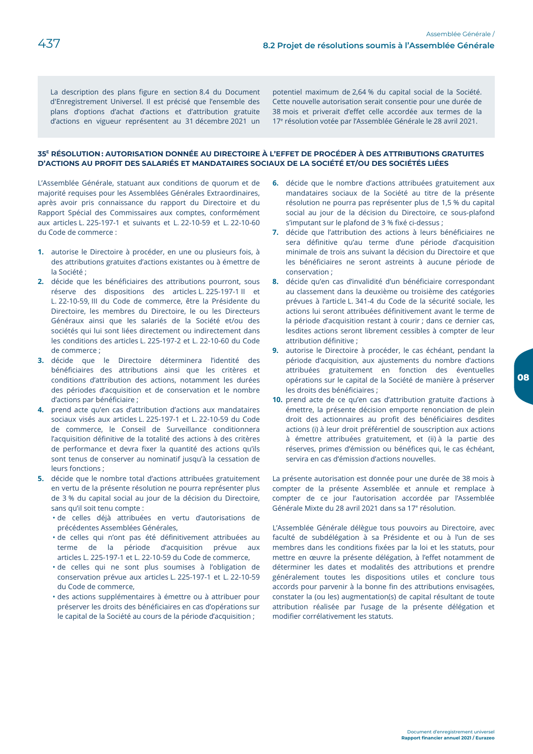La description des plans figure en section 8.4 du Document d'Enregistrement Universel. Il est précisé que l'ensemble des plans d'options d'achat d'actions et d'attribution gratuite d'actions en vigueur représentent au 31 décembre 2021 un

potentiel maximum de 2,64 % du capital social de la Société. Cette nouvelle autorisation serait consentie pour une durée de 38 mois et priverait d'effet celle accordée aux termes de la 17<sup>e</sup> résolution votée par l'Assemblée Générale le 28 avril 2021.

#### 35<sup>E</sup> RÉSOLUTION : AUTORISATION DONNÉE AU DIRECTOIRE À L'EFFET DE PROCÉDER À DES ATTRIBUTIONS GRATUITES D'ACTIONS AU PROFIT DES SALARIÉS ET MANDATAIRES SOCIAUX DE LA SOCIÉTÉ ET/OU DES SOCIÉTÉS LIÉES

L'Assemblée Générale, statuant aux conditions de quorum et de majorité requises pour les Assemblées Générales Extraordinaires. après avoir pris connaissance du rapport du Directoire et du Rapport Spécial des Commissaires aux comptes, conformément aux articles L. 225-197-1 et suivants et L. 22-10-59 et L. 22-10-60 du Code de commerce :

- 1. autorise le Directoire à procéder, en une ou plusieurs fois, à des attributions gratuites d'actions existantes ou à émettre de la Société :
- 2. décide que les bénéficiaires des attributions pourront, sous réserve des dispositions des articles L. 225-197-1 II et L. 22-10-59, III du Code de commerce, être la Présidente du Directoire, les membres du Directoire, le ou les Directeurs Généraux ainsi que les salariés de la Société et/ou des sociétés qui lui sont liées directement ou indirectement dans les conditions des articles L. 225-197-2 et L. 22-10-60 du Code de commerce ;
- 3. décide que le Directoire déterminera l'identité des bénéficiaires des attributions ainsi que les critères et conditions d'attribution des actions, notamment les durées des périodes d'acquisition et de conservation et le nombre d'actions par bénéficiaire :
- 4. prend acte qu'en cas d'attribution d'actions aux mandataires sociaux visés aux articles L. 225-197-1 et L. 22-10-59 du Code de commerce, le Conseil de Surveillance conditionnera l'acquisition définitive de la totalité des actions à des critères de performance et devra fixer la quantité des actions qu'ils sont tenus de conserver au nominatif jusqu'à la cessation de leurs fonctions ;
- 5. décide que le nombre total d'actions attribuées gratuitement en vertu de la présente résolution ne pourra représenter plus de 3 % du capital social au jour de la décision du Directoire, sans qu'il soit tenu compte :
	- · de celles déjà attribuées en vertu d'autorisations de précédentes Assemblées Générales,
	- · de celles qui n'ont pas été définitivement attribuées au terme de la période d'acquisition prévue  $7.11X$ articles L. 225-197-1 et L. 22-10-59 du Code de commerce,
	- · de celles qui ne sont plus soumises à l'obligation de conservation prévue aux articles L. 225-197-1 et L. 22-10-59 du Code de commerce,
	- · des actions supplémentaires à émettre ou à attribuer pour préserver les droits des bénéficiaires en cas d'opérations sur le capital de la Société au cours de la période d'acquisition ;
- 6. décide que le nombre d'actions attribuées gratuitement aux mandataires sociaux de la Société au titre de la présente résolution ne pourra pas représenter plus de 1,5 % du capital social au jour de la décision du Directoire, ce sous-plafond s'imputant sur le plafond de 3 % fixé ci-dessus ;
- 7. décide que l'attribution des actions à leurs bénéficiaires ne sera définitive qu'au terme d'une période d'acquisition minimale de trois ans suivant la décision du Directoire et que les bénéficiaires ne seront astreints à aucune période de conservation:
- 8. décide qu'en cas d'invalidité d'un bénéficiaire correspondant au classement dans la deuxième ou troisième des catégories prévues à l'article L. 341-4 du Code de la sécurité sociale, les actions lui seront attribuées définitivement avant le terme de la période d'acquisition restant à courir ; dans ce dernier cas, lesdites actions seront librement cessibles à compter de leur attribution définitive :
- 9. autorise le Directoire à procéder, le cas échéant, pendant la période d'acquisition, aux ajustements du nombre d'actions attribuées gratuitement en fonction des éventuelles opérations sur le capital de la Société de manière à préserver les droits des bénéficiaires :
- 10. prend acte de ce qu'en cas d'attribution gratuite d'actions à émettre, la présente décision emporte renonciation de plein droit des actionnaires au profit des bénéficiaires desdites actions (i) à leur droit préférentiel de souscription aux actions à émettre attribuées gratuitement, et (ii) à la partie des réserves, primes d'émission ou bénéfices qui, le cas échéant, servira en cas d'émission d'actions nouvelles.

La présente autorisation est donnée pour une durée de 38 mois à compter de la présente Assemblée et annule et remplace à compter de ce jour l'autorisation accordée par l'Assemblée Générale Mixte du 28 avril 2021 dans sa 17<sup>e</sup> résolution.

L'Assemblée Générale délègue tous pouvoirs au Directoire, avec faculté de subdélégation à sa Présidente et ou à l'un de ses membres dans les conditions fixées par la loi et les statuts, pour mettre en œuvre la présente délégation, à l'effet notamment de déterminer les dates et modalités des attributions et prendre généralement toutes les dispositions utiles et conclure tous accords pour parvenir à la bonne fin des attributions envisagées, constater la (ou les) augmentation(s) de capital résultant de toute attribution réalisée par l'usage de la présente délégation et modifier corrélativement les statuts.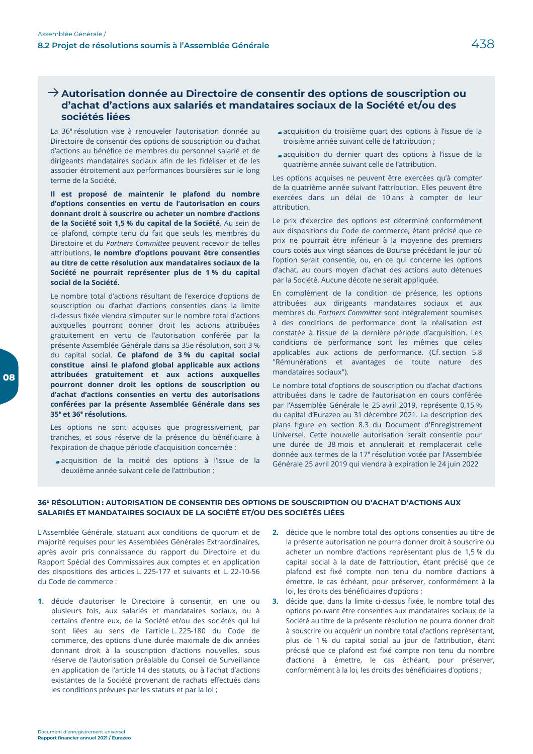## $\rightarrow$  Autorisation donnée au Directoire de consentir des options de souscription ou d'achat d'actions aux salariés et mandataires sociaux de la Société et/ou des sociétés liées

La 36<sup>e</sup> résolution vise à renouveler l'autorisation donnée au Directoire de consentir des options de souscription ou d'achat d'actions au bénéfice de membres du personnel salarié et de dirigeants mandataires sociaux afin de les fidéliser et de les associer étroitement aux performances boursières sur le long terme de la Société.

Il est proposé de maintenir le plafond du nombre d'options consenties en vertu de l'autorisation en cours donnant droit à souscrire ou acheter un nombre d'actions de la Société soit 1,5 % du capital de la Société. Au sein de ce plafond, compte tenu du fait que seuls les membres du Directoire et du Partners Committee peuvent recevoir de telles attributions, le nombre d'options pouvant être consenties au titre de cette résolution aux mandataires sociaux de la Société ne pourrait représenter plus de 1% du capital social de la Société.

Le nombre total d'actions résultant de l'exercice d'options de souscription ou d'achat d'actions consenties dans la limite ci-dessus fixée viendra s'imputer sur le nombre total d'actions auxquelles pourront donner droit les actions attribuées gratuitement en vertu de l'autorisation conférée par la présente Assemblée Générale dans sa 35e résolution, soit 3 % du capital social. Ce plafond de 3% du capital social constitue ainsi le plafond global applicable aux actions attribuées gratuitement et aux actions auxquelles pourront donner droit les options de souscription ou d'achat d'actions consenties en vertu des autorisations conférées par la présente Assemblée Générale dans ses 35<sup>e</sup> et 36<sup>e</sup> résolutions.

Les options ne sont acquises que progressivement, par tranches, et sous réserve de la présence du bénéficiaire à l'expiration de chaque période d'acquisition concernée :

acquisition de la moitié des options à l'issue de la deuxième année suivant celle de l'attribution ;

- acquisition du troisième quart des options à l'issue de la troisième année suivant celle de l'attribution ;
- acquisition du dernier quart des options à l'issue de la quatrième année suivant celle de l'attribution.

Les options acquises ne peuvent être exercées qu'à compter de la quatrième année suivant l'attribution. Elles peuvent être exercées dans un délai de 10 ans à compter de leur attribution.

Le prix d'exercice des options est déterminé conformément aux dispositions du Code de commerce, étant précisé que ce prix ne pourrait être inférieur à la moyenne des premiers cours cotés aux vingt séances de Bourse précédant le jour où l'option serait consentie, ou, en ce qui concerne les options d'achat, au cours moyen d'achat des actions auto détenues par la Société. Aucune décote ne serait appliquée.

En complément de la condition de présence, les options attribuées aux dirigeants mandataires sociaux et aux membres du Partners Committee sont intégralement soumises à des conditions de performance dont la réalisation est constatée à l'issue de la dernière période d'acquisition. Les conditions de performance sont les mêmes que celles applicables aux actions de performance. (Cf. section 5.8 "Rémunérations et avantages de toute nature des mandataires sociaux").

Le nombre total d'options de souscription ou d'achat d'actions attribuées dans le cadre de l'autorisation en cours conférée par l'Assemblée Générale le 25 avril 2019, représente 0,15 % du capital d'Eurazeo au 31 décembre 2021. La description des plans figure en section 8.3 du Document d'Enregistrement Universel. Cette nouvelle autorisation serait consentie pour une durée de 38 mois et annulerait et remplacerait celle donnée aux termes de la 17<sup>e</sup> résolution votée par l'Assemblée Générale 25 avril 2019 qui viendra à expiration le 24 juin 2022

#### 36<sup>E</sup> RÉSOLUTION: AUTORISATION DE CONSENTIR DES OPTIONS DE SOUSCRIPTION OU D'ACHAT D'ACTIONS AUX SALARIÉS ET MANDATAIRES SOCIAUX DE LA SOCIÉTÉ ET/OU DES SOCIÉTÉS LIÉES

L'Assemblée Générale, statuant aux conditions de quorum et de majorité requises pour les Assemblées Générales Extraordinaires, après avoir pris connaissance du rapport du Directoire et du Rapport Spécial des Commissaires aux comptes et en application des dispositions des articles L. 225-177 et suivants et L. 22-10-56 du Code de commerce :

- 1. décide d'autoriser le Directoire à consentir, en une ou plusieurs fois, aux salariés et mandataires sociaux, ou à certains d'entre eux, de la Société et/ou des sociétés qui lui sont liées au sens de l'article L. 225-180 du Code de commerce, des options d'une durée maximale de dix années donnant droit à la souscription d'actions nouvelles, sous réserve de l'autorisation préalable du Conseil de Surveillance en application de l'article 14 des statuts, ou à l'achat d'actions existantes de la Société provenant de rachats effectués dans les conditions prévues par les statuts et par la loi ;
- décide que le nombre total des options consenties au titre de  $2.$ la présente autorisation ne pourra donner droit à souscrire ou acheter un nombre d'actions représentant plus de 1,5 % du capital social à la date de l'attribution, étant précisé que ce plafond est fixé compte non tenu du nombre d'actions à émettre, le cas échéant, pour préserver, conformément à la loi, les droits des bénéficiaires d'options ;
- 3. décide que, dans la limite ci-dessus fixée, le nombre total des options pouvant être consenties aux mandataires sociaux de la Société au titre de la présente résolution ne pourra donner droit à souscrire ou acquérir un nombre total d'actions représentant, plus de 1 % du capital social au jour de l'attribution, étant précisé que ce plafond est fixé compte non tenu du nombre d'actions à émettre, le cas échéant, pour préserver, conformément à la loi, les droits des bénéficiaires d'options ;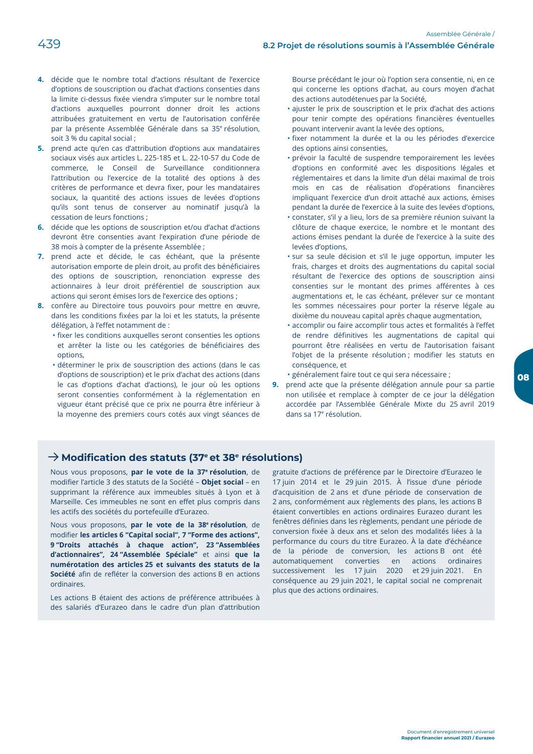- 4. décide que le nombre total d'actions résultant de l'exercice d'options de souscription ou d'achat d'actions consenties dans la limite ci-dessus fixée viendra s'imputer sur le nombre total d'actions auxquelles pourront donner droit les actions attribuées gratuitement en vertu de l'autorisation conférée par la présente Assemblée Générale dans sa 35<sup>e</sup> résolution, soit 3 % du capital social ;
- 5. prend acte qu'en cas d'attribution d'options aux mandataires sociaux visés aux articles L. 225-185 et L. 22-10-57 du Code de commerce, le Conseil de Surveillance conditionnera l'attribution ou l'exercice de la totalité des options à des critères de performance et devra fixer, pour les mandataires sociaux, la quantité des actions issues de levées d'options qu'ils sont tenus de conserver au nominatif jusqu'à la cessation de leurs fonctions ;
- 6. décide que les options de souscription et/ou d'achat d'actions devront être consenties avant l'expiration d'une période de 38 mois à compter de la présente Assemblée ;
- 7. prend acte et décide, le cas échéant, que la présente autorisation emporte de plein droit, au profit des bénéficiaires des options de souscription, renonciation expresse des actionnaires à leur droit préférentiel de souscription aux actions qui seront émises lors de l'exercice des options ;
- 8. confère au Directoire tous pouvoirs pour mettre en œuvre, dans les conditions fixées par la loi et les statuts, la présente délégation, à l'effet notamment de :
	- · fixer les conditions auxquelles seront consenties les options et arrêter la liste ou les catégories de bénéficiaires des options.
	- · déterminer le prix de souscription des actions (dans le cas d'options de souscription) et le prix d'achat des actions (dans le cas d'options d'achat d'actions), le jour où les options seront consenties conformément à la réglementation en vigueur étant précisé que ce prix ne pourra être inférieur à la moyenne des premiers cours cotés aux vingt séances de

Bourse précédant le jour où l'option sera consentie, ni, en ce qui concerne les options d'achat, au cours moyen d'achat des actions autodétenues par la Société,

- · ajuster le prix de souscription et le prix d'achat des actions pour tenir compte des opérations financières éventuelles pouvant intervenir avant la levée des options,
- · fixer notamment la durée et la ou les périodes d'exercice des options ainsi consenties,
- · prévoir la faculté de suspendre temporairement les levées d'options en conformité avec les dispositions légales et réglementaires et dans la limite d'un délai maximal de trois mois en cas de réalisation d'opérations financières impliquant l'exercice d'un droit attaché aux actions, émises pendant la durée de l'exercice à la suite des levées d'options,
- · constater, s'il y a lieu, lors de sa première réunion suivant la clôture de chaque exercice, le nombre et le montant des actions émises pendant la durée de l'exercice à la suite des levées d'options.
- · sur sa seule décision et s'il le juge opportun, imputer les frais, charges et droits des augmentations du capital social résultant de l'exercice des options de souscription ainsi consenties sur le montant des primes afférentes à ces augmentations et, le cas échéant, prélever sur ce montant les sommes nécessaires pour porter la réserve légale au dixième du nouveau capital après chaque augmentation,
- · accomplir ou faire accomplir tous actes et formalités à l'effet de rendre définitives les augmentations de capital qui pourront être réalisées en vertu de l'autorisation faisant l'objet de la présente résolution ; modifier les statuts en conséquence, et
- · généralement faire tout ce qui sera nécessaire ;
- 9. prend acte que la présente délégation annule pour sa partie non utilisée et remplace à compter de ce jour la délégation accordée par l'Assemblée Générale Mixte du 25 avril 2019 dans sa 17<sup>e</sup> résolution.

## $\rightarrow$  Modification des statuts (37<sup>e</sup> et 38<sup>e</sup> résolutions)

Nous vous proposons, par le vote de la 37<sup>e</sup> résolution, de modifier l'article 3 des statuts de la Société - Objet social - en supprimant la référence aux immeubles situés à Lyon et à Marseille. Ces immeubles ne sont en effet plus compris dans les actifs des sociétés du portefeuille d'Eurazeo.

Nous vous proposons, par le vote de la 38<sup>e</sup> résolution, de modifier les articles 6 "Capital social", 7 "Forme des actions", 9 "Droits attachés à chaque action", 23 "Assemblées d'actionnaires", 24 "Assemblée Spéciale" et ainsi que la numérotation des articles 25 et suivants des statuts de la Société afin de refléter la conversion des actions B en actions ordinaires

Les actions B étaient des actions de préférence attribuées à des salariés d'Eurazeo dans le cadre d'un plan d'attribution gratuite d'actions de préférence par le Directoire d'Eurazeo le 17 juin 2014 et le 29 juin 2015. À l'issue d'une période d'acquisition de 2 ans et d'une période de conservation de 2 ans, conformément aux règlements des plans, les actions B étaient convertibles en actions ordinaires Eurazeo durant les fenêtres définies dans les règlements, pendant une période de conversion fixée à deux ans et selon des modalités liées à la performance du cours du titre Eurazeo. À la date d'échéance de la période de conversion, les actions B ont été automatiquement converties en actions ordinaires successivement les 17 juin 2020 et 29 juin 2021. En conséquence au 29 juin 2021, le capital social ne comprenait plus que des actions ordinaires.

80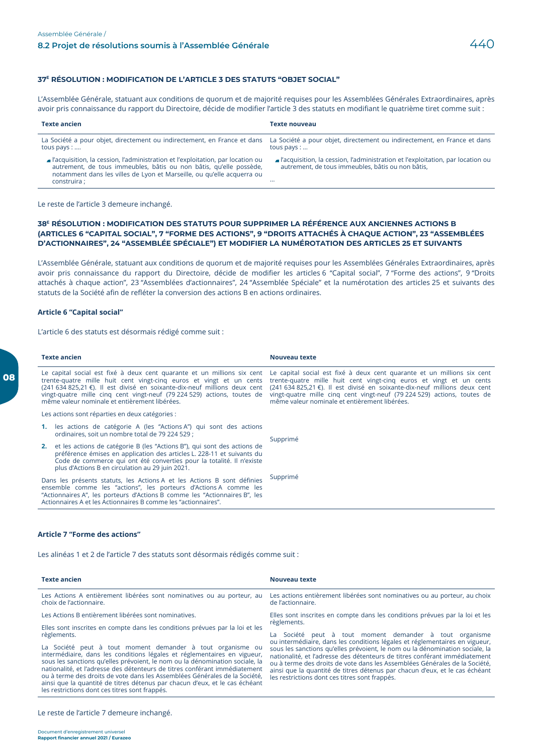#### 37<sup>E</sup> RÉSOLUTION : MODIFICATION DE L'ARTICLE 3 DES STATUTS "OBJET SOCIAL"

L'Assemblée Générale, statuant aux conditions de quorum et de majorité requises pour les Assemblées Générales Extraordinaires, après avoir pris connaissance du rapport du Directoire, décide de modifier l'article 3 des statuts en modifiant le quatrième tiret comme suit :

| <b>Texte ancien</b>                                                                                                                                                                                                                            | <b>Texte nouveau</b>                                                                                                                                                |
|------------------------------------------------------------------------------------------------------------------------------------------------------------------------------------------------------------------------------------------------|---------------------------------------------------------------------------------------------------------------------------------------------------------------------|
| tous pays $: $                                                                                                                                                                                                                                 | La Société a pour objet, directement ou indirectement, en France et dans La Société a pour objet, directement ou indirectement, en France et dans<br>tous pays $: $ |
| l'acquisition, la cession, l'administration et l'exploitation, par location ou<br>autrement, de tous immeubles, bâtis ou non bâtis, qu'elle possède,<br>notamment dans les villes de Lyon et Marseille, ou qu'elle acquerra ou<br>construira ; | a l'acquisition, la cession, l'administration et l'exploitation, par location ou<br>autrement, de tous immeubles, bâtis ou non bâtis,<br>                           |

Le reste de l'article 3 demeure inchangé.

#### 38<sup>E</sup> RÉSOLUTION : MODIFICATION DES STATUTS POUR SUPPRIMER LA RÉFÉRENCE AUX ANCIENNES ACTIONS B (ARTICLES 6 "CAPITAL SOCIAL", 7 "FORME DES ACTIONS", 9 "DROITS ATTACHÉS À CHAQUE ACTION", 23 "ASSEMBLÉES D'ACTIONNAIRES", 24 "ASSEMBLÉE SPÉCIALE") ET MODIFIER LA NUMÉROTATION DES ARTICLES 25 ET SUIVANTS

L'Assemblée Générale, statuant aux conditions de quorum et de majorité requises pour les Assemblées Générales Extraordinaires, après avoir pris connaissance du rapport du Directoire, décide de modifier les articles 6 "Capital social", 7 "Forme des actions", 9 "Droits attachés à chaque action", 23 "Assemblées d'actionnaires", 24 "Assemblée Spéciale" et la numérotation des articles 25 et suivants des statuts de la Société afin de refléter la conversion des actions B en actions ordinaires.

#### **Article 6 "Capital social"**

L'article 6 des statuts est désormais rédigé comme suit :

| <b>Texte ancien</b>                                                                                                                                                                                                                                                                         | Nouveau texte                                                                                                                                                                                                                                                                                                                                                                                                                     |
|---------------------------------------------------------------------------------------------------------------------------------------------------------------------------------------------------------------------------------------------------------------------------------------------|-----------------------------------------------------------------------------------------------------------------------------------------------------------------------------------------------------------------------------------------------------------------------------------------------------------------------------------------------------------------------------------------------------------------------------------|
| Le capital social est fixé à deux cent quarante et un millions six cent<br>trente-quatre mille huit cent vingt-cing euros et vingt et un cents<br>vingt-quatre mille cinq cent vingt-neuf (79 224 529) actions, toutes de<br>même valeur nominale et entièrement libérées.                  | Le capital social est fixé à deux cent quarante et un millions six cent<br>trente-quatre mille huit cent vingt-cing euros et vingt et un cents<br>(241 634 825,21 €). Il est divisé en soixante-dix-neuf millions deux cent (241 634 825,21 €). Il est divisé en soixante-dix-neuf millions deux cent<br>vingt-quatre mille cinq cent vingt-neuf (79 224 529) actions, toutes de<br>même valeur nominale et entièrement libérées. |
| Les actions sont réparties en deux catégories :                                                                                                                                                                                                                                             |                                                                                                                                                                                                                                                                                                                                                                                                                                   |
| <b>1.</b> les actions de catégorie A (les "Actions A") qui sont des actions<br>ordinaires, soit un nombre total de 79 224 529 ;                                                                                                                                                             | Supprimé                                                                                                                                                                                                                                                                                                                                                                                                                          |
| <b>2.</b> et les actions de catégorie B (les "Actions B"), qui sont des actions de<br>préférence émises en application des articles L. 228-11 et suivants du<br>Code de commerce qui ont été converties pour la totalité. Il n'existe<br>plus d'Actions B en circulation au 29 juin 2021.   |                                                                                                                                                                                                                                                                                                                                                                                                                                   |
| Dans les présents statuts, les Actions A et les Actions B sont définies<br>ensemble comme les "actions", les porteurs d'Actions A comme les<br>"Actionnaires A", les porteurs d'Actions B comme les "Actionnaires B", les<br>Actionnaires A et les Actionnaires B comme les "actionnaires". | Supprimé                                                                                                                                                                                                                                                                                                                                                                                                                          |

#### **Article 7 "Forme des actions"**

Les alinéas 1 et 2 de l'article 7 des statuts sont désormais rédigés comme suit :

| <b>Texte ancien</b>                                                                                                                                                                                                                                                                                                                                                                                                                                                                                                                                              | Nouveau texte                                                                                                                                                                                                                                                                                                                                                                                                                                                                                                       |
|------------------------------------------------------------------------------------------------------------------------------------------------------------------------------------------------------------------------------------------------------------------------------------------------------------------------------------------------------------------------------------------------------------------------------------------------------------------------------------------------------------------------------------------------------------------|---------------------------------------------------------------------------------------------------------------------------------------------------------------------------------------------------------------------------------------------------------------------------------------------------------------------------------------------------------------------------------------------------------------------------------------------------------------------------------------------------------------------|
| Les Actions A entièrement libérées sont nominatives ou au porteur, au<br>choix de l'actionnaire.                                                                                                                                                                                                                                                                                                                                                                                                                                                                 | Les actions entièrement libérées sont nominatives ou au porteur, au choix<br>de l'actionnaire.                                                                                                                                                                                                                                                                                                                                                                                                                      |
| Les Actions B entièrement libérées sont nominatives.                                                                                                                                                                                                                                                                                                                                                                                                                                                                                                             | Elles sont inscrites en compte dans les conditions prévues par la loi et les<br>règlements.                                                                                                                                                                                                                                                                                                                                                                                                                         |
| Elles sont inscrites en compte dans les conditions prévues par la loi et les<br>règlements.<br>La Société peut à tout moment demander à tout organisme ou<br>intermédiaire, dans les conditions légales et réglementaires en vigueur,<br>sous les sanctions qu'elles prévoient, le nom ou la dénomination sociale, la<br>nationalité, et l'adresse des détenteurs de titres conférant immédiatement<br>ou à terme des droits de vote dans les Assemblées Générales de la Société,<br>ainsi que la quantité de titres détenus par chacun d'eux, et le cas échéant | La Société peut à tout moment demander à tout organisme<br>ou intermédiaire, dans les conditions légales et réglementaires en vigueur,<br>sous les sanctions qu'elles prévoient, le nom ou la dénomination sociale, la<br>nationalité, et l'adresse des détenteurs de titres conférant immédiatement<br>ou à terme des droits de vote dans les Assemblées Générales de la Société,<br>ainsi que la quantité de titres détenus par chacun d'eux, et le cas échéant<br>les restrictions dont ces titres sont frappés. |

Le reste de l'article 7 demeure inchangé.

les restrictions dont ces titres sont frappés.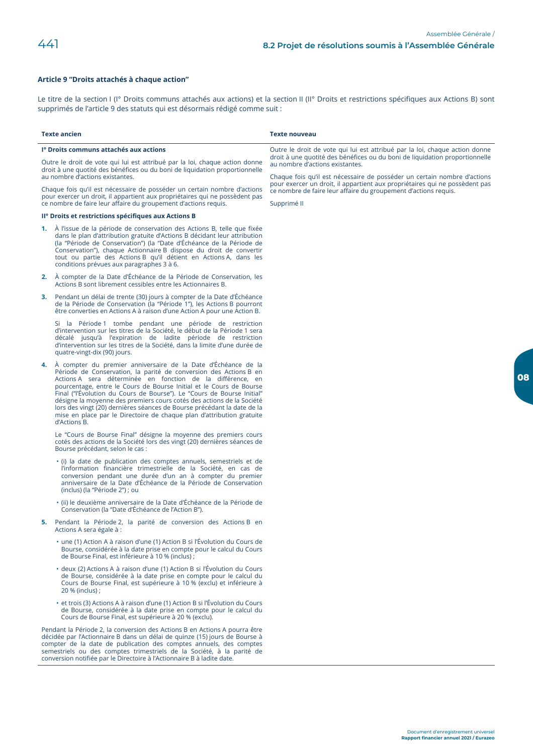#### Article 9 "Droits attachés à chaque action"

Le titre de la section I (I° Droits communs attachés aux actions) et la section II (II° Droits et restrictions spécifiques aux Actions B) sont supprimés de l'article 9 des statuts qui est désormais rédigé comme suit :

|                                                                                                                                                                                                                            | <b>Texte ancien</b>                                                                                                                                                                                                                                                                                                                                                                                                                                                                                                                                                                               | <b>Texte nouveau</b>                                                                                                                                          |
|----------------------------------------------------------------------------------------------------------------------------------------------------------------------------------------------------------------------------|---------------------------------------------------------------------------------------------------------------------------------------------------------------------------------------------------------------------------------------------------------------------------------------------------------------------------------------------------------------------------------------------------------------------------------------------------------------------------------------------------------------------------------------------------------------------------------------------------|---------------------------------------------------------------------------------------------------------------------------------------------------------------|
|                                                                                                                                                                                                                            | l <sup>o</sup> Droits communs attachés aux actions                                                                                                                                                                                                                                                                                                                                                                                                                                                                                                                                                | Outre le droit de vote qui lui est attribué par la loi, chaque action donne<br>droit à une quotité des bénéfices ou du boni de liquidation proportionnelle    |
|                                                                                                                                                                                                                            | Outre le droit de vote qui lui est attribué par la loi, chaque action donne<br>droit à une quotité des bénéfices ou du boni de liquidation proportionnelle<br>au nombre d'actions existantes.                                                                                                                                                                                                                                                                                                                                                                                                     | au nombre d'actions existantes.<br>Chaque fois qu'il est nécessaire de posséder un certain nombre d'actions                                                   |
| Chaque fois qu'il est nécessaire de posséder un certain nombre d'actions<br>pour exercer un droit, il appartient aux propriétaires qui ne possèdent pas<br>ce nombre de faire leur affaire du groupement d'actions requis. |                                                                                                                                                                                                                                                                                                                                                                                                                                                                                                                                                                                                   | pour exercer un droit, il appartient aux propriétaires qui ne possèdent pas<br>ce nombre de faire leur affaire du groupement d'actions requis.<br>Supprimé II |
|                                                                                                                                                                                                                            | II <sup>o</sup> Droits et restrictions spécifiques aux Actions B                                                                                                                                                                                                                                                                                                                                                                                                                                                                                                                                  |                                                                                                                                                               |
|                                                                                                                                                                                                                            | 1. A l'issue de la période de conservation des Actions B, telle que fixée<br>dans le plan d'attribution gratuite d'Actions B décidant leur attribution<br>(la "Période de Conservation") (la "Date d'Échéance de la Période de<br>Conservation"), chaque Actionnaire B dispose du droit de convertir<br>tout ou partie des Actions B qu'il détient en Actions A, dans les<br>conditions prévues aux paragraphes 3 à 6.                                                                                                                                                                            |                                                                                                                                                               |
|                                                                                                                                                                                                                            | 2. À compter de la Date d'Échéance de la Période de Conservation, les<br>Actions B sont librement cessibles entre les Actionnaires B.                                                                                                                                                                                                                                                                                                                                                                                                                                                             |                                                                                                                                                               |
|                                                                                                                                                                                                                            | 3. Pendant un délai de trente (30) jours à compter de la Date d'Échéance<br>de la Période de Conservation (la "Période 1"), les Actions B pourront<br>être converties en Actions A à raison d'une Action A pour une Action B.                                                                                                                                                                                                                                                                                                                                                                     |                                                                                                                                                               |
|                                                                                                                                                                                                                            | Si la Période 1 tombe pendant une période de restriction<br>d'intervention sur les titres de la Société, le début de la Période 1 sera<br>décalé jusqu'à l'expiration de ladite période de restriction<br>d'intervention sur les titres de la Société, dans la limite d'une durée de<br>quatre-vingt-dix (90) jours.                                                                                                                                                                                                                                                                              |                                                                                                                                                               |
|                                                                                                                                                                                                                            | 4. À compter du premier anniversaire de la Date d'Échéance de la<br>Période de Conservation, la parité de conversion des Actions B en<br>Actions A sera déterminée en fonction de la différence, en<br>pourcentage, entre le Cours de Bourse Initial et le Cours de Bourse<br>Final ("l'Évolution du Cours de Bourse"). Le "Cours de Bourse Initial"<br>désigne la moyenne des premiers cours cotés des actions de la Société<br>lors des vingt (20) dernières séances de Bourse précédant la date de la<br>mise en place par le Directoire de chaque plan d'attribution gratuite<br>d'Actions B. |                                                                                                                                                               |
|                                                                                                                                                                                                                            | Le "Cours de Bourse Final" désigne la moyenne des premiers cours<br>cotés des actions de la Société lors des vingt (20) dernières séances de<br>Bourse précédant, selon le cas :                                                                                                                                                                                                                                                                                                                                                                                                                  |                                                                                                                                                               |
|                                                                                                                                                                                                                            | • (i) la date de publication des comptes annuels, semestriels et de<br>l'information financière trimestrielle de la Société, en cas de<br>conversion pendant une durée d'un an à compter du premier<br>anniversaire de la Date d'Échéance de la Période de Conservation<br>(inclus) (la "Période 2") ; ou                                                                                                                                                                                                                                                                                         |                                                                                                                                                               |
|                                                                                                                                                                                                                            | · (ii) le deuxième anniversaire de la Date d'Échéance de la Période de<br>Conservation (la "Date d'Échéance de l'Action B").                                                                                                                                                                                                                                                                                                                                                                                                                                                                      |                                                                                                                                                               |
|                                                                                                                                                                                                                            | 5. Pendant la Période 2, la parité de conversion des Actions B en<br>Actions A sera égale à :                                                                                                                                                                                                                                                                                                                                                                                                                                                                                                     |                                                                                                                                                               |
|                                                                                                                                                                                                                            | • une (1) Action A à raison d'une (1) Action B si l'Évolution du Cours de<br>Bourse, considérée à la date prise en compte pour le calcul du Cours<br>de Bourse Final, est inférieure à 10 % (inclus) ;                                                                                                                                                                                                                                                                                                                                                                                            |                                                                                                                                                               |
|                                                                                                                                                                                                                            | • deux (2) Actions A à raison d'une (1) Action B si l'Évolution du Cours<br>de Bourse, considérée à la date prise en compte pour le calcul du<br>Cours de Bourse Final, est supérieure à 10 % (exclu) et inférieure à<br>20 % (inclus):                                                                                                                                                                                                                                                                                                                                                           |                                                                                                                                                               |
|                                                                                                                                                                                                                            | • et trois (3) Actions A à raison d'une (1) Action B si l'Évolution du Cours<br>de Bourse, considérée à la date prise en compte pour le calcul du<br>Cours de Bourse Final, est supérieure à 20 % (exclu).                                                                                                                                                                                                                                                                                                                                                                                        |                                                                                                                                                               |
|                                                                                                                                                                                                                            | Pendant la Période 2, la conversion des Actions B en Actions A pourra être<br>décidée par l'Actionnaire B dans un délai de quinze (15) jours de Bourse à<br>compter de la date de publication des comptes annuels, des comptes<br>semestriels ou des comptes trimestriels de la Société, à la parité de<br>conversion notifiée par le Directoire à l'Actionnaire B à ladite date.                                                                                                                                                                                                                 |                                                                                                                                                               |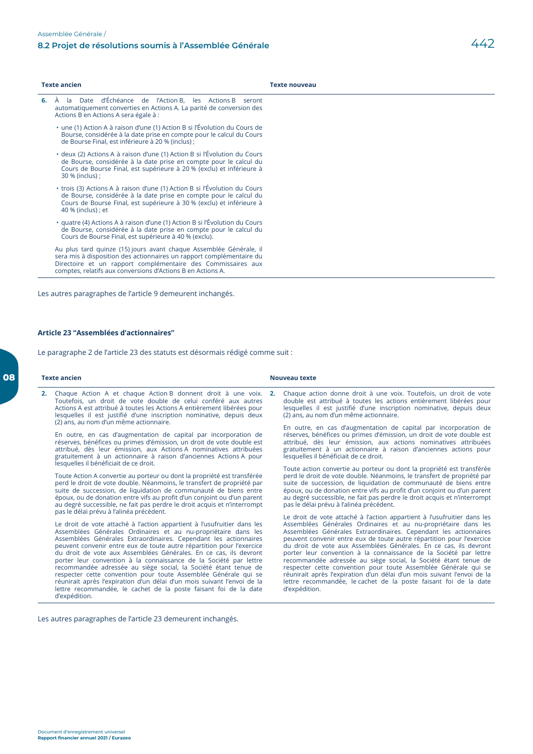|    | <b>Texte ancien</b>                                                                                                                                                                                                                                                       | <b>Texte nouveau</b> |
|----|---------------------------------------------------------------------------------------------------------------------------------------------------------------------------------------------------------------------------------------------------------------------------|----------------------|
| 6. | À la Date d'Échéance de l'Action B, les Actions B seront<br>automatiquement converties en Actions A. La parité de conversion des<br>Actions B en Actions A sera égale à :                                                                                                 |                      |
|    | • une (1) Action A à raison d'une (1) Action B si l'Évolution du Cours de<br>Bourse, considérée à la date prise en compte pour le calcul du Cours<br>de Bourse Final, est inférieure à 20 % (inclus) ;                                                                    |                      |
|    | • deux (2) Actions A à raison d'une (1) Action B si l'Évolution du Cours<br>de Bourse, considérée à la date prise en compte pour le calcul du<br>Cours de Bourse Final, est supérieure à 20 % (exclu) et inférieure à<br>30 % (inclus) ;                                  |                      |
|    | • trois (3) Actions A à raison d'une (1) Action B si l'Évolution du Cours<br>de Bourse, considérée à la date prise en compte pour le calcul du<br>Cours de Bourse Final, est supérieure à 30 % (exclu) et inférieure à<br>40 % (inclus) ; et                              |                      |
|    | • quatre (4) Actions A à raison d'une (1) Action B si l'Évolution du Cours<br>de Bourse, considérée à la date prise en compte pour le calcul du<br>Cours de Bourse Final, est supérieure à 40 % (exclu).                                                                  |                      |
|    | Au plus tard quinze (15) jours avant chaque Assemblée Générale, il<br>sera mis à disposition des actionnaires un rapport complémentaire du<br>Directoire et un rapport complémentaire des Commissaires aux<br>comptes, relatifs aux conversions d'Actions B en Actions A. |                      |

Les autres paragraphes de l'article 9 demeurent inchangés.

## Article 23 "Assemblées d'actionnaires"

Le paragraphe 2 de l'article 23 des statuts est désormais rédigé comme suit :

| <b>Texte ancien</b>                                                                                                                                                                                                                                                                                                                                                                                                                                                                                                                                                                                                                                                                                                                                                                |  | <b>Nouveau texte</b>                                                                                                                                                                                                                                                                                                                                                                                                                                                                                                                                                                                                                                                                                                                   |  |  |
|------------------------------------------------------------------------------------------------------------------------------------------------------------------------------------------------------------------------------------------------------------------------------------------------------------------------------------------------------------------------------------------------------------------------------------------------------------------------------------------------------------------------------------------------------------------------------------------------------------------------------------------------------------------------------------------------------------------------------------------------------------------------------------|--|----------------------------------------------------------------------------------------------------------------------------------------------------------------------------------------------------------------------------------------------------------------------------------------------------------------------------------------------------------------------------------------------------------------------------------------------------------------------------------------------------------------------------------------------------------------------------------------------------------------------------------------------------------------------------------------------------------------------------------------|--|--|
| Chaque Action A et chaque Action B donnent droit à une voix. 2.<br>2.<br>Toutefois, un droit de vote double de celui conféré aux autres<br>Actions A est attribué à toutes les Actions A entièrement libérées pour<br>lesquelles il est justifié d'une inscription nominative, depuis deux<br>(2) ans, au nom d'un même actionnaire.                                                                                                                                                                                                                                                                                                                                                                                                                                               |  | Chaque action donne droit à une voix. Toutefois, un droit de vote<br>double est attribué à toutes les actions entièrement libérées pour<br>lesquelles il est justifié d'une inscription nominative, depuis deux<br>(2) ans, au nom d'un même actionnaire.                                                                                                                                                                                                                                                                                                                                                                                                                                                                              |  |  |
| En outre, en cas d'augmentation de capital par incorporation de<br>réserves, bénéfices ou primes d'émission, un droit de vote double est<br>attribué, dès leur émission, aux Actions A nominatives attribuées<br>gratuitement à un actionnaire à raison d'anciennes Actions A pour<br>lesquelles il bénéficiait de ce droit.                                                                                                                                                                                                                                                                                                                                                                                                                                                       |  | En outre, en cas d'augmentation de capital par incorporation de<br>réserves, bénéfices ou primes d'émission, un droit de vote double est<br>attribué, dès leur émission, aux actions nominatives attribuées<br>gratuitement à un actionnaire à raison d'anciennes actions pour<br>lesquelles il bénéficiait de ce droit.                                                                                                                                                                                                                                                                                                                                                                                                               |  |  |
| Toute Action A convertie au porteur ou dont la propriété est transférée<br>perd le droit de vote double. Néanmoins, le transfert de propriété par<br>suite de succession, de liquidation de communauté de biens entre<br>époux, ou de donation entre vifs au profit d'un conjoint ou d'un parent<br>au degré successible, ne fait pas perdre le droit acquis et n'interrompt                                                                                                                                                                                                                                                                                                                                                                                                       |  | Toute action convertie au porteur ou dont la propriété est transférée<br>perd le droit de vote double. Néanmoins, le transfert de propriété par<br>suite de succession, de liquidation de communauté de biens entre<br>époux, ou de donation entre vifs au profit d'un conjoint ou d'un parent<br>au degré successible, ne fait pas perdre le droit acquis et n'interrompt<br>pas le délai prévu à l'alinéa précédent.                                                                                                                                                                                                                                                                                                                 |  |  |
| pas le délai prévu à l'alinéa précédent.<br>Le droit de vote attaché à l'action appartient à l'usufruitier dans les<br>Assemblées Générales Ordinaires et au nu-propriétaire dans les<br>Assemblées Générales Extraordinaires. Cependant les actionnaires<br>peuvent convenir entre eux de toute autre répartition pour l'exercice<br>du droit de vote aux Assemblées Générales. En ce cas, ils devront<br>porter leur convention à la connaissance de la Société par lettre<br>recommandée adressée au siège social, la Société étant tenue de<br>respecter cette convention pour toute Assemblée Générale qui se<br>réunirait après l'expiration d'un délai d'un mois suivant l'envoi de la<br>lettre recommandée, le cachet de la poste faisant foi de la date<br>d'expédition. |  | Le droit de vote attaché à l'action appartient à l'usufruitier dans les<br>Assemblées Générales Ordinaires et au nu-propriétaire dans les<br>Assemblées Générales Extraordinaires. Cependant les actionnaires<br>peuvent convenir entre eux de toute autre répartition pour l'exercice<br>du droit de vote aux Assemblées Générales. En ce cas, ils devront<br>porter leur convention à la connaissance de la Société par lettre<br>recommandée adressée au siège social, la Société étant tenue de<br>respecter cette convention pour toute Assemblée Générale qui se<br>réunirait après l'expiration d'un délai d'un mois suivant l'envoi de la<br>lettre recommandée, le cachet de la poste faisant foi de la date<br>d'expédition. |  |  |

Les autres paragraphes de l'article 23 demeurent inchangés.

08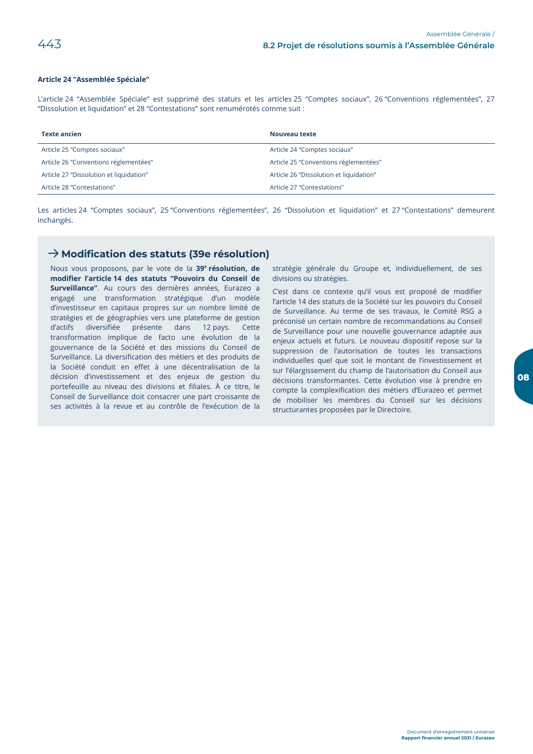#### Article 24 "Assemblée Spéciale"

L'article 24 "Assemblée Spéciale" est supprimé des statuts et les articles 25 "Comptes sociaux", 26 "Conventions réglementées", 27 "Dissolution et liquidation" et 28 "Contestations" sont renumérotés comme suit :

| <b>Texte ancien</b>                     | Nouveau texte                           |
|-----------------------------------------|-----------------------------------------|
| Article 25 "Comptes sociaux"            | Article 24 "Comptes sociaux"            |
| Article 26 "Conventions réglementées"   | Article 25 "Conventions réglementées"   |
| Article 27 "Dissolution et liquidation" | Article 26 "Dissolution et liquidation" |
| Article 28 "Contestations"              | Article 27 "Contestations"              |

Les articles 24 "Comptes sociaux", 25 "Conventions réglementées", 26 "Dissolution et liquidation" et 27 "Contestations" demeurent inchangés.

## $\rightarrow$  Modification des statuts (39e résolution)

Nous vous proposons, par le vote de la 39<sup>e</sup> résolution, de modifier l'article 14 des statuts "Pouvoirs du Conseil de Surveillance". Au cours des dernières années, Eurazeo a engagé une transformation stratégique d'un modèle d'investisseur en capitaux propres sur un nombre limité de stratégies et de géographies vers une plateforme de gestion d'actifs diversifiée présente dans 12 pays. Cette transformation implique de facto une évolution de la gouvernance de la Société et des missions du Conseil de Surveillance. La diversification des métiers et des produits de la Société conduit en effet à une décentralisation de la décision d'investissement et des enjeux de gestion du portefeuille au niveau des divisions et filiales. À ce titre, le Conseil de Surveillance doit consacrer une part croissante de ses activités à la revue et au contrôle de l'exécution de la

stratégie générale du Groupe et, individuellement, de ses divisions ou stratégies.

C'est dans ce contexte qu'il vous est proposé de modifier l'article 14 des statuts de la Société sur les pouvoirs du Conseil de Surveillance. Au terme de ses travaux, le Comité RSG a préconisé un certain nombre de recommandations au Conseil de Surveillance pour une nouvelle gouvernance adaptée aux enjeux actuels et futurs. Le nouveau dispositif repose sur la suppression de l'autorisation de toutes les transactions individuelles quel que soit le montant de l'investissement et sur l'élargissement du champ de l'autorisation du Conseil aux décisions transformantes. Cette évolution vise à prendre en compte la complexification des métiers d'Eurazeo et permet de mobiliser les membres du Conseil sur les décisions structurantes proposées par le Directoire.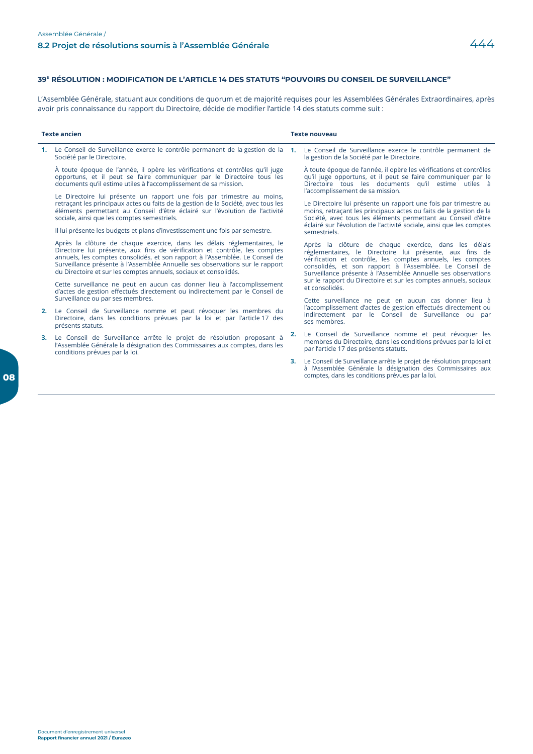#### 39<sup>E</sup> RÉSOLUTION : MODIFICATION DE L'ARTICLE 14 DES STATUTS "POUVOIRS DU CONSEIL DE SURVEILLANCE"

L'Assemblée Générale, statuant aux conditions de quorum et de majorité requises pour les Assemblées Générales Extraordinaires, après avoir pris connaissance du rapport du Directoire, décide de modifier l'article 14 des statuts comme suit :

| <b>Texte ancien</b> |                                                                                                                                                                                                                                                                                                                                                                                           | <b>Texte nouveau</b> |                                                                                                                                                                                                                                                                                                                                   |
|---------------------|-------------------------------------------------------------------------------------------------------------------------------------------------------------------------------------------------------------------------------------------------------------------------------------------------------------------------------------------------------------------------------------------|----------------------|-----------------------------------------------------------------------------------------------------------------------------------------------------------------------------------------------------------------------------------------------------------------------------------------------------------------------------------|
|                     | Le Conseil de Surveillance exerce le contrôle permanent de la gestion de la 1.<br>Société par le Directoire.                                                                                                                                                                                                                                                                              |                      | Le Conseil de Surveillance exerce le contrôle permanent de<br>la gestion de la Société par le Directoire.                                                                                                                                                                                                                         |
|                     | À toute époque de l'année, il opère les vérifications et contrôles qu'il juge<br>opportuns, et il peut se faire communiquer par le Directoire tous les<br>documents qu'il estime utiles à l'accomplissement de sa mission.                                                                                                                                                                |                      | À toute époque de l'année, il opère les vérifications et contrôles<br>qu'il juge opportuns, et il peut se faire communiquer par le<br>Directoire tous les documents qu'il estime utiles à                                                                                                                                         |
|                     | Le Directoire lui présente un rapport une fois par trimestre au moins,<br>retraçant les principaux actes ou faits de la gestion de la Société, avec tous les<br>éléments permettant au Conseil d'être éclairé sur l'évolution de l'activité<br>sociale, ainsi que les comptes semestriels.<br>Il lui présente les budgets et plans d'investissement une fois par semestre.                |                      | l'accomplissement de sa mission.<br>Le Directoire lui présente un rapport une fois par trimestre au<br>moins, retraçant les principaux actes ou faits de la gestion de la<br>Société, avec tous les éléments permettant au Conseil d'être<br>éclairé sur l'évolution de l'activité sociale, ainsi que les comptes<br>semestriels. |
|                     | Après la clôture de chaque exercice, dans les délais réglementaires, le<br>Directoire lui présente, aux fins de vérification et contrôle, les comptes<br>annuels, les comptes consolidés, et son rapport à l'Assemblée. Le Conseil de<br>Surveillance présente à l'Assemblée Annuelle ses observations sur le rapport<br>du Directoire et sur les comptes annuels, sociaux et consolidés. | et consolidés.       | Après la clôture de chaque exercice, dans les délais<br>réglementaires, le Directoire lui présente, aux fins de<br>vérification et contrôle, les comptes annuels, les comptes<br>consolidés, et son rapport à l'Assemblée. Le Conseil de<br>Surveillance présente à l'Assemblée Annuelle ses observations                         |
|                     | Cette surveillance ne peut en aucun cas donner lieu à l'accomplissement<br>d'actes de gestion effectués directement ou indirectement par le Conseil de                                                                                                                                                                                                                                    |                      | sur le rapport du Directoire et sur les comptes annuels, sociaux                                                                                                                                                                                                                                                                  |
|                     | Surveillance ou par ses membres.                                                                                                                                                                                                                                                                                                                                                          |                      | Cette surveillance ne peut en aucun cas donner lieu à<br>l'accomplissement d'actes de gestion effectués directement ou                                                                                                                                                                                                            |
| 2.                  | Le Conseil de Surveillance nomme et peut révoquer les membres du<br>Directoire, dans les conditions prévues par la loi et par l'article 17 des<br>présents statuts.                                                                                                                                                                                                                       |                      | indirectement par le Conseil de Surveillance ou par<br>ses membres.                                                                                                                                                                                                                                                               |
| З.                  | Le Conseil de Surveillance arrête le projet de résolution proposant à<br>l'Assemblée Générale la désignation des Commissaires aux comptes, dans les<br>conditions prévues par la loi.                                                                                                                                                                                                     | 2.                   | Le Conseil de Surveillance nomme et peut révoquer les<br>membres du Directoire, dans les conditions prévues par la loi et<br>par l'article 17 des présents statuts.                                                                                                                                                               |
|                     |                                                                                                                                                                                                                                                                                                                                                                                           | 3.                   | Le Conseil de Surveillance arrête le projet de résolution proposant<br>à l'Assemblée Générale la désignation des Commissaires aux<br>comptes, dans les conditions prévues par la loi.                                                                                                                                             |